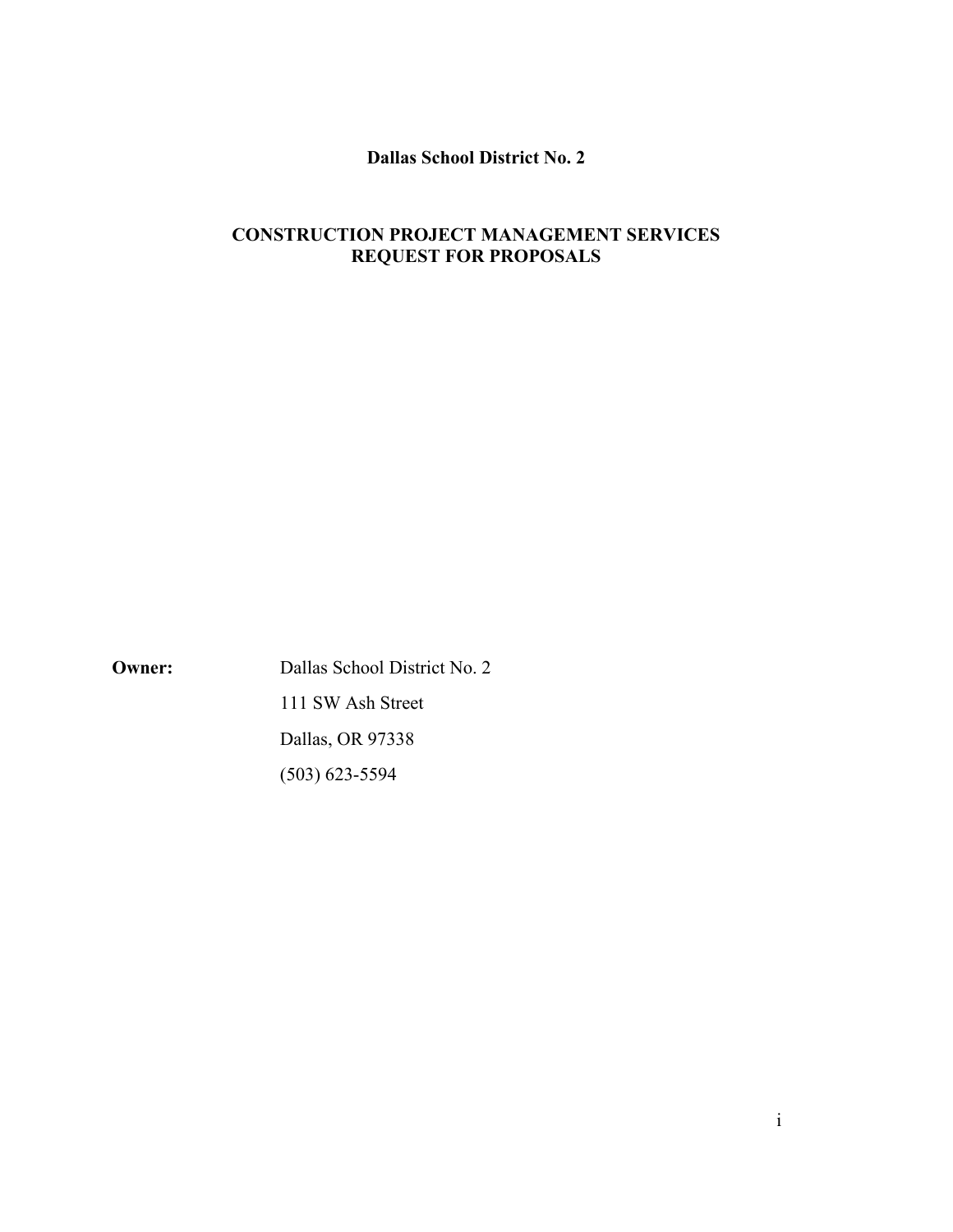## **Dallas School District No. 2**

# **CONSTRUCTION PROJECT MANAGEMENT SERVICES REQUEST FOR PROPOSALS**

**Owner:** Dallas School District No. 2 111 SW Ash Street Dallas, OR 97338 (503) 623-5594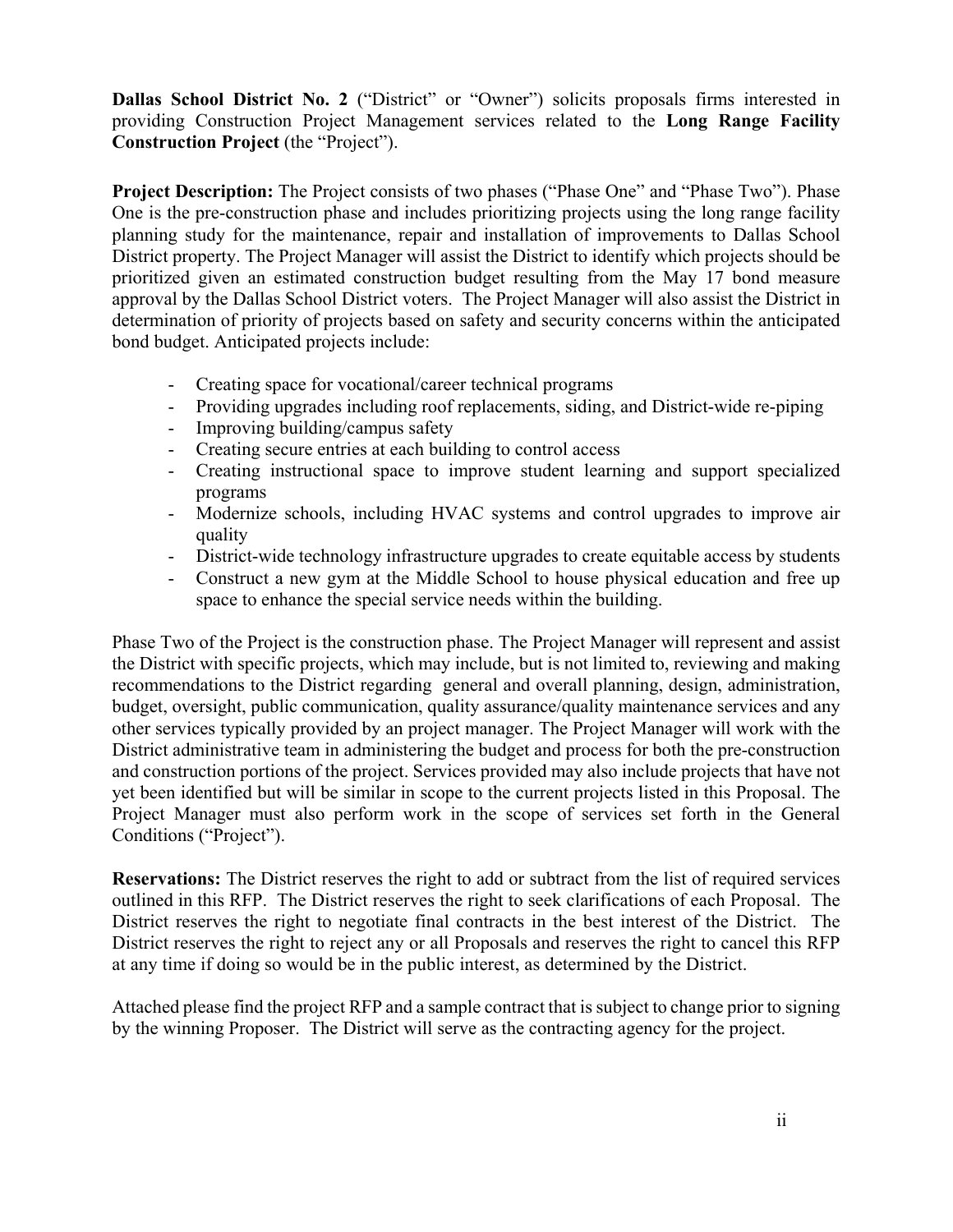**Dallas School District No. 2** ("District" or "Owner") solicits proposals firms interested in providing Construction Project Management services related to the **Long Range Facility Construction Project** (the "Project").

**Project Description:** The Project consists of two phases ("Phase One" and "Phase Two"). Phase One is the pre-construction phase and includes prioritizing projects using the long range facility planning study for the maintenance, repair and installation of improvements to Dallas School District property. The Project Manager will assist the District to identify which projects should be prioritized given an estimated construction budget resulting from the May 17 bond measure approval by the Dallas School District voters. The Project Manager will also assist the District in determination of priority of projects based on safety and security concerns within the anticipated bond budget. Anticipated projects include:

- Creating space for vocational/career technical programs
- Providing upgrades including roof replacements, siding, and District-wide re-piping
- Improving building/campus safety
- Creating secure entries at each building to control access
- Creating instructional space to improve student learning and support specialized programs
- Modernize schools, including HVAC systems and control upgrades to improve air quality
- District-wide technology infrastructure upgrades to create equitable access by students
- Construct a new gym at the Middle School to house physical education and free up space to enhance the special service needs within the building.

Phase Two of the Project is the construction phase. The Project Manager will represent and assist the District with specific projects, which may include, but is not limited to, reviewing and making recommendations to the District regarding general and overall planning, design, administration, budget, oversight, public communication, quality assurance/quality maintenance services and any other services typically provided by an project manager. The Project Manager will work with the District administrative team in administering the budget and process for both the pre-construction and construction portions of the project. Services provided may also include projects that have not yet been identified but will be similar in scope to the current projects listed in this Proposal. The Project Manager must also perform work in the scope of services set forth in the General Conditions ("Project").

**Reservations:** The District reserves the right to add or subtract from the list of required services outlined in this RFP. The District reserves the right to seek clarifications of each Proposal. The District reserves the right to negotiate final contracts in the best interest of the District. The District reserves the right to reject any or all Proposals and reserves the right to cancel this RFP at any time if doing so would be in the public interest, as determined by the District.

Attached please find the project RFP and a sample contract that is subject to change prior to signing by the winning Proposer. The District will serve as the contracting agency for the project.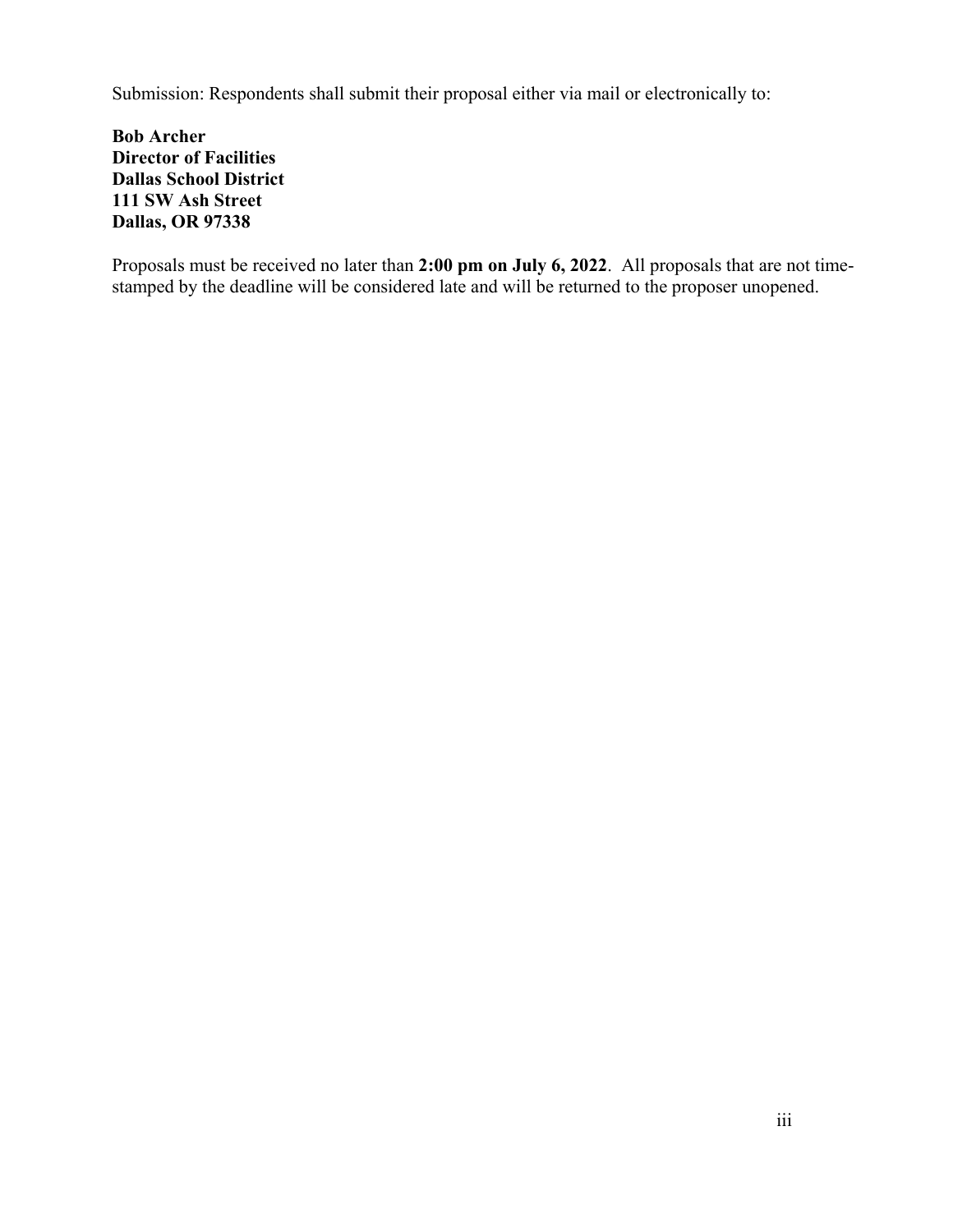Submission: Respondents shall submit their proposal either via mail or electronically to:

**Bob Archer Director of Facilities Dallas School District 111 SW Ash Street Dallas, OR 97338**

Proposals must be received no later than **2:00 pm on July 6, 2022**. All proposals that are not timestamped by the deadline will be considered late and will be returned to the proposer unopened.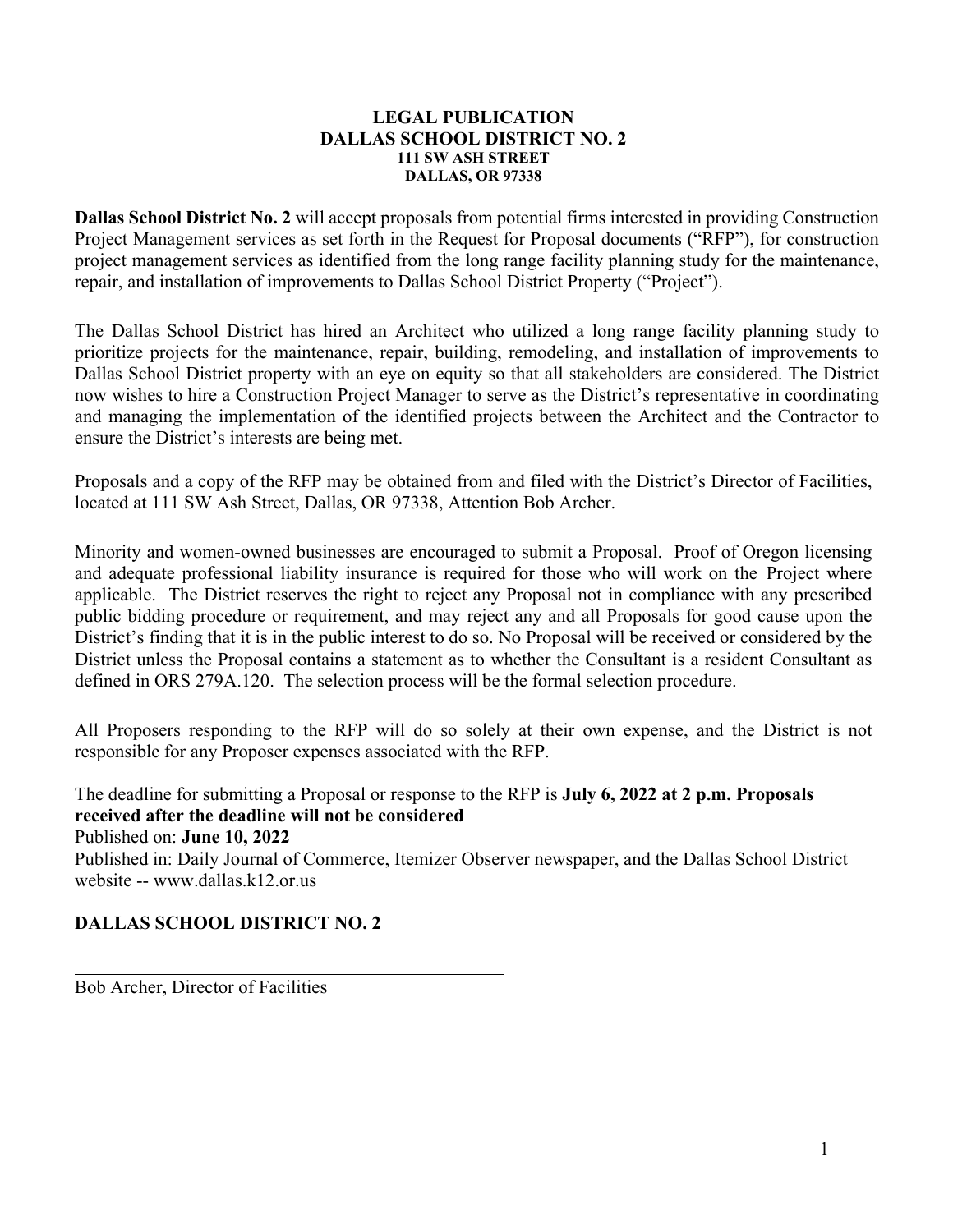### **LEGAL PUBLICATION DALLAS SCHOOL DISTRICT NO. 2 111 SW ASH STREET DALLAS, OR 97338**

**Dallas School District No. 2** will accept proposals from potential firms interested in providing Construction Project Management services as set forth in the Request for Proposal documents ("RFP"), for construction project management services as identified from the long range facility planning study for the maintenance, repair, and installation of improvements to Dallas School District Property ("Project").

The Dallas School District has hired an Architect who utilized a long range facility planning study to prioritize projects for the maintenance, repair, building, remodeling, and installation of improvements to Dallas School District property with an eye on equity so that all stakeholders are considered. The District now wishes to hire a Construction Project Manager to serve as the District's representative in coordinating and managing the implementation of the identified projects between the Architect and the Contractor to ensure the District's interests are being met.

Proposals and a copy of the RFP may be obtained from and filed with the District's Director of Facilities, located at 111 SW Ash Street, Dallas, OR 97338, Attention Bob Archer.

Minority and women-owned businesses are encouraged to submit a Proposal. Proof of Oregon licensing and adequate professional liability insurance is required for those who will work on the Project where applicable. The District reserves the right to reject any Proposal not in compliance with any prescribed public bidding procedure or requirement, and may reject any and all Proposals for good cause upon the District's finding that it is in the public interest to do so. No Proposal will be received or considered by the District unless the Proposal contains a statement as to whether the Consultant is a resident Consultant as defined in ORS 279A.120. The selection process will be the formal selection procedure.

All Proposers responding to the RFP will do so solely at their own expense, and the District is not responsible for any Proposer expenses associated with the RFP.

The deadline for submitting a Proposal or response to the RFP is **July 6, 2022 at 2 p.m. Proposals received after the deadline will not be considered** Published on: **June 10, 2022**  Published in: Daily Journal of Commerce, Itemizer Observer newspaper, and the Dallas School District website -- www.dallas.k12.or.us

# **DALLAS SCHOOL DISTRICT NO. 2**

Bob Archer, Director of Facilities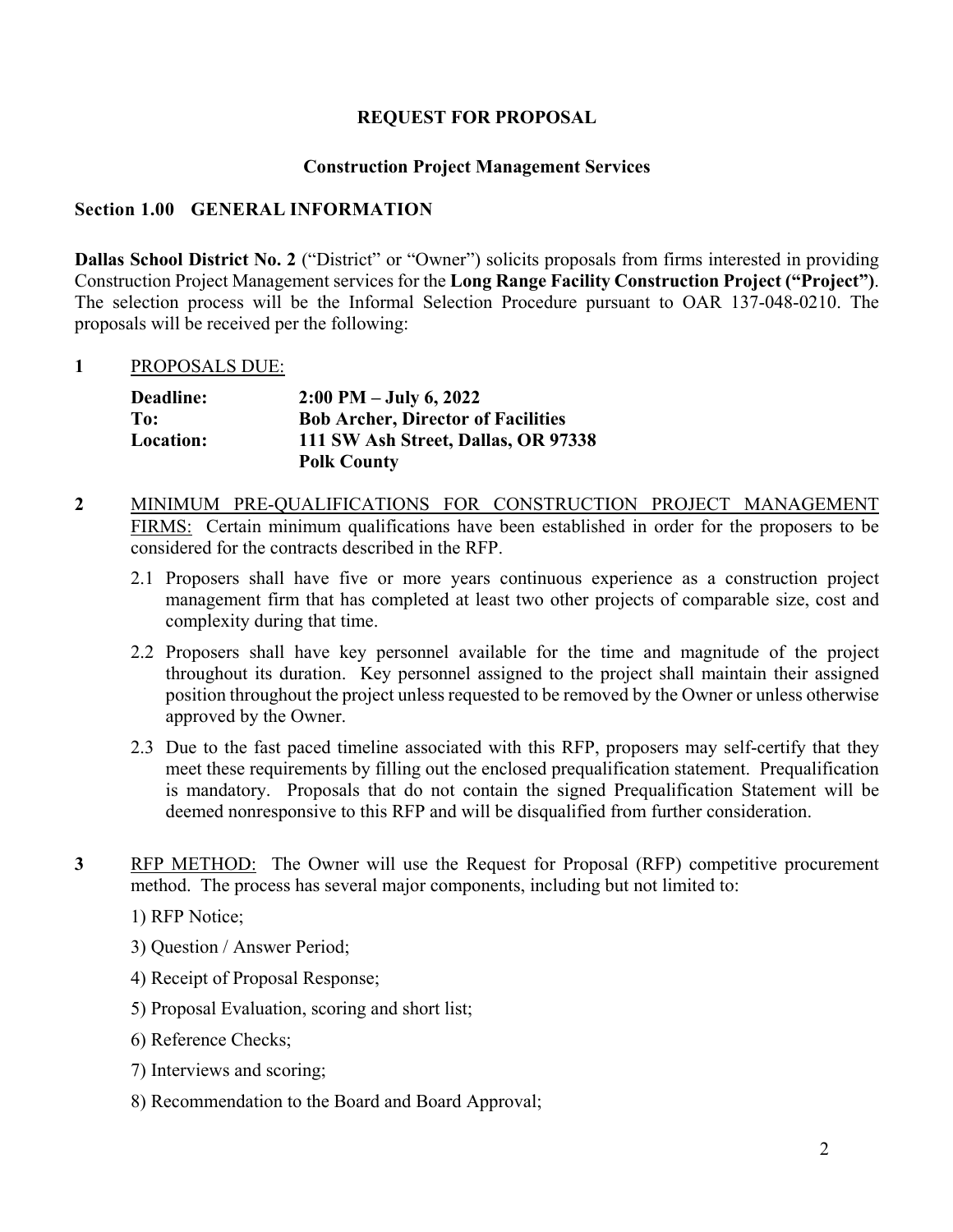## **REQUEST FOR PROPOSAL**

## **Construction Project Management Services**

## **Section 1.00 GENERAL INFORMATION**

**Dallas School District No. 2** ("District" or "Owner") solicits proposals from firms interested in providing Construction Project Management services for the **Long Range Facility Construction Project ("Project")**. The selection process will be the Informal Selection Procedure pursuant to OAR 137-048-0210. The proposals will be received per the following:

### **1** PROPOSALS DUE:

| <b>Deadline:</b> | $2:00 \text{ PM} - \text{July } 6, 2022$  |
|------------------|-------------------------------------------|
| To:              | <b>Bob Archer, Director of Facilities</b> |
| Location:        | 111 SW Ash Street, Dallas, OR 97338       |
|                  | <b>Polk County</b>                        |

- **2** MINIMUM PRE-QUALIFICATIONS FOR CONSTRUCTION PROJECT MANAGEMENT FIRMS: Certain minimum qualifications have been established in order for the proposers to be considered for the contracts described in the RFP.
	- 2.1 Proposers shall have five or more years continuous experience as a construction project management firm that has completed at least two other projects of comparable size, cost and complexity during that time.
	- 2.2 Proposers shall have key personnel available for the time and magnitude of the project throughout its duration. Key personnel assigned to the project shall maintain their assigned position throughout the project unless requested to be removed by the Owner or unless otherwise approved by the Owner.
	- 2.3 Due to the fast paced timeline associated with this RFP, proposers may self-certify that they meet these requirements by filling out the enclosed prequalification statement. Prequalification is mandatory. Proposals that do not contain the signed Prequalification Statement will be deemed nonresponsive to this RFP and will be disqualified from further consideration.
- **3** RFP METHOD: The Owner will use the Request for Proposal (RFP) competitive procurement method. The process has several major components, including but not limited to:

1) RFP Notice;

- 3) Question / Answer Period;
- 4) Receipt of Proposal Response;
- 5) Proposal Evaluation, scoring and short list;
- 6) Reference Checks;
- 7) Interviews and scoring;
- 8) Recommendation to the Board and Board Approval;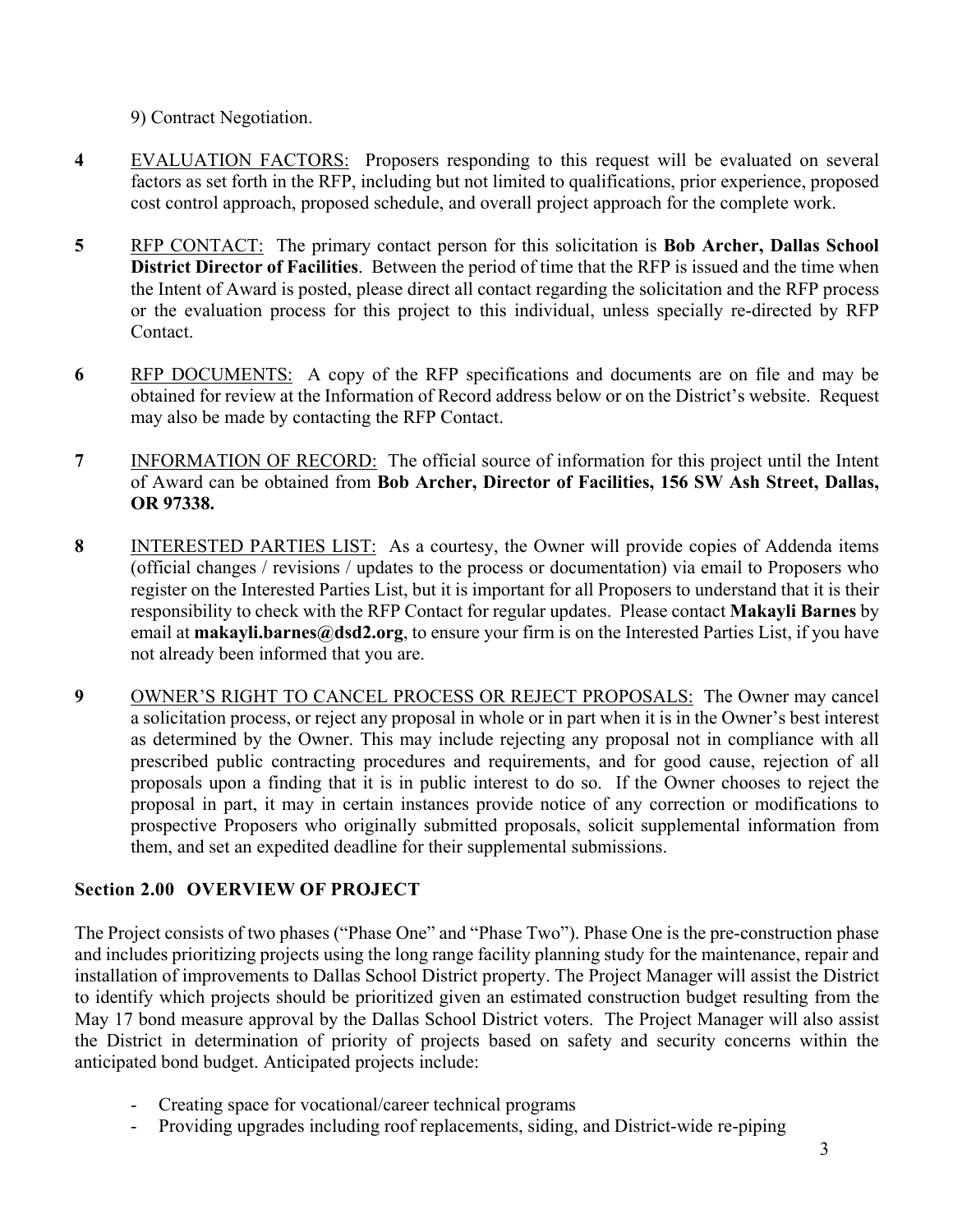9) Contract Negotiation.

- **4** EVALUATION FACTORS: Proposers responding to this request will be evaluated on several factors as set forth in the RFP, including but not limited to qualifications, prior experience, proposed cost control approach, proposed schedule, and overall project approach for the complete work.
- **5** RFP CONTACT: The primary contact person for this solicitation is **Bob Archer, Dallas School District Director of Facilities**. Between the period of time that the RFP is issued and the time when the Intent of Award is posted, please direct all contact regarding the solicitation and the RFP process or the evaluation process for this project to this individual, unless specially re-directed by RFP Contact.
- **6** RFP DOCUMENTS: A copy of the RFP specifications and documents are on file and may be obtained for review at the Information of Record address below or on the District's website. Request may also be made by contacting the RFP Contact.
- **7** INFORMATION OF RECORD: The official source of information for this project until the Intent of Award can be obtained from **Bob Archer, Director of Facilities, 156 SW Ash Street, Dallas, OR 97338.**
- **8** INTERESTED PARTIES LIST: As a courtesy, the Owner will provide copies of Addenda items (official changes / revisions / updates to the process or documentation) via email to Proposers who register on the Interested Parties List, but it is important for all Proposers to understand that it is their responsibility to check with the RFP Contact for regular updates. Please contact **Makayli Barnes** by email at **makayli.barnes@dsd2.org**, to ensure your firm is on the Interested Parties List, if you have not already been informed that you are.
- **9** OWNER'S RIGHT TO CANCEL PROCESS OR REJECT PROPOSALS: The Owner may cancel a solicitation process, or reject any proposal in whole or in part when it is in the Owner's best interest as determined by the Owner. This may include rejecting any proposal not in compliance with all prescribed public contracting procedures and requirements, and for good cause, rejection of all proposals upon a finding that it is in public interest to do so. If the Owner chooses to reject the proposal in part, it may in certain instances provide notice of any correction or modifications to prospective Proposers who originally submitted proposals, solicit supplemental information from them, and set an expedited deadline for their supplemental submissions.

# **Section 2.00 OVERVIEW OF PROJECT**

The Project consists of two phases ("Phase One" and "Phase Two"). Phase One is the pre-construction phase and includes prioritizing projects using the long range facility planning study for the maintenance, repair and installation of improvements to Dallas School District property. The Project Manager will assist the District to identify which projects should be prioritized given an estimated construction budget resulting from the May 17 bond measure approval by the Dallas School District voters. The Project Manager will also assist the District in determination of priority of projects based on safety and security concerns within the anticipated bond budget. Anticipated projects include:

- Creating space for vocational/career technical programs
- Providing upgrades including roof replacements, siding, and District-wide re-piping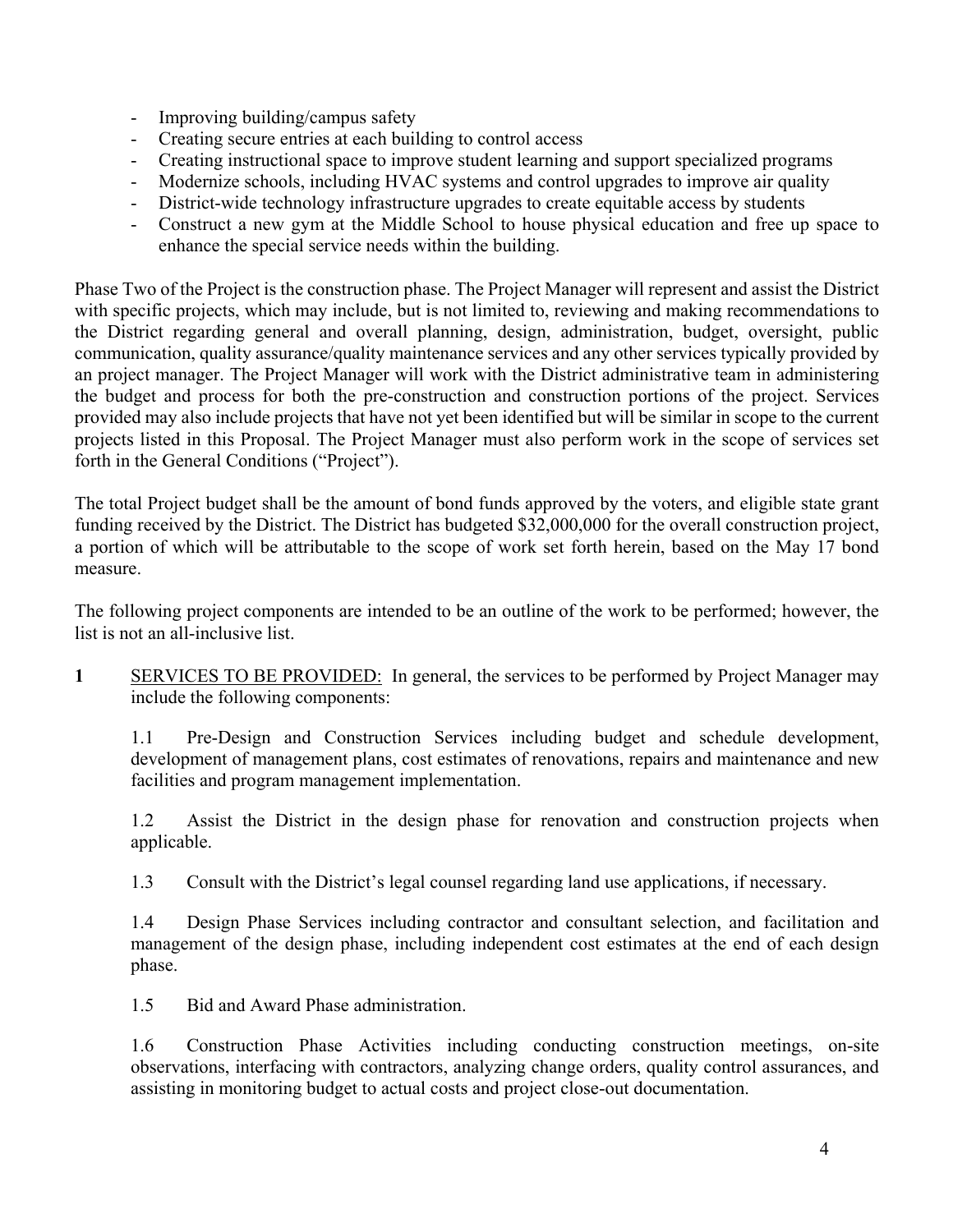- Improving building/campus safety
- Creating secure entries at each building to control access
- Creating instructional space to improve student learning and support specialized programs
- Modernize schools, including HVAC systems and control upgrades to improve air quality
- District-wide technology infrastructure upgrades to create equitable access by students
- Construct a new gym at the Middle School to house physical education and free up space to enhance the special service needs within the building.

Phase Two of the Project is the construction phase. The Project Manager will represent and assist the District with specific projects, which may include, but is not limited to, reviewing and making recommendations to the District regarding general and overall planning, design, administration, budget, oversight, public communication, quality assurance/quality maintenance services and any other services typically provided by an project manager. The Project Manager will work with the District administrative team in administering the budget and process for both the pre-construction and construction portions of the project. Services provided may also include projects that have not yet been identified but will be similar in scope to the current projects listed in this Proposal. The Project Manager must also perform work in the scope of services set forth in the General Conditions ("Project").

The total Project budget shall be the amount of bond funds approved by the voters, and eligible state grant funding received by the District. The District has budgeted \$32,000,000 for the overall construction project, a portion of which will be attributable to the scope of work set forth herein, based on the May 17 bond measure.

The following project components are intended to be an outline of the work to be performed; however, the list is not an all-inclusive list.

**1** SERVICES TO BE PROVIDED: In general, the services to be performed by Project Manager may include the following components:

1.1 Pre-Design and Construction Services including budget and schedule development, development of management plans, cost estimates of renovations, repairs and maintenance and new facilities and program management implementation.

1.2 Assist the District in the design phase for renovation and construction projects when applicable.

1.3 Consult with the District's legal counsel regarding land use applications, if necessary.

1.4 Design Phase Services including contractor and consultant selection, and facilitation and management of the design phase, including independent cost estimates at the end of each design phase.

1.5 Bid and Award Phase administration.

1.6 Construction Phase Activities including conducting construction meetings, on-site observations, interfacing with contractors, analyzing change orders, quality control assurances, and assisting in monitoring budget to actual costs and project close-out documentation.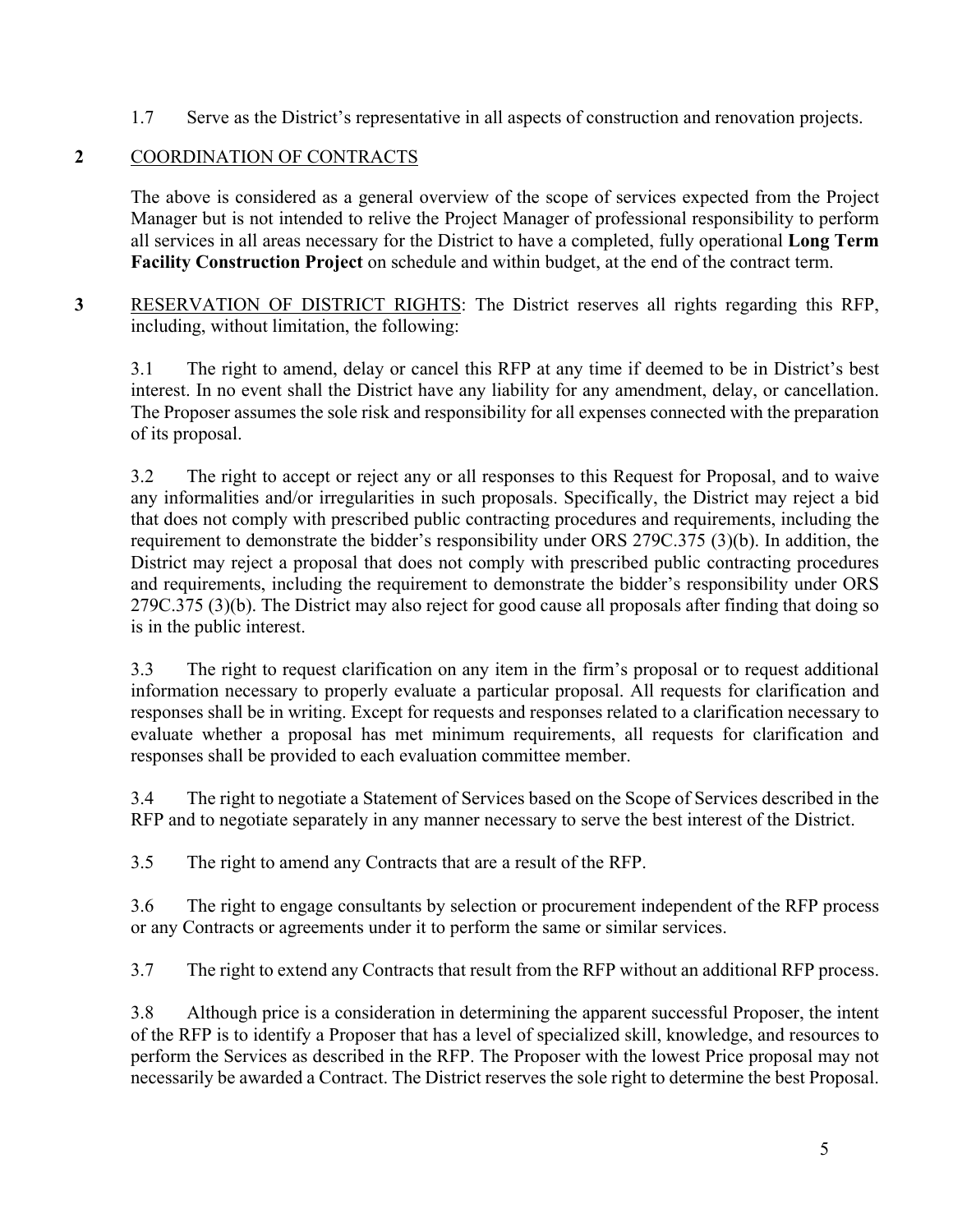1.7 Serve as the District's representative in all aspects of construction and renovation projects.

# **2** COORDINATION OF CONTRACTS

The above is considered as a general overview of the scope of services expected from the Project Manager but is not intended to relive the Project Manager of professional responsibility to perform all services in all areas necessary for the District to have a completed, fully operational **Long Term Facility Construction Project** on schedule and within budget, at the end of the contract term.

**3** RESERVATION OF DISTRICT RIGHTS: The District reserves all rights regarding this RFP, including, without limitation, the following:

3.1 The right to amend, delay or cancel this RFP at any time if deemed to be in District's best interest. In no event shall the District have any liability for any amendment, delay, or cancellation. The Proposer assumes the sole risk and responsibility for all expenses connected with the preparation of its proposal.

3.2 The right to accept or reject any or all responses to this Request for Proposal, and to waive any informalities and/or irregularities in such proposals. Specifically, the District may reject a bid that does not comply with prescribed public contracting procedures and requirements, including the requirement to demonstrate the bidder's responsibility under ORS 279C.375 (3)(b). In addition, the District may reject a proposal that does not comply with prescribed public contracting procedures and requirements, including the requirement to demonstrate the bidder's responsibility under ORS 279C.375 (3)(b). The District may also reject for good cause all proposals after finding that doing so is in the public interest.

3.3 The right to request clarification on any item in the firm's proposal or to request additional information necessary to properly evaluate a particular proposal. All requests for clarification and responses shall be in writing. Except for requests and responses related to a clarification necessary to evaluate whether a proposal has met minimum requirements, all requests for clarification and responses shall be provided to each evaluation committee member.

3.4 The right to negotiate a Statement of Services based on the Scope of Services described in the RFP and to negotiate separately in any manner necessary to serve the best interest of the District.

3.5 The right to amend any Contracts that are a result of the RFP.

3.6 The right to engage consultants by selection or procurement independent of the RFP process or any Contracts or agreements under it to perform the same or similar services.

3.7 The right to extend any Contracts that result from the RFP without an additional RFP process.

3.8 Although price is a consideration in determining the apparent successful Proposer, the intent of the RFP is to identify a Proposer that has a level of specialized skill, knowledge, and resources to perform the Services as described in the RFP. The Proposer with the lowest Price proposal may not necessarily be awarded a Contract. The District reserves the sole right to determine the best Proposal.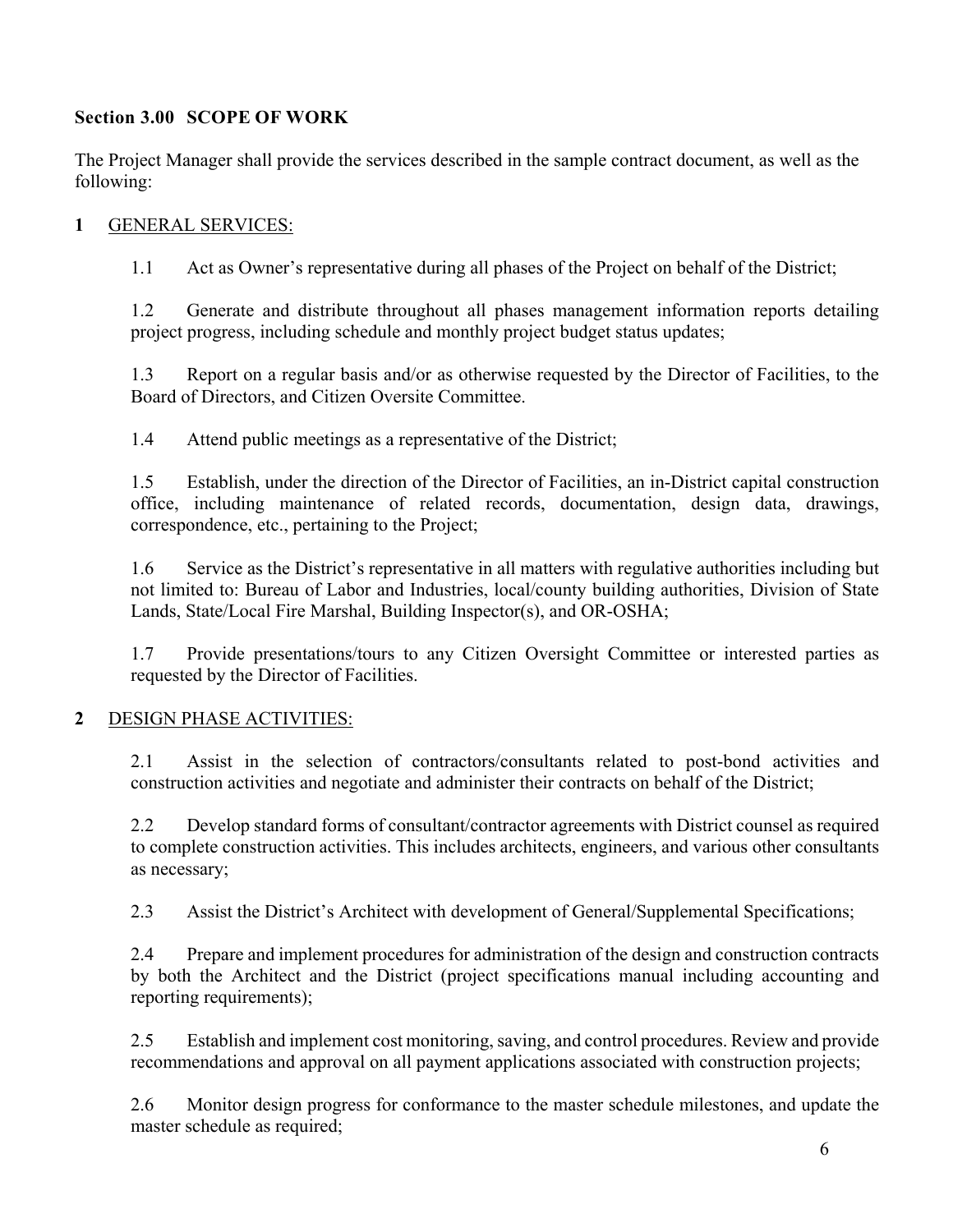# **Section 3.00 SCOPE OF WORK**

The Project Manager shall provide the services described in the sample contract document, as well as the following:

## **1** GENERAL SERVICES:

1.1 Act as Owner's representative during all phases of the Project on behalf of the District;

1.2 Generate and distribute throughout all phases management information reports detailing project progress, including schedule and monthly project budget status updates;

1.3 Report on a regular basis and/or as otherwise requested by the Director of Facilities, to the Board of Directors, and Citizen Oversite Committee.

1.4 Attend public meetings as a representative of the District;

1.5 Establish, under the direction of the Director of Facilities, an in-District capital construction office, including maintenance of related records, documentation, design data, drawings, correspondence, etc., pertaining to the Project;

1.6 Service as the District's representative in all matters with regulative authorities including but not limited to: Bureau of Labor and Industries, local/county building authorities, Division of State Lands, State/Local Fire Marshal, Building Inspector(s), and OR-OSHA;

1.7 Provide presentations/tours to any Citizen Oversight Committee or interested parties as requested by the Director of Facilities.

# **2** DESIGN PHASE ACTIVITIES:

2.1 Assist in the selection of contractors/consultants related to post-bond activities and construction activities and negotiate and administer their contracts on behalf of the District;

2.2 Develop standard forms of consultant/contractor agreements with District counsel as required to complete construction activities. This includes architects, engineers, and various other consultants as necessary;

2.3 Assist the District's Architect with development of General/Supplemental Specifications;

2.4 Prepare and implement procedures for administration of the design and construction contracts by both the Architect and the District (project specifications manual including accounting and reporting requirements);

2.5 Establish and implement cost monitoring, saving, and control procedures. Review and provide recommendations and approval on all payment applications associated with construction projects;

2.6 Monitor design progress for conformance to the master schedule milestones, and update the master schedule as required;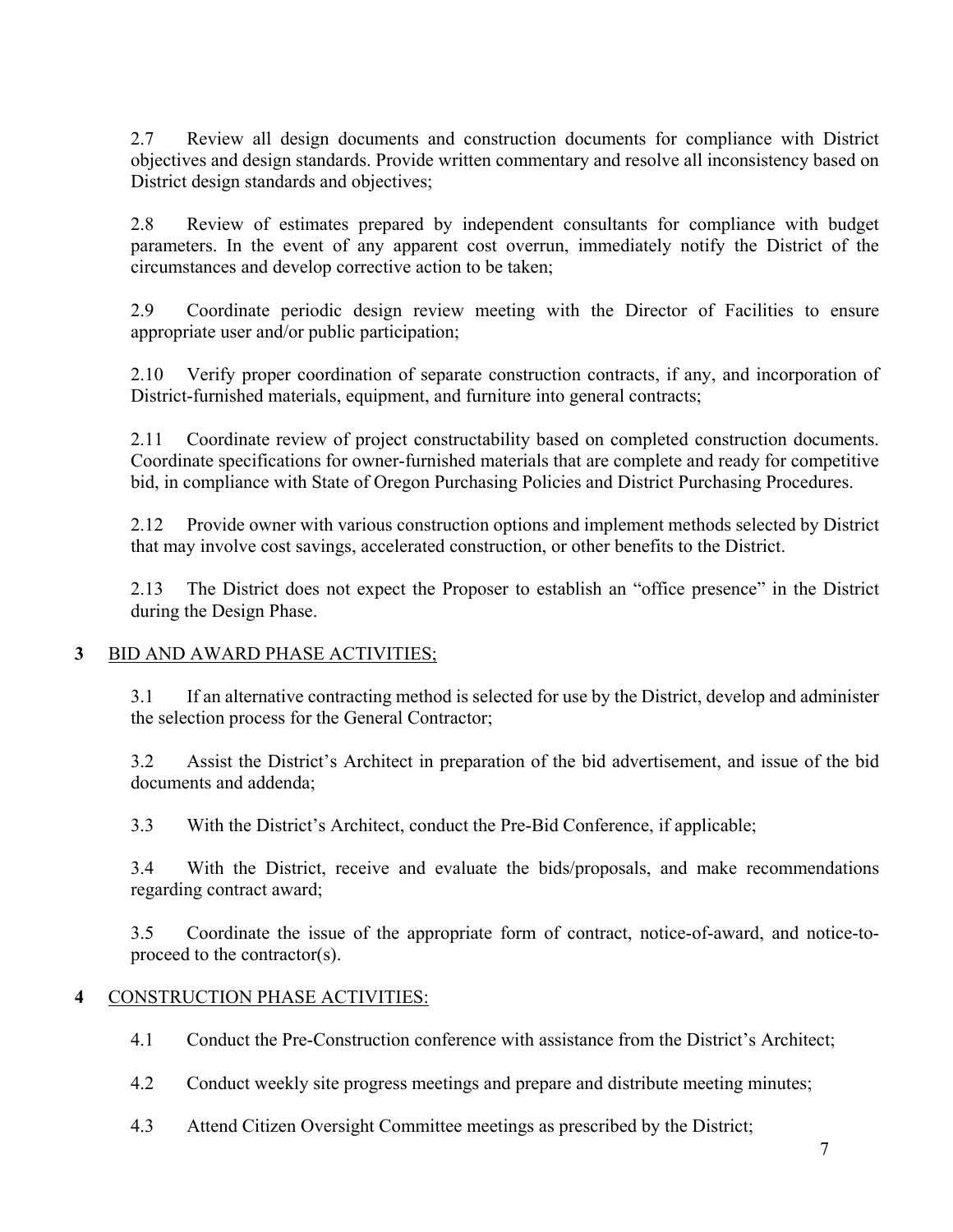2.7 Review all design documents and construction documents for compliance with District objectives and design standards. Provide written commentary and resolve all inconsistency based on District design standards and objectives;

2.8 Review of estimates prepared by independent consultants for compliance with budget parameters. In the event of any apparent cost overrun, immediately notify the District of the circumstances and develop corrective action to be taken;

2.9 Coordinate periodic design review meeting with the Director of Facilities to ensure appropriate user and/or public participation;

2.10 Verify proper coordination of separate construction contracts, if any, and incorporation of District-furnished materials, equipment, and furniture into general contracts;

2.11 Coordinate review of project constructability based on completed construction documents. Coordinate specifications for owner-furnished materials that are complete and ready for competitive bid, in compliance with State of Oregon Purchasing Policies and District Purchasing Procedures.

2.12 Provide owner with various construction options and implement methods selected by District that may involve cost savings, accelerated construction, or other benefits to the District.

2.13 The District does not expect the Proposer to establish an "office presence" in the District during the Design Phase.

# **3** BID AND AWARD PHASE ACTIVITIES;

3.1 If an alternative contracting method is selected for use by the District, develop and administer the selection process for the General Contractor;

3.2 Assist the District's Architect in preparation of the bid advertisement, and issue of the bid documents and addenda;

3.3 With the District's Architect, conduct the Pre-Bid Conference, if applicable;

3.4 With the District, receive and evaluate the bids/proposals, and make recommendations regarding contract award;

3.5 Coordinate the issue of the appropriate form of contract, notice-of-award, and notice-toproceed to the contractor(s).

# **4** CONSTRUCTION PHASE ACTIVITIES:

- 4.1 Conduct the Pre-Construction conference with assistance from the District's Architect;
- 4.2 Conduct weekly site progress meetings and prepare and distribute meeting minutes;
- 4.3 Attend Citizen Oversight Committee meetings as prescribed by the District;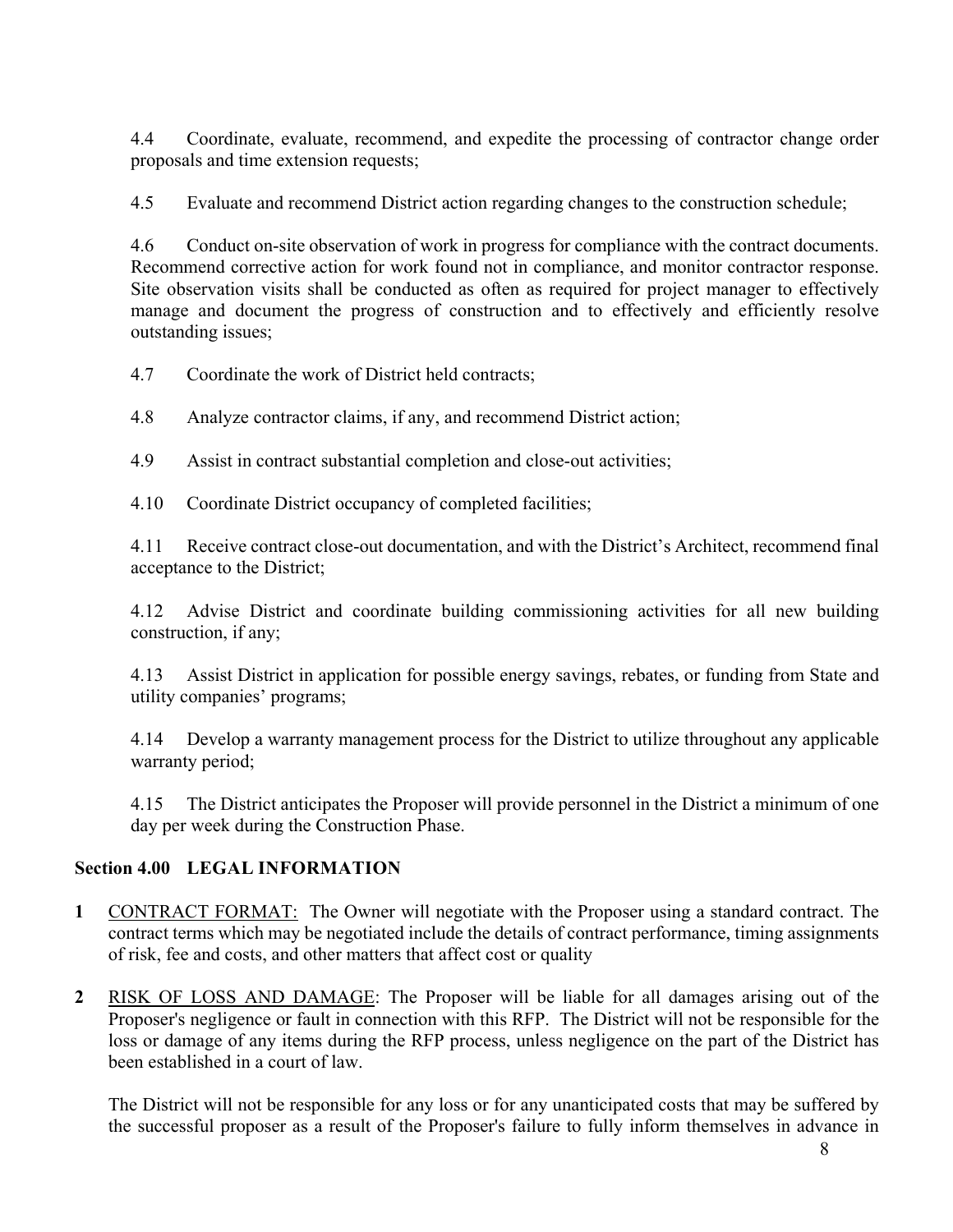4.4 Coordinate, evaluate, recommend, and expedite the processing of contractor change order proposals and time extension requests;

4.5 Evaluate and recommend District action regarding changes to the construction schedule;

4.6 Conduct on-site observation of work in progress for compliance with the contract documents. Recommend corrective action for work found not in compliance, and monitor contractor response. Site observation visits shall be conducted as often as required for project manager to effectively manage and document the progress of construction and to effectively and efficiently resolve outstanding issues;

4.7 Coordinate the work of District held contracts;

4.8 Analyze contractor claims, if any, and recommend District action;

4.9 Assist in contract substantial completion and close-out activities;

4.10 Coordinate District occupancy of completed facilities;

4.11 Receive contract close-out documentation, and with the District's Architect, recommend final acceptance to the District;

4.12 Advise District and coordinate building commissioning activities for all new building construction, if any;

4.13 Assist District in application for possible energy savings, rebates, or funding from State and utility companies' programs;

4.14 Develop a warranty management process for the District to utilize throughout any applicable warranty period;

4.15 The District anticipates the Proposer will provide personnel in the District a minimum of one day per week during the Construction Phase.

# **Section 4.00 LEGAL INFORMATION**

- **1** CONTRACT FORMAT: The Owner will negotiate with the Proposer using a standard contract. The contract terms which may be negotiated include the details of contract performance, timing assignments of risk, fee and costs, and other matters that affect cost or quality
- **2** RISK OF LOSS AND DAMAGE: The Proposer will be liable for all damages arising out of the Proposer's negligence or fault in connection with this RFP. The District will not be responsible for the loss or damage of any items during the RFP process, unless negligence on the part of the District has been established in a court of law.

The District will not be responsible for any loss or for any unanticipated costs that may be suffered by the successful proposer as a result of the Proposer's failure to fully inform themselves in advance in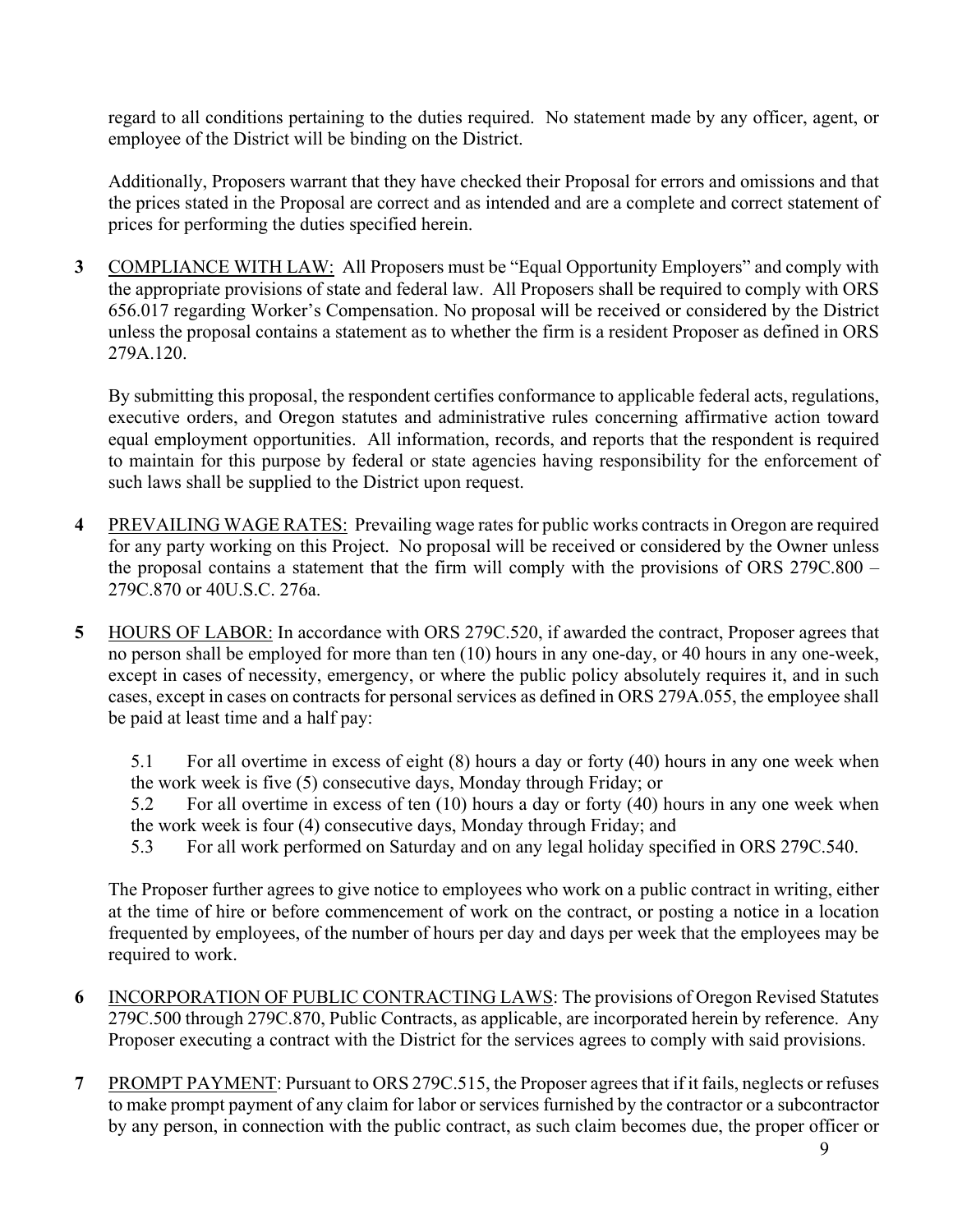regard to all conditions pertaining to the duties required. No statement made by any officer, agent, or employee of the District will be binding on the District.

Additionally, Proposers warrant that they have checked their Proposal for errors and omissions and that the prices stated in the Proposal are correct and as intended and are a complete and correct statement of prices for performing the duties specified herein.

**3** COMPLIANCE WITH LAW: All Proposers must be "Equal Opportunity Employers" and comply with the appropriate provisions of state and federal law. All Proposers shall be required to comply with ORS 656.017 regarding Worker's Compensation. No proposal will be received or considered by the District unless the proposal contains a statement as to whether the firm is a resident Proposer as defined in ORS 279A.120.

By submitting this proposal, the respondent certifies conformance to applicable federal acts, regulations, executive orders, and Oregon statutes and administrative rules concerning affirmative action toward equal employment opportunities. All information, records, and reports that the respondent is required to maintain for this purpose by federal or state agencies having responsibility for the enforcement of such laws shall be supplied to the District upon request.

- **4** PREVAILING WAGE RATES: Prevailing wage rates for public works contracts in Oregon are required for any party working on this Project. No proposal will be received or considered by the Owner unless the proposal contains a statement that the firm will comply with the provisions of ORS 279C.800 – 279C.870 or 40U.S.C. 276a.
- **5** HOURS OF LABOR: In accordance with ORS 279C.520, if awarded the contract, Proposer agrees that no person shall be employed for more than ten (10) hours in any one-day, or 40 hours in any one-week, except in cases of necessity, emergency, or where the public policy absolutely requires it, and in such cases, except in cases on contracts for personal services as defined in ORS 279A.055, the employee shall be paid at least time and a half pay:

5.1 For all overtime in excess of eight (8) hours a day or forty (40) hours in any one week when the work week is five (5) consecutive days, Monday through Friday; or

5.2 For all overtime in excess of ten (10) hours a day or forty (40) hours in any one week when the work week is four (4) consecutive days, Monday through Friday; and

5.3 For all work performed on Saturday and on any legal holiday specified in ORS 279C.540.

The Proposer further agrees to give notice to employees who work on a public contract in writing, either at the time of hire or before commencement of work on the contract, or posting a notice in a location frequented by employees, of the number of hours per day and days per week that the employees may be required to work.

- **6** INCORPORATION OF PUBLIC CONTRACTING LAWS: The provisions of Oregon Revised Statutes 279C.500 through 279C.870, Public Contracts, as applicable, are incorporated herein by reference. Any Proposer executing a contract with the District for the services agrees to comply with said provisions.
- **7** PROMPT PAYMENT: Pursuant to ORS 279C.515, the Proposer agrees that if it fails, neglects or refuses to make prompt payment of any claim for labor or services furnished by the contractor or a subcontractor by any person, in connection with the public contract, as such claim becomes due, the proper officer or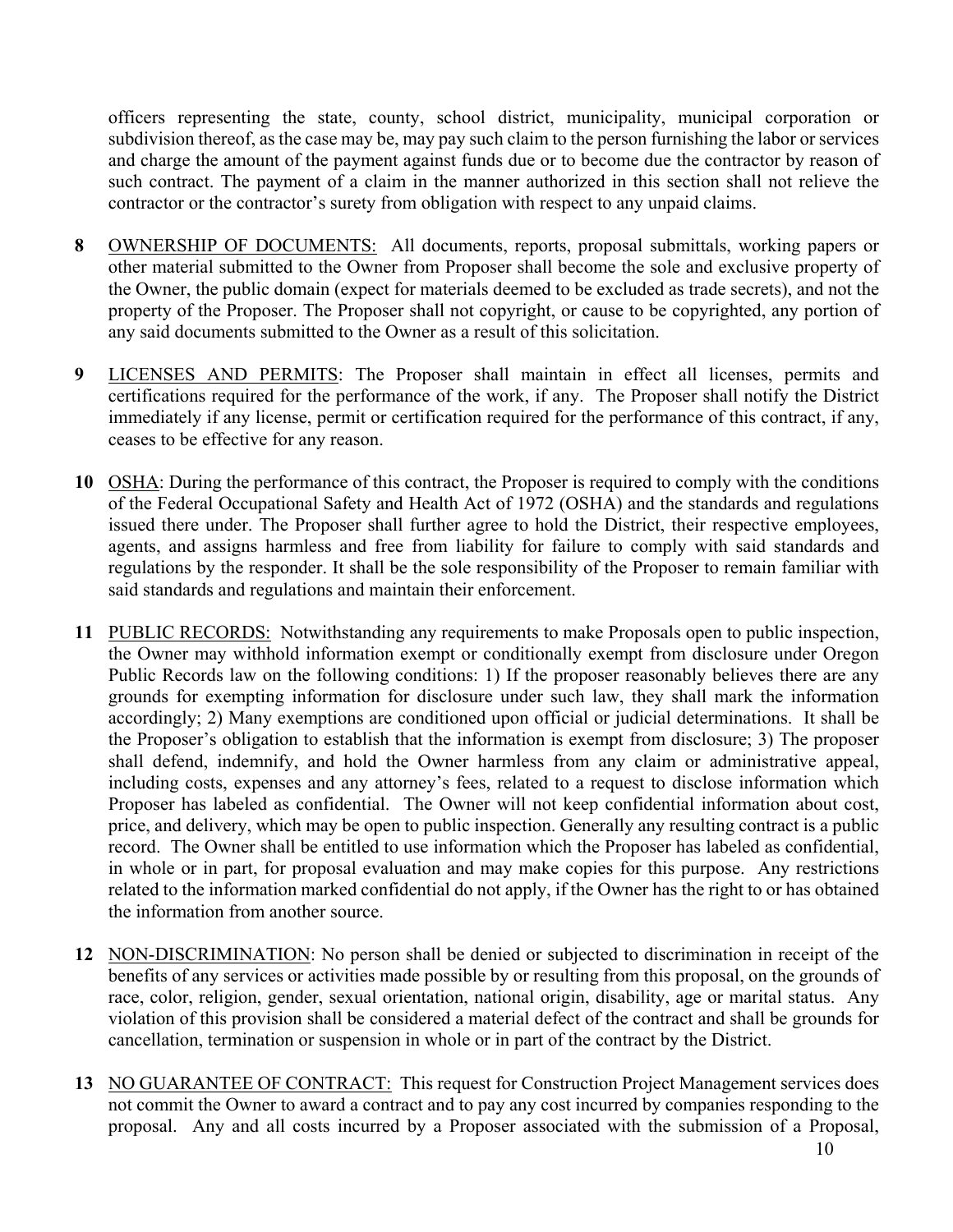officers representing the state, county, school district, municipality, municipal corporation or subdivision thereof, as the case may be, may pay such claim to the person furnishing the labor or services and charge the amount of the payment against funds due or to become due the contractor by reason of such contract. The payment of a claim in the manner authorized in this section shall not relieve the contractor or the contractor's surety from obligation with respect to any unpaid claims.

- **8** OWNERSHIP OF DOCUMENTS: All documents, reports, proposal submittals, working papers or other material submitted to the Owner from Proposer shall become the sole and exclusive property of the Owner, the public domain (expect for materials deemed to be excluded as trade secrets), and not the property of the Proposer. The Proposer shall not copyright, or cause to be copyrighted, any portion of any said documents submitted to the Owner as a result of this solicitation.
- **9** LICENSES AND PERMITS: The Proposer shall maintain in effect all licenses, permits and certifications required for the performance of the work, if any. The Proposer shall notify the District immediately if any license, permit or certification required for the performance of this contract, if any, ceases to be effective for any reason.
- **10** OSHA: During the performance of this contract, the Proposer is required to comply with the conditions of the Federal Occupational Safety and Health Act of 1972 (OSHA) and the standards and regulations issued there under. The Proposer shall further agree to hold the District, their respective employees, agents, and assigns harmless and free from liability for failure to comply with said standards and regulations by the responder. It shall be the sole responsibility of the Proposer to remain familiar with said standards and regulations and maintain their enforcement.
- **11** PUBLIC RECORDS: Notwithstanding any requirements to make Proposals open to public inspection, the Owner may withhold information exempt or conditionally exempt from disclosure under Oregon Public Records law on the following conditions: 1) If the proposer reasonably believes there are any grounds for exempting information for disclosure under such law, they shall mark the information accordingly; 2) Many exemptions are conditioned upon official or judicial determinations. It shall be the Proposer's obligation to establish that the information is exempt from disclosure; 3) The proposer shall defend, indemnify, and hold the Owner harmless from any claim or administrative appeal, including costs, expenses and any attorney's fees, related to a request to disclose information which Proposer has labeled as confidential. The Owner will not keep confidential information about cost, price, and delivery, which may be open to public inspection. Generally any resulting contract is a public record. The Owner shall be entitled to use information which the Proposer has labeled as confidential, in whole or in part, for proposal evaluation and may make copies for this purpose. Any restrictions related to the information marked confidential do not apply, if the Owner has the right to or has obtained the information from another source.
- **12** NON-DISCRIMINATION: No person shall be denied or subjected to discrimination in receipt of the benefits of any services or activities made possible by or resulting from this proposal, on the grounds of race, color, religion, gender, sexual orientation, national origin, disability, age or marital status. Any violation of this provision shall be considered a material defect of the contract and shall be grounds for cancellation, termination or suspension in whole or in part of the contract by the District.
- 13 NO GUARANTEE OF CONTRACT: This request for Construction Project Management services does not commit the Owner to award a contract and to pay any cost incurred by companies responding to the proposal. Any and all costs incurred by a Proposer associated with the submission of a Proposal,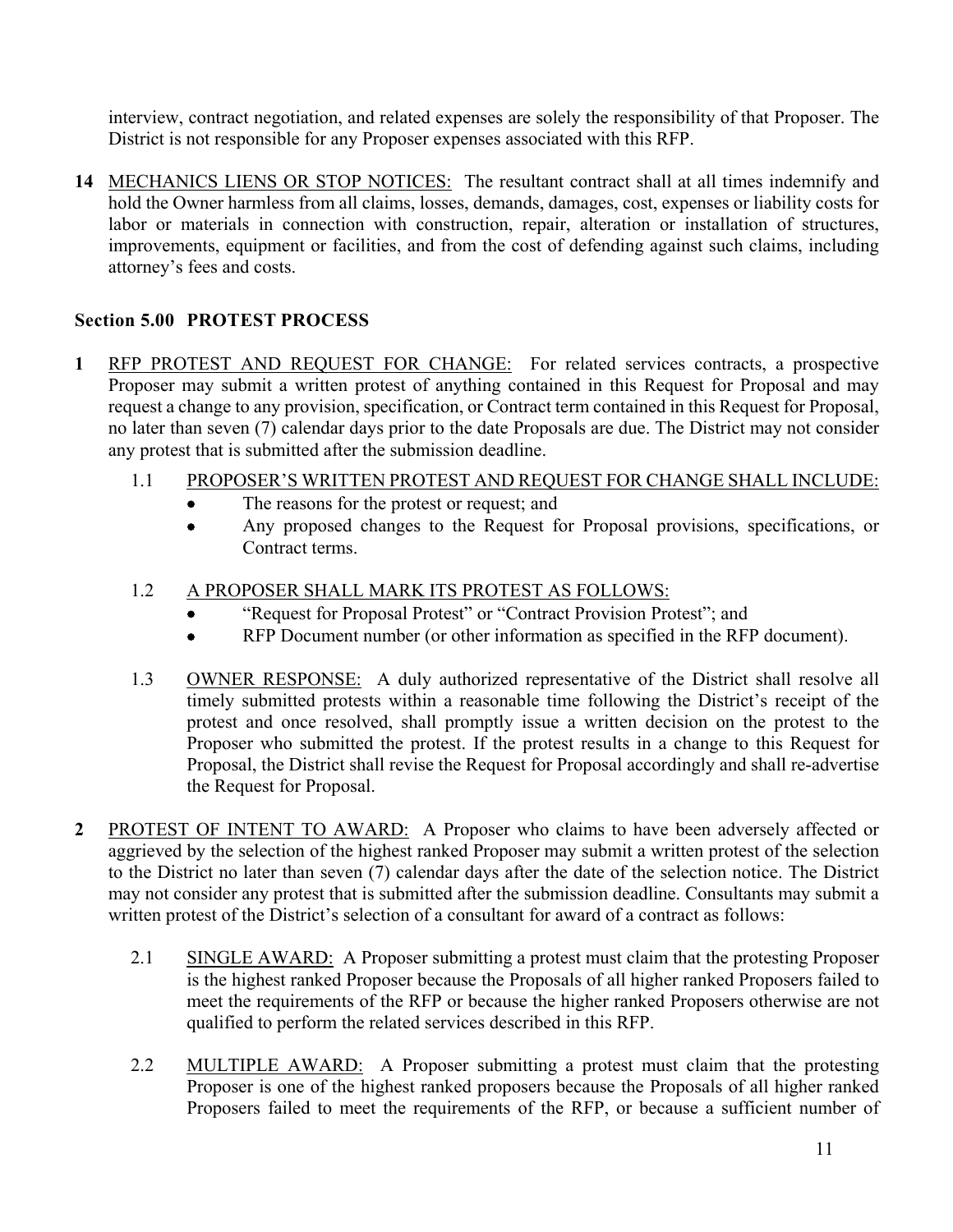interview, contract negotiation, and related expenses are solely the responsibility of that Proposer. The District is not responsible for any Proposer expenses associated with this RFP.

14 MECHANICS LIENS OR STOP NOTICES: The resultant contract shall at all times indemnify and hold the Owner harmless from all claims, losses, demands, damages, cost, expenses or liability costs for labor or materials in connection with construction, repair, alteration or installation of structures, improvements, equipment or facilities, and from the cost of defending against such claims, including attorney's fees and costs.

# **Section 5.00 PROTEST PROCESS**

**1** RFP PROTEST AND REQUEST FOR CHANGE: For related services contracts, a prospective Proposer may submit a written protest of anything contained in this Request for Proposal and may request a change to any provision, specification, or Contract term contained in this Request for Proposal, no later than seven (7) calendar days prior to the date Proposals are due. The District may not consider any protest that is submitted after the submission deadline.

# 1.1 PROPOSER'S WRITTEN PROTEST AND REQUEST FOR CHANGE SHALL INCLUDE:

- The reasons for the protest or request; and
- Any proposed changes to the Request for Proposal provisions, specifications, or Contract terms.
- 1.2 A PROPOSER SHALL MARK ITS PROTEST AS FOLLOWS:
	- "Request for Proposal Protest" or "Contract Provision Protest"; and
	- RFP Document number (or other information as specified in the RFP document).
- 1.3 OWNER RESPONSE: A duly authorized representative of the District shall resolve all timely submitted protests within a reasonable time following the District's receipt of the protest and once resolved, shall promptly issue a written decision on the protest to the Proposer who submitted the protest. If the protest results in a change to this Request for Proposal, the District shall revise the Request for Proposal accordingly and shall re-advertise the Request for Proposal.
- **2** PROTEST OF INTENT TO AWARD: A Proposer who claims to have been adversely affected or aggrieved by the selection of the highest ranked Proposer may submit a written protest of the selection to the District no later than seven (7) calendar days after the date of the selection notice. The District may not consider any protest that is submitted after the submission deadline. Consultants may submit a written protest of the District's selection of a consultant for award of a contract as follows:
	- 2.1 SINGLE AWARD: A Proposer submitting a protest must claim that the protesting Proposer is the highest ranked Proposer because the Proposals of all higher ranked Proposers failed to meet the requirements of the RFP or because the higher ranked Proposers otherwise are not qualified to perform the related services described in this RFP.
	- 2.2 MULTIPLE AWARD: A Proposer submitting a protest must claim that the protesting Proposer is one of the highest ranked proposers because the Proposals of all higher ranked Proposers failed to meet the requirements of the RFP, or because a sufficient number of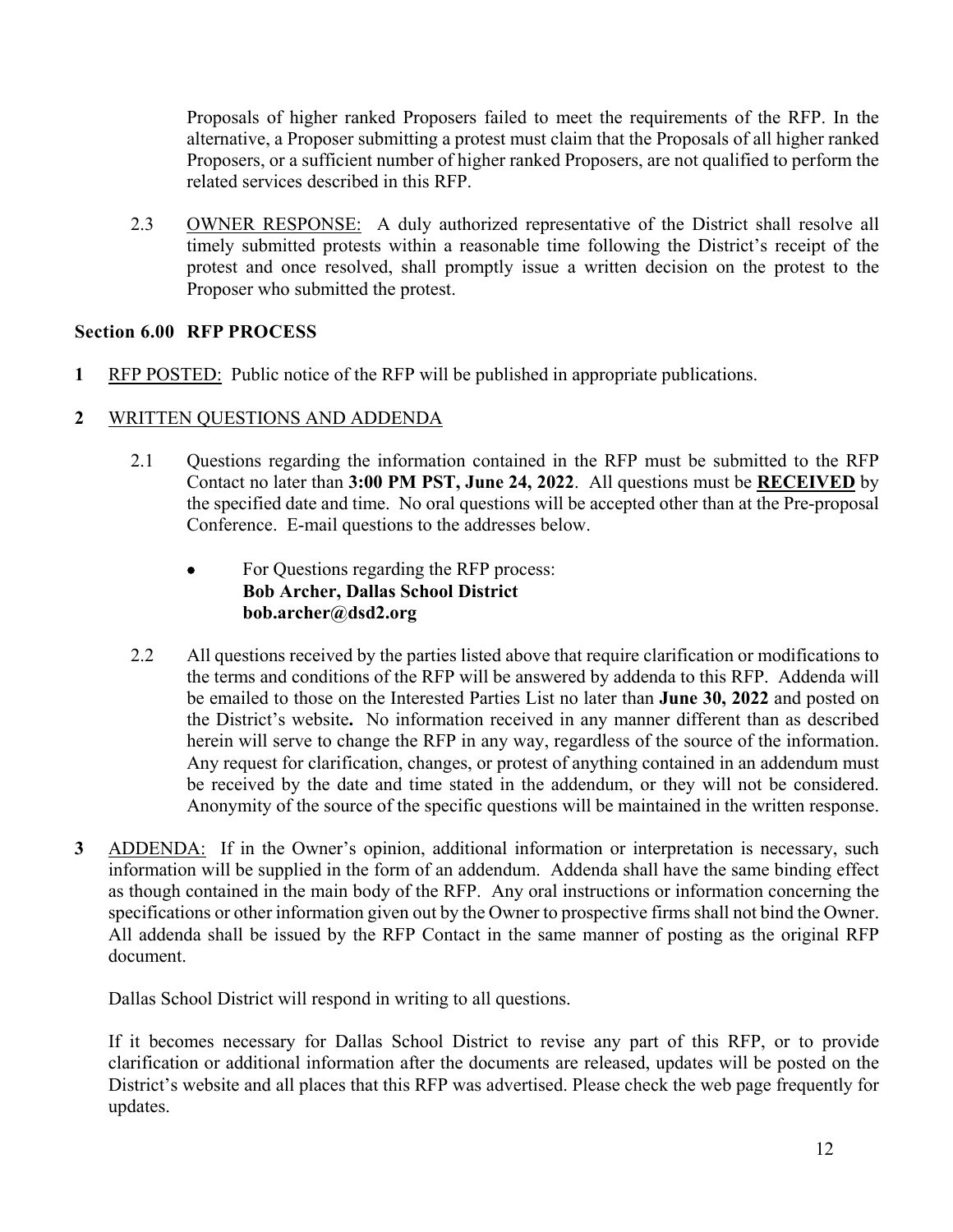Proposals of higher ranked Proposers failed to meet the requirements of the RFP. In the alternative, a Proposer submitting a protest must claim that the Proposals of all higher ranked Proposers, or a sufficient number of higher ranked Proposers, are not qualified to perform the related services described in this RFP.

2.3 OWNER RESPONSE: A duly authorized representative of the District shall resolve all timely submitted protests within a reasonable time following the District's receipt of the protest and once resolved, shall promptly issue a written decision on the protest to the Proposer who submitted the protest.

# **Section 6.00 RFP PROCESS**

**1** RFP POSTED: Public notice of the RFP will be published in appropriate publications.

# **2** WRITTEN QUESTIONS AND ADDENDA

- 2.1 Questions regarding the information contained in the RFP must be submitted to the RFP Contact no later than **3:00 PM PST, June 24, 2022**. All questions must be **RECEIVED** by the specified date and time. No oral questions will be accepted other than at the Pre-proposal Conference. E-mail questions to the addresses below.
	- For Questions regarding the RFP process: **Bob Archer, Dallas School District bob.archer@dsd2.org**
- 2.2 All questions received by the parties listed above that require clarification or modifications to the terms and conditions of the RFP will be answered by addenda to this RFP. Addenda will be emailed to those on the Interested Parties List no later than **June 30, 2022** and posted on the District's website**.** No information received in any manner different than as described herein will serve to change the RFP in any way, regardless of the source of the information. Any request for clarification, changes, or protest of anything contained in an addendum must be received by the date and time stated in the addendum, or they will not be considered. Anonymity of the source of the specific questions will be maintained in the written response.
- **3** ADDENDA: If in the Owner's opinion, additional information or interpretation is necessary, such information will be supplied in the form of an addendum. Addenda shall have the same binding effect as though contained in the main body of the RFP. Any oral instructions or information concerning the specifications or other information given out by the Owner to prospective firms shall not bind the Owner. All addenda shall be issued by the RFP Contact in the same manner of posting as the original RFP document.

Dallas School District will respond in writing to all questions.

If it becomes necessary for Dallas School District to revise any part of this RFP, or to provide clarification or additional information after the documents are released, updates will be posted on the District's website and all places that this RFP was advertised. Please check the web page frequently for updates.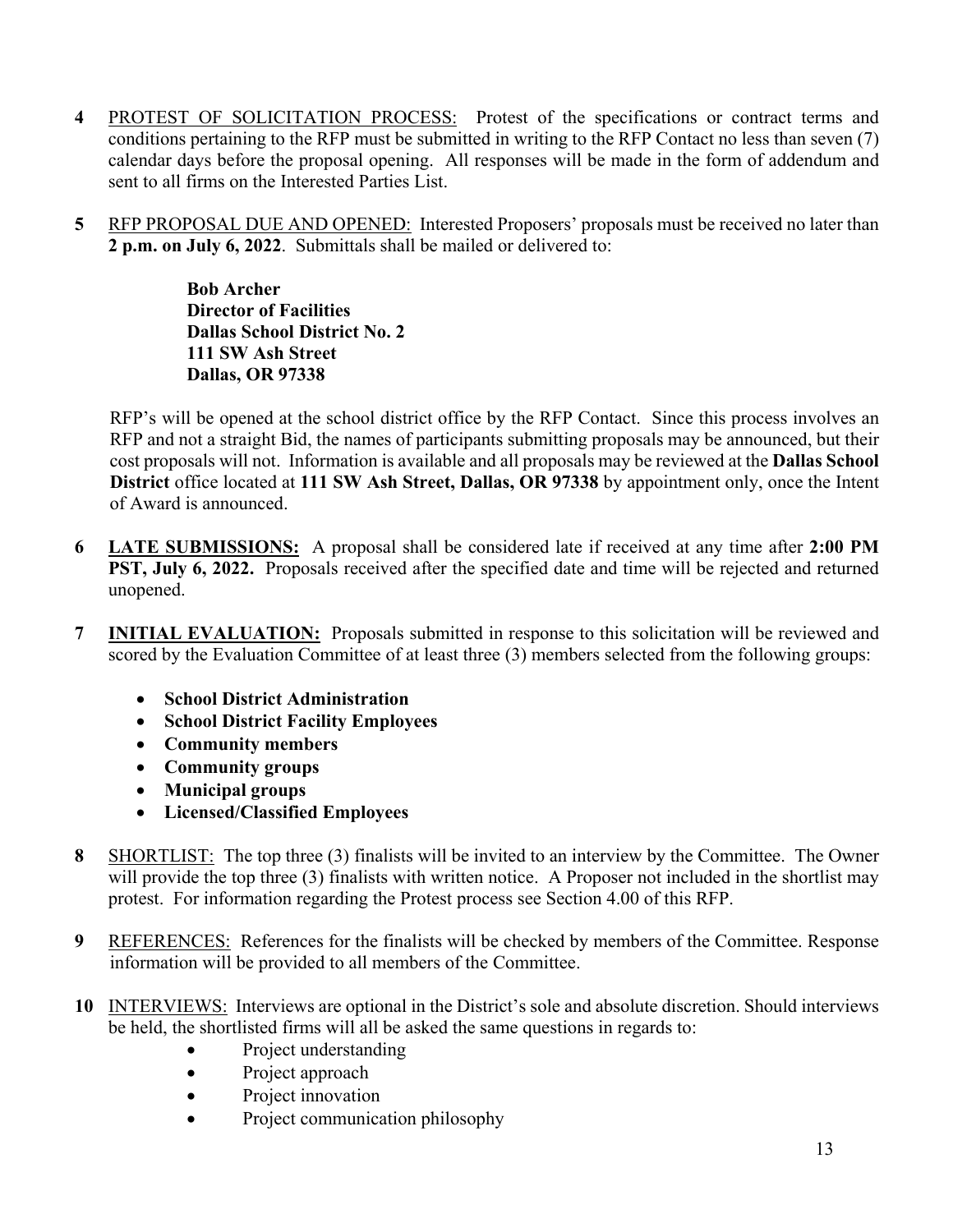- **4** PROTEST OF SOLICITATION PROCESS: Protest of the specifications or contract terms and conditions pertaining to the RFP must be submitted in writing to the RFP Contact no less than seven (7) calendar days before the proposal opening. All responses will be made in the form of addendum and sent to all firms on the Interested Parties List.
- **5** RFP PROPOSAL DUE AND OPENED: Interested Proposers' proposals must be received no later than **2 p.m. on July 6, 2022**. Submittals shall be mailed or delivered to:

**Bob Archer Director of Facilities Dallas School District No. 2 111 SW Ash Street Dallas, OR 97338** 

RFP's will be opened at the school district office by the RFP Contact. Since this process involves an RFP and not a straight Bid, the names of participants submitting proposals may be announced, but their cost proposals will not. Information is available and all proposals may be reviewed at the **Dallas School District** office located at **111 SW Ash Street, Dallas, OR 97338** by appointment only, once the Intent of Award is announced.

- **6 LATE SUBMISSIONS:** A proposal shall be considered late if received at any time after **2:00 PM PST, July 6, 2022.** Proposals received after the specified date and time will be rejected and returned unopened.
- **7 INITIAL EVALUATION:** Proposals submitted in response to this solicitation will be reviewed and scored by the Evaluation Committee of at least three (3) members selected from the following groups:
	- **School District Administration**
	- **School District Facility Employees**
	- **Community members**
	- **Community groups**
	- **Municipal groups**
	- **Licensed/Classified Employees**
- **8** SHORTLIST: The top three (3) finalists will be invited to an interview by the Committee. The Owner will provide the top three (3) finalists with written notice. A Proposer not included in the shortlist may protest. For information regarding the Protest process see Section 4.00 of this RFP.
- **9** REFERENCES: References for the finalists will be checked by members of the Committee. Response information will be provided to all members of the Committee.
- **10** INTERVIEWS: Interviews are optional in the District's sole and absolute discretion. Should interviews be held, the shortlisted firms will all be asked the same questions in regards to:
	- Project understanding
	- Project approach
	- Project innovation
	- Project communication philosophy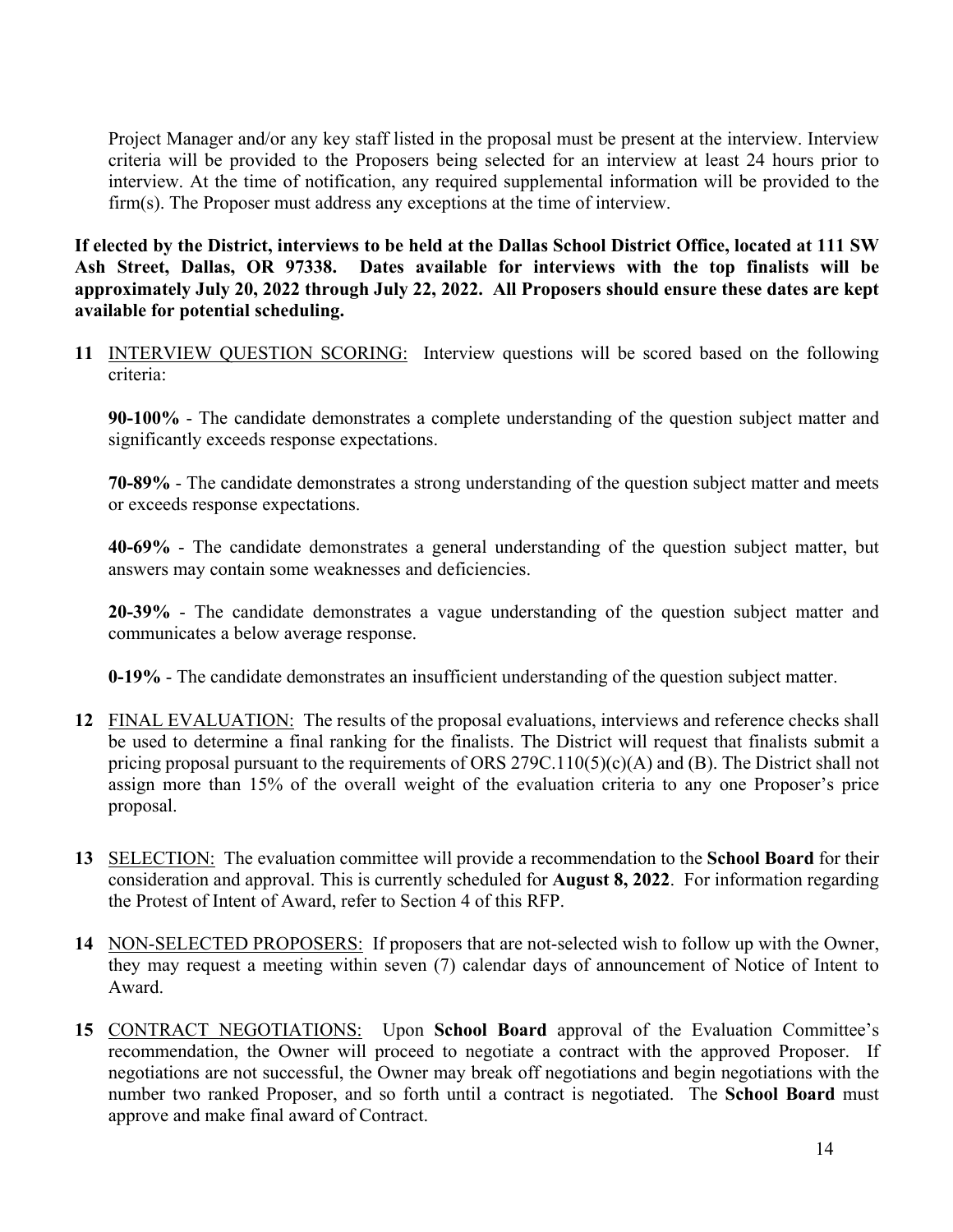Project Manager and/or any key staff listed in the proposal must be present at the interview. Interview criteria will be provided to the Proposers being selected for an interview at least 24 hours prior to interview. At the time of notification, any required supplemental information will be provided to the firm(s). The Proposer must address any exceptions at the time of interview.

**If elected by the District, interviews to be held at the Dallas School District Office, located at 111 SW Ash Street, Dallas, OR 97338. Dates available for interviews with the top finalists will be approximately July 20, 2022 through July 22, 2022. All Proposers should ensure these dates are kept available for potential scheduling.** 

**11** INTERVIEW QUESTION SCORING: Interview questions will be scored based on the following criteria:

**90-100%** - The candidate demonstrates a complete understanding of the question subject matter and significantly exceeds response expectations.

**70-89%** - The candidate demonstrates a strong understanding of the question subject matter and meets or exceeds response expectations.

**40-69%** - The candidate demonstrates a general understanding of the question subject matter, but answers may contain some weaknesses and deficiencies.

**20-39%** - The candidate demonstrates a vague understanding of the question subject matter and communicates a below average response.

**0-19%** - The candidate demonstrates an insufficient understanding of the question subject matter.

- **12** FINAL EVALUATION: The results of the proposal evaluations, interviews and reference checks shall be used to determine a final ranking for the finalists. The District will request that finalists submit a pricing proposal pursuant to the requirements of ORS 279C.110(5)(c)(A) and (B). The District shall not assign more than 15% of the overall weight of the evaluation criteria to any one Proposer's price proposal.
- **13** SELECTION: The evaluation committee will provide a recommendation to the **School Board** for their consideration and approval. This is currently scheduled for **August 8, 2022**. For information regarding the Protest of Intent of Award, refer to Section 4 of this RFP.
- **14** NON-SELECTED PROPOSERS: If proposers that are not-selected wish to follow up with the Owner, they may request a meeting within seven (7) calendar days of announcement of Notice of Intent to Award.
- **15** CONTRACT NEGOTIATIONS: Upon **School Board** approval of the Evaluation Committee's recommendation, the Owner will proceed to negotiate a contract with the approved Proposer. If negotiations are not successful, the Owner may break off negotiations and begin negotiations with the number two ranked Proposer, and so forth until a contract is negotiated. The **School Board** must approve and make final award of Contract.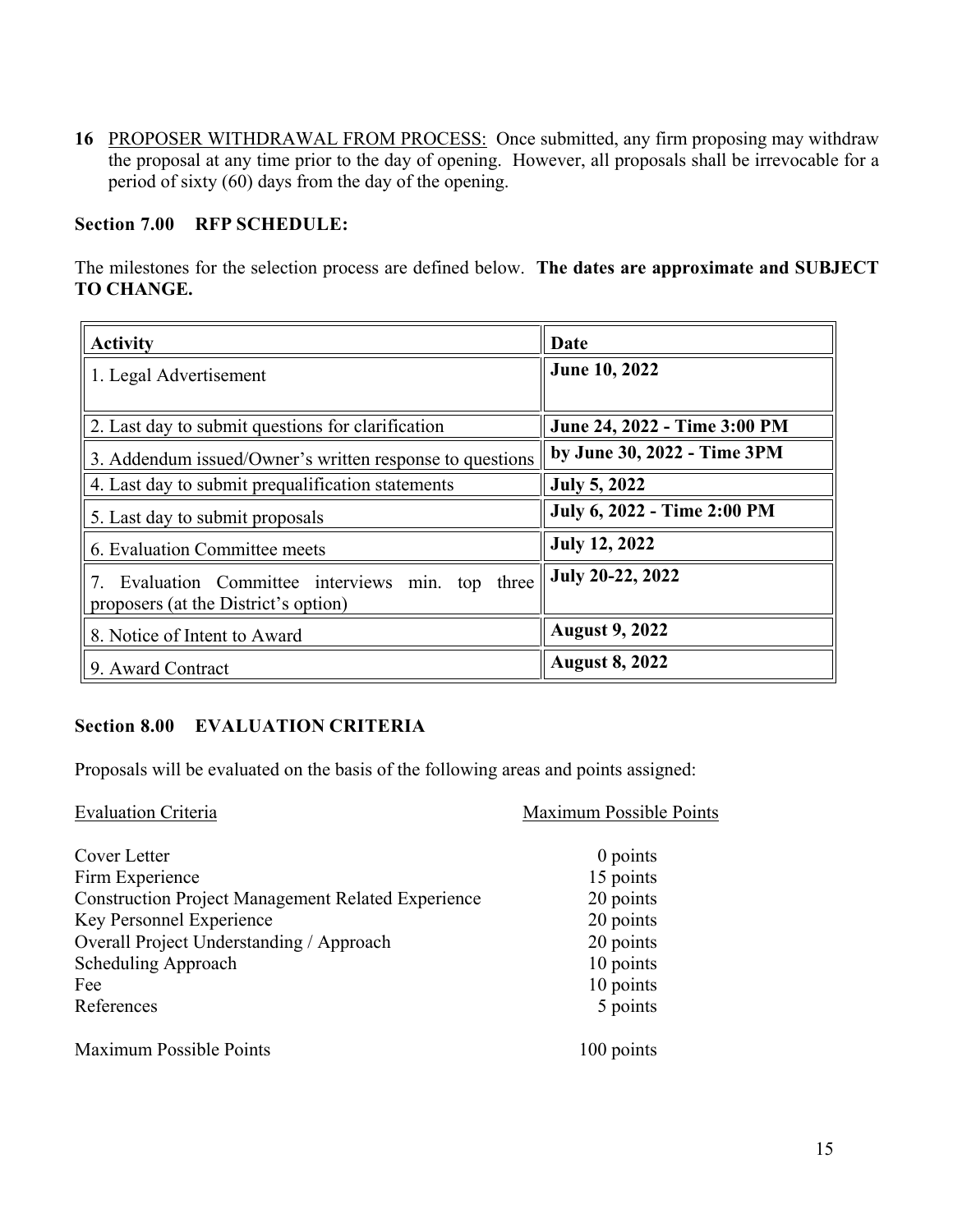**16** PROPOSER WITHDRAWAL FROM PROCESS: Once submitted, any firm proposing may withdraw the proposal at any time prior to the day of opening. However, all proposals shall be irrevocable for a period of sixty (60) days from the day of the opening.

## **Section 7.00 RFP SCHEDULE:**

The milestones for the selection process are defined below. **The dates are approximate and SUBJECT TO CHANGE.**

| <b>Activity</b>                                                                        | Date                         |
|----------------------------------------------------------------------------------------|------------------------------|
| 1. Legal Advertisement                                                                 | June 10, 2022                |
| 2. Last day to submit questions for clarification                                      | June 24, 2022 - Time 3:00 PM |
| 3. Addendum issued/Owner's written response to questions                               | by June 30, 2022 - Time 3PM  |
| 4. Last day to submit prequalification statements                                      | <b>July 5, 2022</b>          |
| 5. Last day to submit proposals                                                        | July 6, 2022 - Time 2:00 PM  |
| 6. Evaluation Committee meets                                                          | <b>July 12, 2022</b>         |
| Evaluation Committee interviews min. top three<br>proposers (at the District's option) | July 20-22, 2022             |
| 8. Notice of Intent to Award                                                           | <b>August 9, 2022</b>        |
| 9. Award Contract                                                                      | <b>August 8, 2022</b>        |

# **Section 8.00 EVALUATION CRITERIA**

Proposals will be evaluated on the basis of the following areas and points assigned:

| <b>Evaluation Criteria</b>                                | Maximum Possible Points |
|-----------------------------------------------------------|-------------------------|
| Cover Letter                                              | $0$ points              |
| Firm Experience                                           | 15 points               |
| <b>Construction Project Management Related Experience</b> | 20 points               |
| Key Personnel Experience                                  | 20 points               |
| Overall Project Understanding / Approach                  | 20 points               |
| Scheduling Approach                                       | 10 points               |
| Fee                                                       | 10 points               |
| References                                                | 5 points                |
| Maximum Possible Points                                   | 100 points              |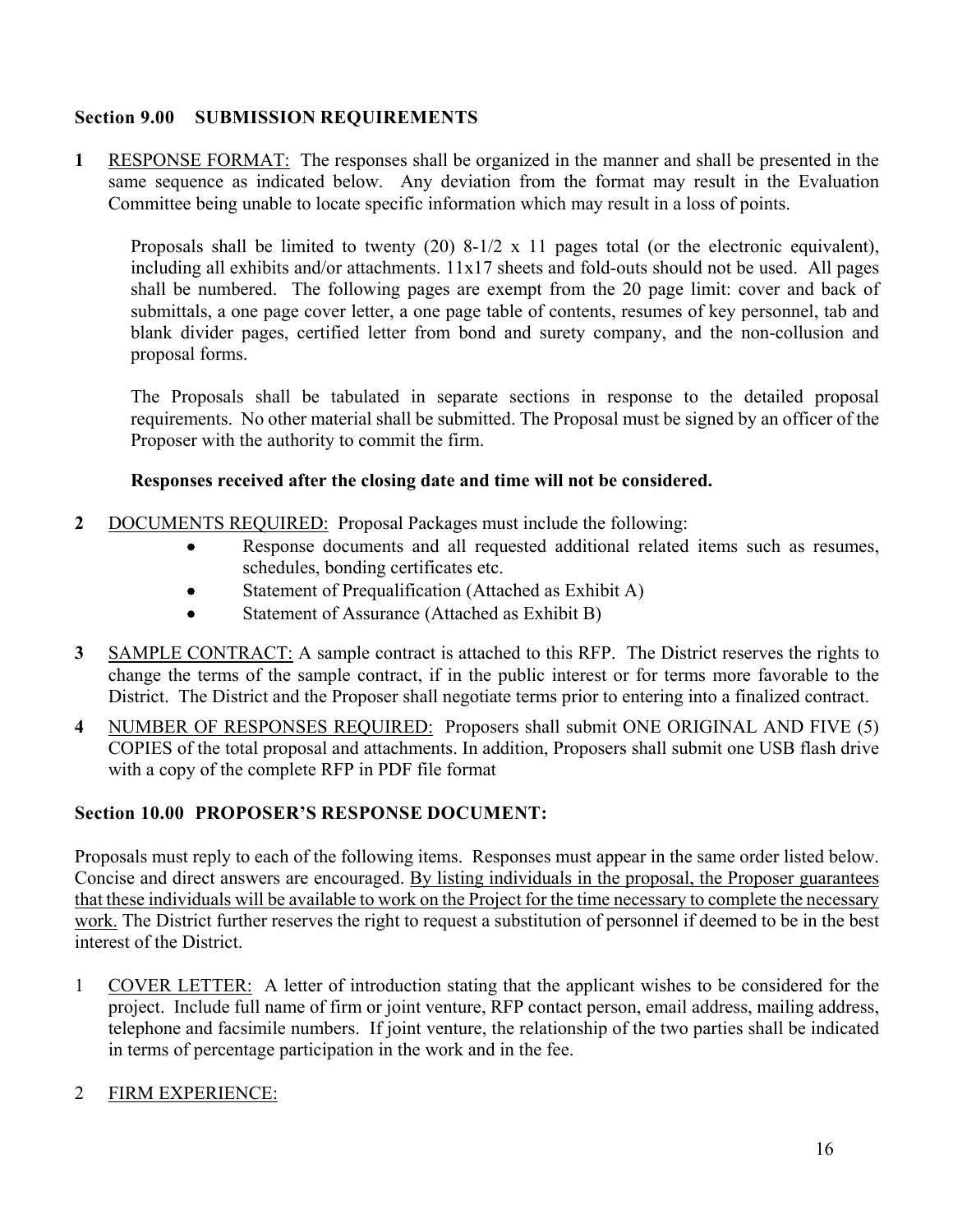# **Section 9.00 SUBMISSION REQUIREMENTS**

**1** RESPONSE FORMAT: The responses shall be organized in the manner and shall be presented in the same sequence as indicated below. Any deviation from the format may result in the Evaluation Committee being unable to locate specific information which may result in a loss of points.

Proposals shall be limited to twenty (20) 8-1/2 x 11 pages total (or the electronic equivalent), including all exhibits and/or attachments. 11x17 sheets and fold-outs should not be used. All pages shall be numbered. The following pages are exempt from the 20 page limit: cover and back of submittals, a one page cover letter, a one page table of contents, resumes of key personnel, tab and blank divider pages, certified letter from bond and surety company, and the non-collusion and proposal forms.

The Proposals shall be tabulated in separate sections in response to the detailed proposal requirements. No other material shall be submitted. The Proposal must be signed by an officer of the Proposer with the authority to commit the firm.

# **Responses received after the closing date and time will not be considered.**

- **2** DOCUMENTS REQUIRED: Proposal Packages must include the following:
	- Response documents and all requested additional related items such as resumes, schedules, bonding certificates etc.
	- Statement of Prequalification (Attached as Exhibit A)
	- Statement of Assurance (Attached as Exhibit B)
- **3** SAMPLE CONTRACT: A sample contract is attached to this RFP. The District reserves the rights to change the terms of the sample contract, if in the public interest or for terms more favorable to the District. The District and the Proposer shall negotiate terms prior to entering into a finalized contract.
- **4** NUMBER OF RESPONSES REQUIRED: Proposers shall submit ONE ORIGINAL AND FIVE (5) COPIES of the total proposal and attachments. In addition, Proposers shall submit one USB flash drive with a copy of the complete RFP in PDF file format

# **Section 10.00 PROPOSER'S RESPONSE DOCUMENT:**

Proposals must reply to each of the following items. Responses must appear in the same order listed below. Concise and direct answers are encouraged. By listing individuals in the proposal, the Proposer guarantees that these individuals will be available to work on the Project for the time necessary to complete the necessary work. The District further reserves the right to request a substitution of personnel if deemed to be in the best interest of the District.

1 COVER LETTER: A letter of introduction stating that the applicant wishes to be considered for the project. Include full name of firm or joint venture, RFP contact person, email address, mailing address, telephone and facsimile numbers. If joint venture, the relationship of the two parties shall be indicated in terms of percentage participation in the work and in the fee.

# 2 FIRM EXPERIENCE: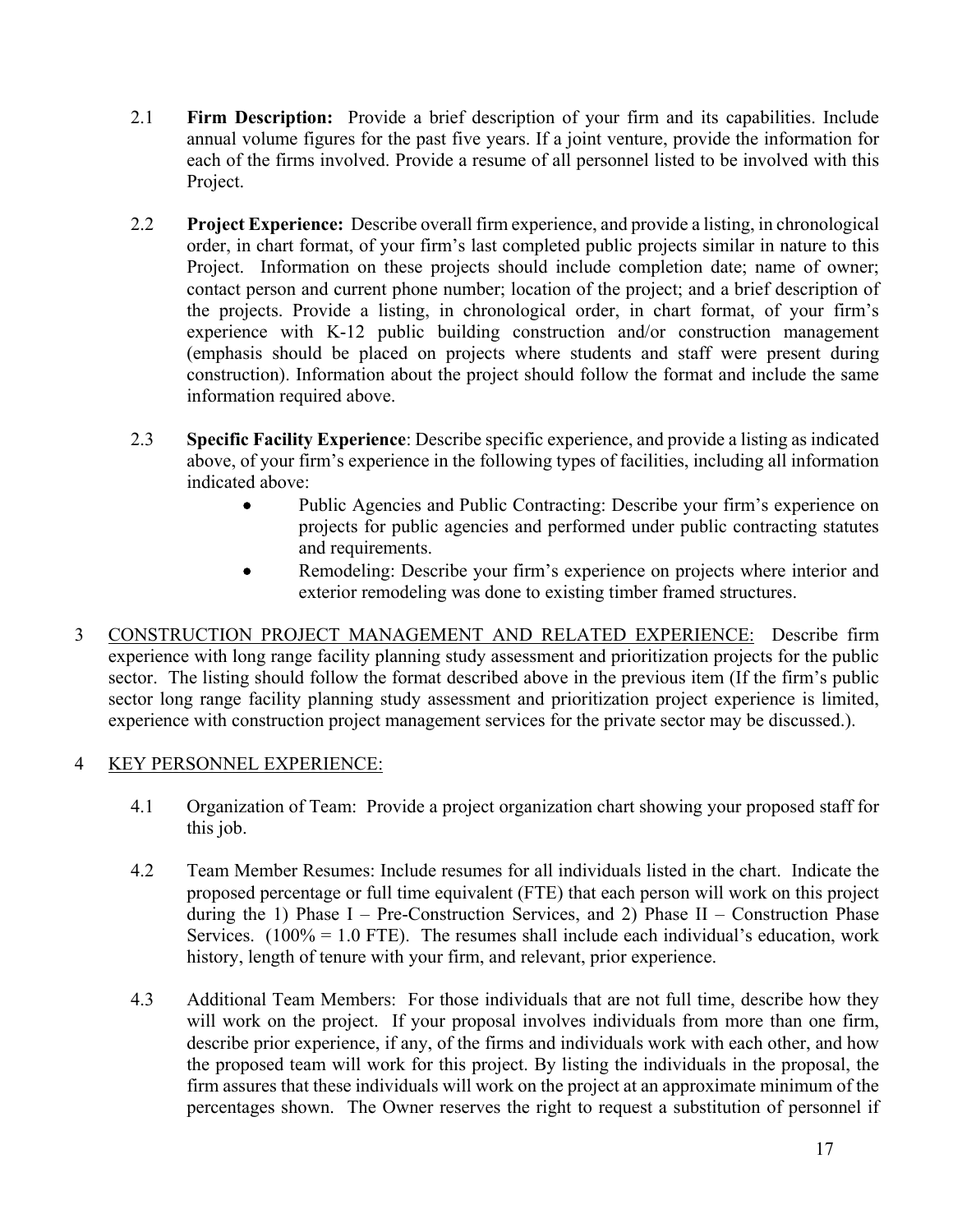- 2.1 **Firm Description:** Provide a brief description of your firm and its capabilities. Include annual volume figures for the past five years. If a joint venture, provide the information for each of the firms involved. Provide a resume of all personnel listed to be involved with this Project.
- 2.2 **Project Experience:** Describe overall firm experience, and provide a listing, in chronological order, in chart format, of your firm's last completed public projects similar in nature to this Project. Information on these projects should include completion date; name of owner; contact person and current phone number; location of the project; and a brief description of the projects. Provide a listing, in chronological order, in chart format, of your firm's experience with K-12 public building construction and/or construction management (emphasis should be placed on projects where students and staff were present during construction). Information about the project should follow the format and include the same information required above.
- 2.3 **Specific Facility Experience**: Describe specific experience, and provide a listing as indicated above, of your firm's experience in the following types of facilities, including all information indicated above:
	- Public Agencies and Public Contracting: Describe your firm's experience on projects for public agencies and performed under public contracting statutes and requirements.
	- Remodeling: Describe your firm's experience on projects where interior and exterior remodeling was done to existing timber framed structures.
- 3 CONSTRUCTION PROJECT MANAGEMENT AND RELATED EXPERIENCE: Describe firm experience with long range facility planning study assessment and prioritization projects for the public sector. The listing should follow the format described above in the previous item (If the firm's public sector long range facility planning study assessment and prioritization project experience is limited, experience with construction project management services for the private sector may be discussed.).

# 4 KEY PERSONNEL EXPERIENCE:

- 4.1 Organization of Team: Provide a project organization chart showing your proposed staff for this job.
- 4.2 Team Member Resumes: Include resumes for all individuals listed in the chart. Indicate the proposed percentage or full time equivalent (FTE) that each person will work on this project during the 1) Phase  $I - Pre-Construction$  Services, and 2) Phase  $II - Construction$  Phase Services.  $(100\% = 1.0$  FTE). The resumes shall include each individual's education, work history, length of tenure with your firm, and relevant, prior experience.
- 4.3 Additional Team Members: For those individuals that are not full time, describe how they will work on the project. If your proposal involves individuals from more than one firm, describe prior experience, if any, of the firms and individuals work with each other, and how the proposed team will work for this project. By listing the individuals in the proposal, the firm assures that these individuals will work on the project at an approximate minimum of the percentages shown. The Owner reserves the right to request a substitution of personnel if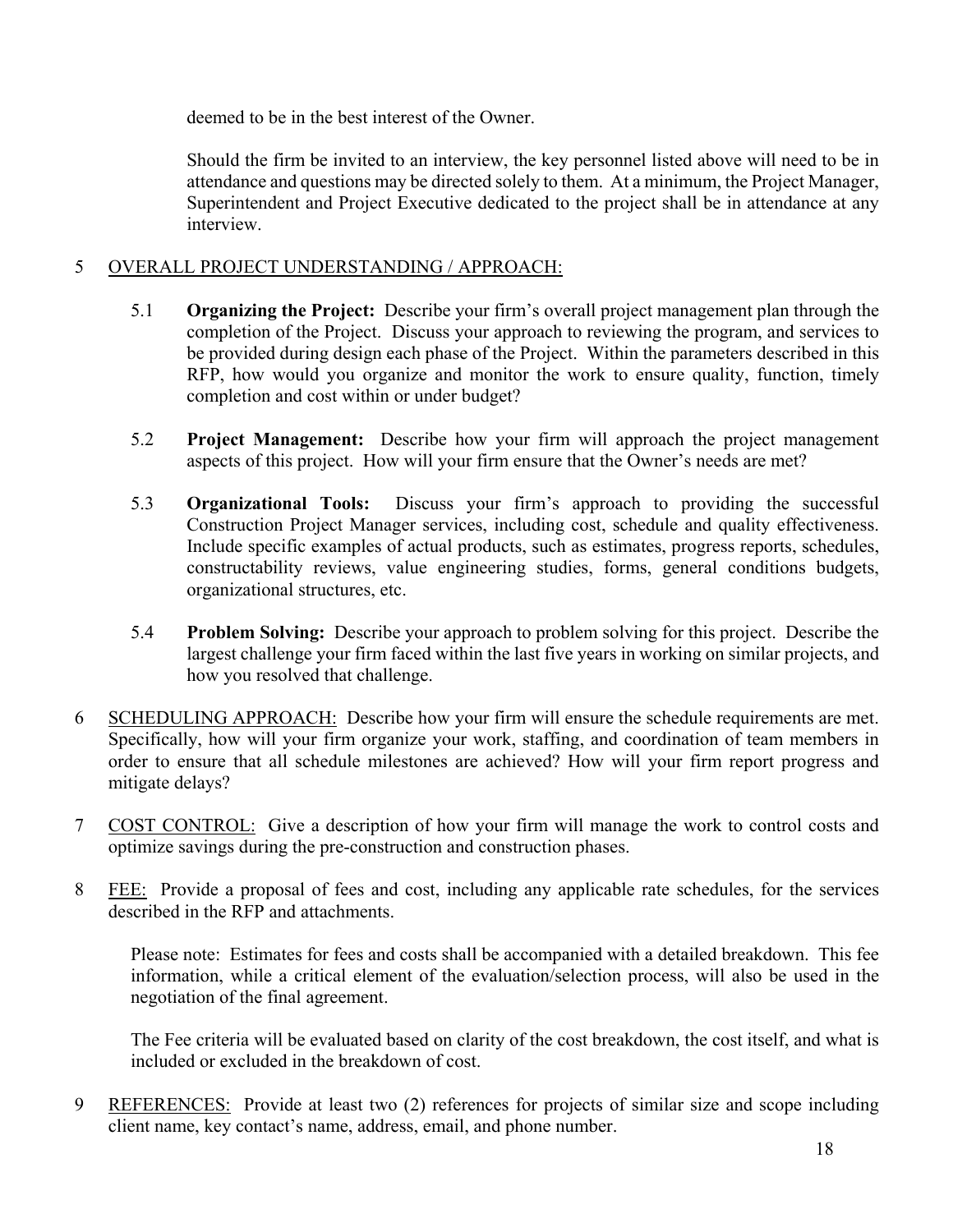deemed to be in the best interest of the Owner.

Should the firm be invited to an interview, the key personnel listed above will need to be in attendance and questions may be directed solely to them. At a minimum, the Project Manager, Superintendent and Project Executive dedicated to the project shall be in attendance at any interview.

# 5 OVERALL PROJECT UNDERSTANDING / APPROACH:

- 5.1 **Organizing the Project:** Describe your firm's overall project management plan through the completion of the Project. Discuss your approach to reviewing the program, and services to be provided during design each phase of the Project. Within the parameters described in this RFP, how would you organize and monitor the work to ensure quality, function, timely completion and cost within or under budget?
- 5.2 **Project Management:** Describe how your firm will approach the project management aspects of this project. How will your firm ensure that the Owner's needs are met?
- 5.3 **Organizational Tools:** Discuss your firm's approach to providing the successful Construction Project Manager services, including cost, schedule and quality effectiveness. Include specific examples of actual products, such as estimates, progress reports, schedules, constructability reviews, value engineering studies, forms, general conditions budgets, organizational structures, etc.
- 5.4 **Problem Solving:** Describe your approach to problem solving for this project. Describe the largest challenge your firm faced within the last five years in working on similar projects, and how you resolved that challenge.
- 6 SCHEDULING APPROACH: Describe how your firm will ensure the schedule requirements are met. Specifically, how will your firm organize your work, staffing, and coordination of team members in order to ensure that all schedule milestones are achieved? How will your firm report progress and mitigate delays?
- 7 COST CONTROL: Give a description of how your firm will manage the work to control costs and optimize savings during the pre-construction and construction phases.
- 8 FEE: Provide a proposal of fees and cost, including any applicable rate schedules, for the services described in the RFP and attachments.

Please note: Estimates for fees and costs shall be accompanied with a detailed breakdown. This fee information, while a critical element of the evaluation/selection process, will also be used in the negotiation of the final agreement.

The Fee criteria will be evaluated based on clarity of the cost breakdown, the cost itself, and what is included or excluded in the breakdown of cost.

9 REFERENCES: Provide at least two (2) references for projects of similar size and scope including client name, key contact's name, address, email, and phone number.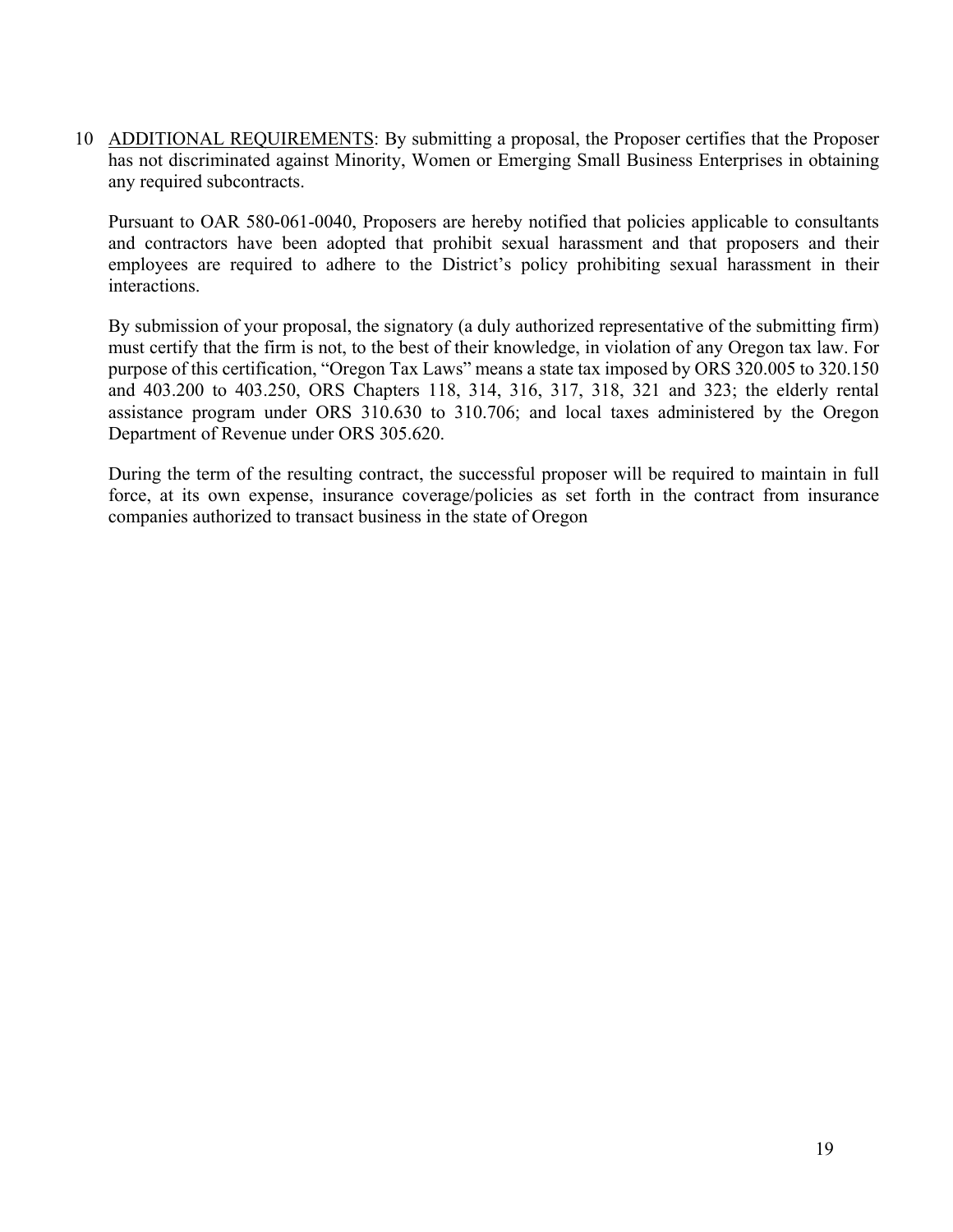10 ADDITIONAL REQUIREMENTS: By submitting a proposal, the Proposer certifies that the Proposer has not discriminated against Minority, Women or Emerging Small Business Enterprises in obtaining any required subcontracts.

Pursuant to OAR 580-061-0040, Proposers are hereby notified that policies applicable to consultants and contractors have been adopted that prohibit sexual harassment and that proposers and their employees are required to adhere to the District's policy prohibiting sexual harassment in their interactions.

By submission of your proposal, the signatory (a duly authorized representative of the submitting firm) must certify that the firm is not, to the best of their knowledge, in violation of any Oregon tax law. For purpose of this certification, "Oregon Tax Laws" means a state tax imposed by ORS 320.005 to 320.150 and 403.200 to 403.250, ORS Chapters 118, 314, 316, 317, 318, 321 and 323; the elderly rental assistance program under ORS 310.630 to 310.706; and local taxes administered by the Oregon Department of Revenue under ORS 305.620.

During the term of the resulting contract, the successful proposer will be required to maintain in full force, at its own expense, insurance coverage/policies as set forth in the contract from insurance companies authorized to transact business in the state of Oregon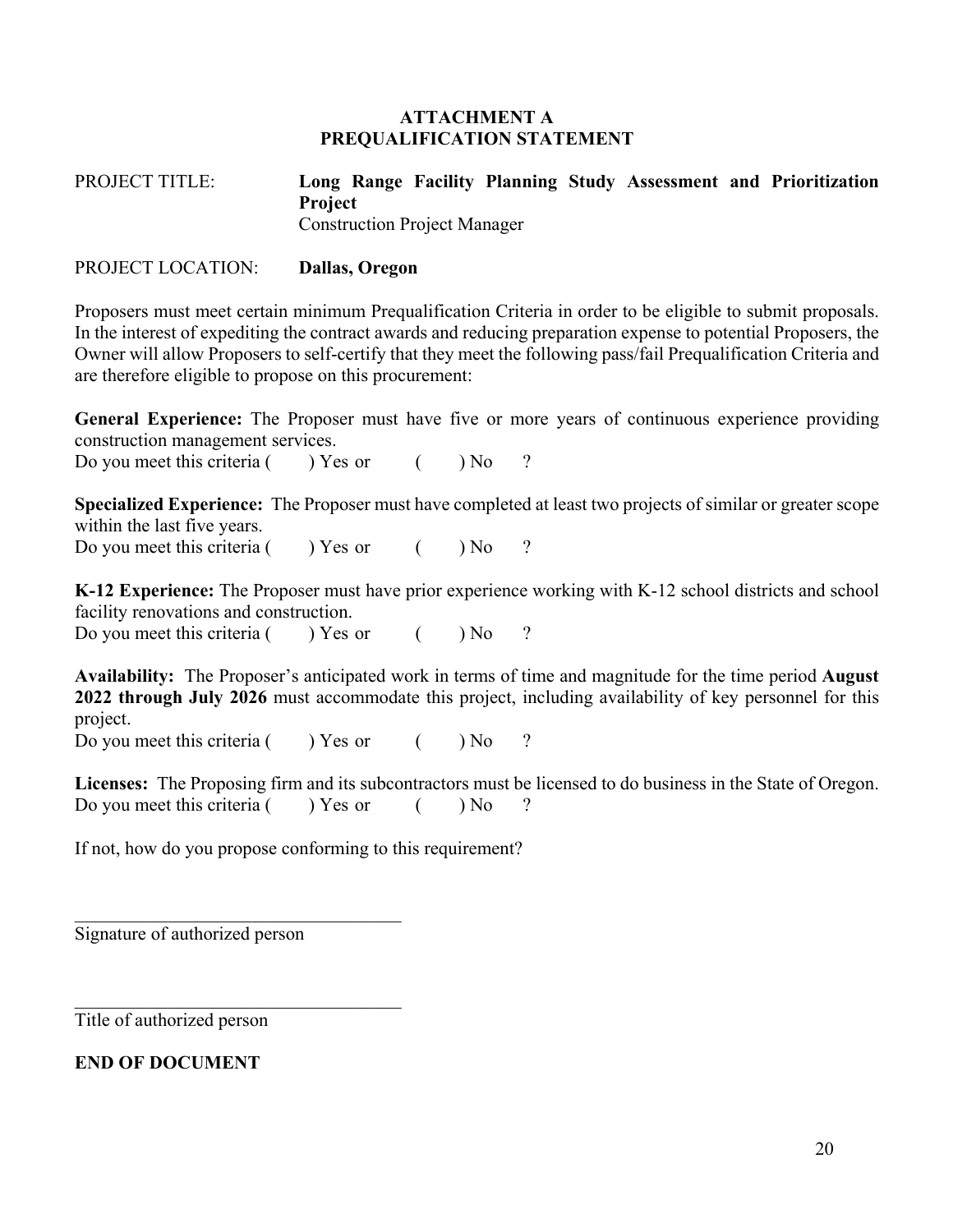### **ATTACHMENT A PREQUALIFICATION STATEMENT**

PROJECT TITLE: **Long Range Facility Planning Study Assessment and Prioritization Project** Construction Project Manager

## PROJECT LOCATION: **Dallas, Oregon**

Proposers must meet certain minimum Prequalification Criteria in order to be eligible to submit proposals. In the interest of expediting the contract awards and reducing preparation expense to potential Proposers, the Owner will allow Proposers to self-certify that they meet the following pass/fail Prequalification Criteria and are therefore eligible to propose on this procurement:

**General Experience:** The Proposer must have five or more years of continuous experience providing construction management services.

Do you meet this criteria  $($  ) Yes or  $($   $)$  No ?

**Specialized Experience:** The Proposer must have completed at least two projects of similar or greater scope within the last five years.

Do you meet this criteria ( ) Yes or ( ) No ?

**K-12 Experience:** The Proposer must have prior experience working with K-12 school districts and school facility renovations and construction. Do you meet this criteria  $($  ) Yes or  $($  ) No ?

**Availability:** The Proposer's anticipated work in terms of time and magnitude for the time period **August 2022 through July 2026** must accommodate this project, including availability of key personnel for this project.

Do you meet this criteria ( ) Yes or ( ) No ?

**Licenses:** The Proposing firm and its subcontractors must be licensed to do business in the State of Oregon. Do you meet this criteria  $($  ) Yes or  $($   $)$  No ?

If not, how do you propose conforming to this requirement?

Signature of authorized person

 $\mathcal{L}_\text{max}$  and  $\mathcal{L}_\text{max}$  and  $\mathcal{L}_\text{max}$  and  $\mathcal{L}_\text{max}$ 

Title of authorized person

**END OF DOCUMENT**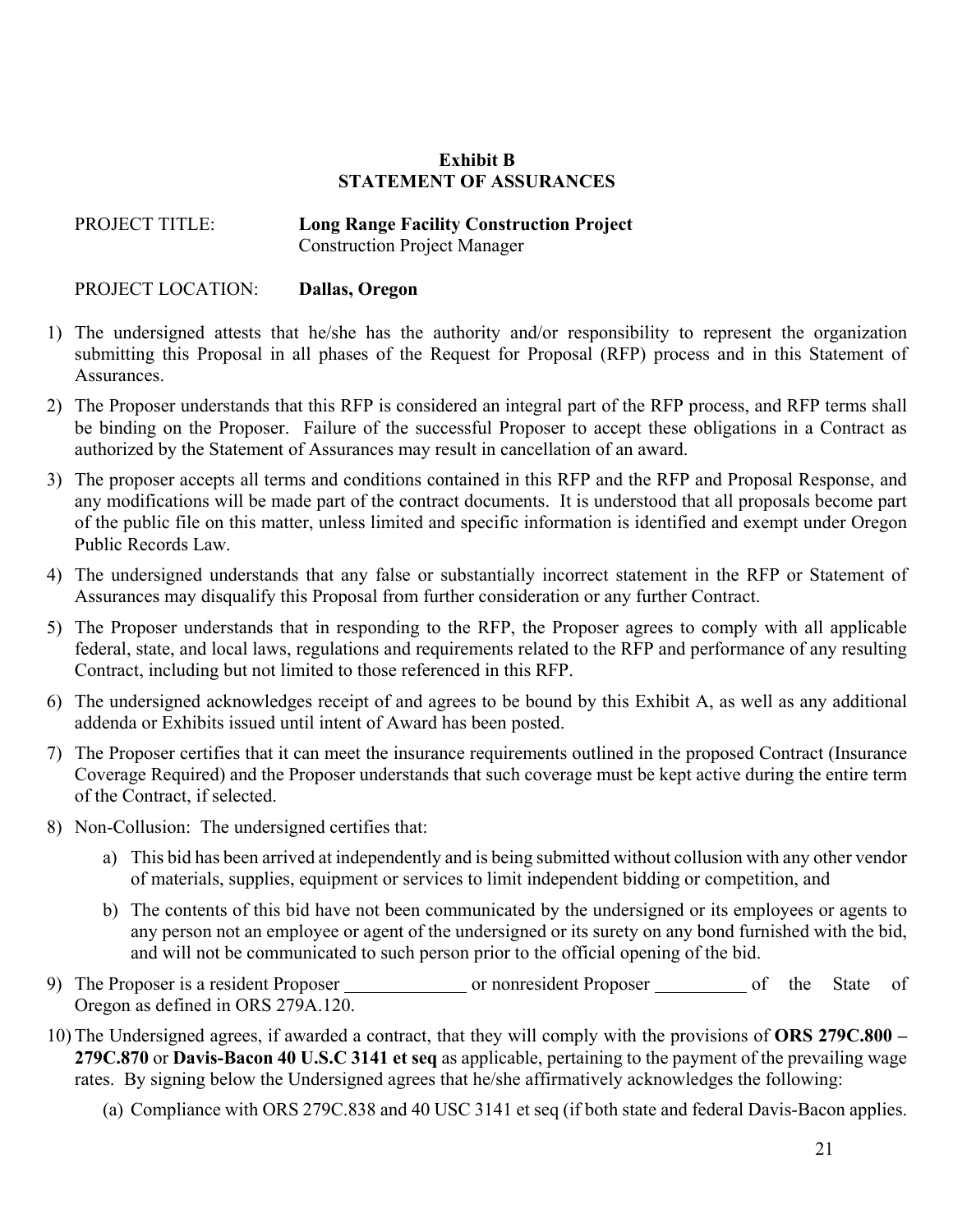# **Exhibit B STATEMENT OF ASSURANCES**

PROJECT TITLE: **Long Range Facility Construction Project** Construction Project Manager

PROJECT LOCATION: **Dallas, Oregon**

- 1) The undersigned attests that he/she has the authority and/or responsibility to represent the organization submitting this Proposal in all phases of the Request for Proposal (RFP) process and in this Statement of Assurances.
- 2) The Proposer understands that this RFP is considered an integral part of the RFP process, and RFP terms shall be binding on the Proposer. Failure of the successful Proposer to accept these obligations in a Contract as authorized by the Statement of Assurances may result in cancellation of an award.
- 3) The proposer accepts all terms and conditions contained in this RFP and the RFP and Proposal Response, and any modifications will be made part of the contract documents. It is understood that all proposals become part of the public file on this matter, unless limited and specific information is identified and exempt under Oregon Public Records Law.
- 4) The undersigned understands that any false or substantially incorrect statement in the RFP or Statement of Assurances may disqualify this Proposal from further consideration or any further Contract.
- 5) The Proposer understands that in responding to the RFP, the Proposer agrees to comply with all applicable federal, state, and local laws, regulations and requirements related to the RFP and performance of any resulting Contract, including but not limited to those referenced in this RFP.
- 6) The undersigned acknowledges receipt of and agrees to be bound by this Exhibit A, as well as any additional addenda or Exhibits issued until intent of Award has been posted.
- 7) The Proposer certifies that it can meet the insurance requirements outlined in the proposed Contract (Insurance Coverage Required) and the Proposer understands that such coverage must be kept active during the entire term of the Contract, if selected.
- 8) Non-Collusion: The undersigned certifies that:
	- a) This bid has been arrived at independently and is being submitted without collusion with any other vendor of materials, supplies, equipment or services to limit independent bidding or competition, and
	- b) The contents of this bid have not been communicated by the undersigned or its employees or agents to any person not an employee or agent of the undersigned or its surety on any bond furnished with the bid, and will not be communicated to such person prior to the official opening of the bid.
- 9) The Proposer is a resident Proposer or nonresident Proposer of the State of Oregon as defined in ORS 279A.120.
- 10) The Undersigned agrees, if awarded a contract, that they will comply with the provisions of **ORS 279C.800 279C.870** or **Davis-Bacon 40 U.S.C 3141 et seq** as applicable, pertaining to the payment of the prevailing wage rates. By signing below the Undersigned agrees that he/she affirmatively acknowledges the following:
	- (a) Compliance with ORS 279C.838 and 40 USC 3141 et seq (if both state and federal Davis-Bacon applies.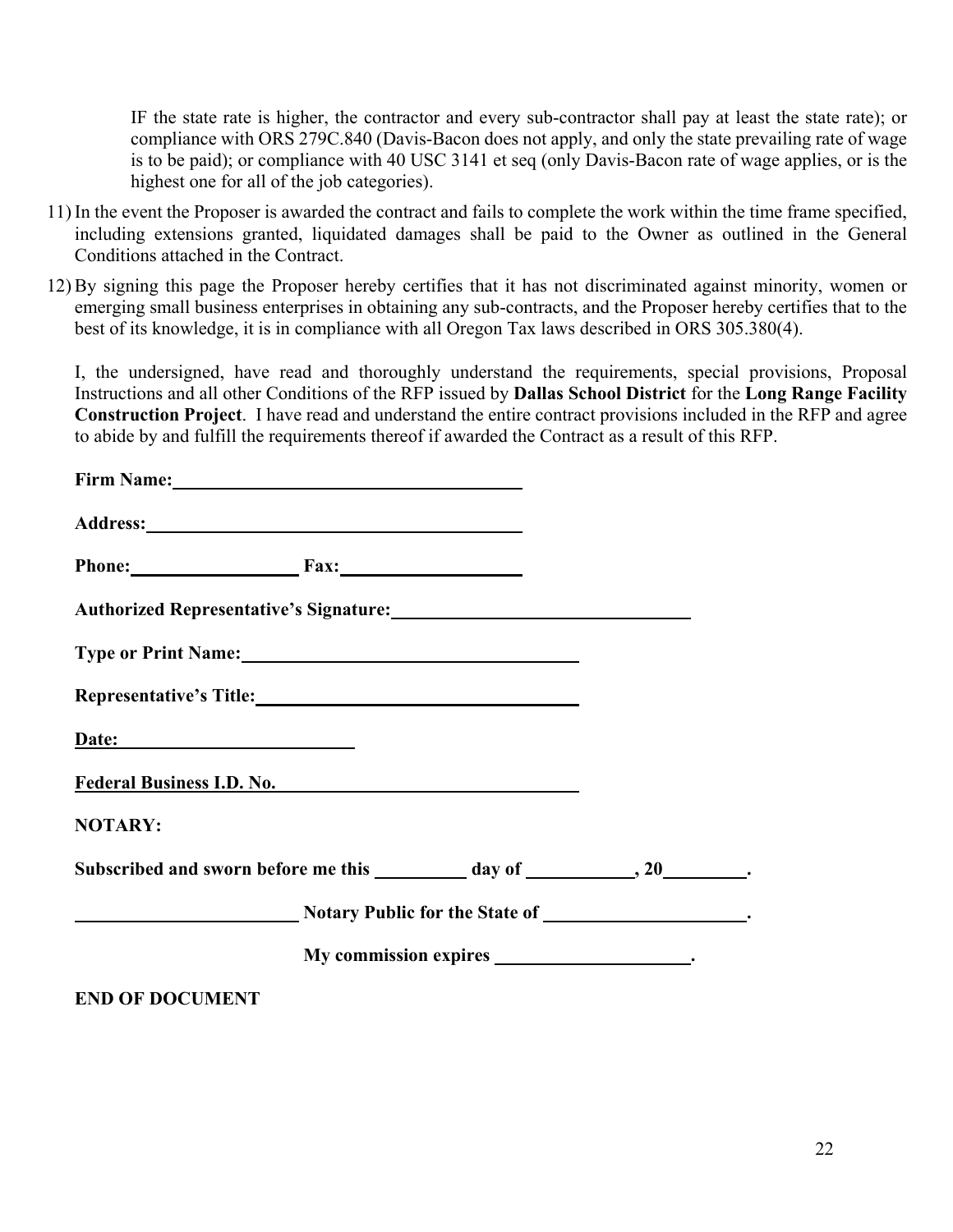IF the state rate is higher, the contractor and every sub-contractor shall pay at least the state rate); or compliance with ORS 279C.840 (Davis-Bacon does not apply, and only the state prevailing rate of wage is to be paid); or compliance with 40 USC 3141 et seq (only Davis-Bacon rate of wage applies, or is the highest one for all of the job categories).

- 11) In the event the Proposer is awarded the contract and fails to complete the work within the time frame specified, including extensions granted, liquidated damages shall be paid to the Owner as outlined in the General Conditions attached in the Contract.
- 12) By signing this page the Proposer hereby certifies that it has not discriminated against minority, women or emerging small business enterprises in obtaining any sub-contracts, and the Proposer hereby certifies that to the best of its knowledge, it is in compliance with all Oregon Tax laws described in ORS 305.380(4).

I, the undersigned, have read and thoroughly understand the requirements, special provisions, Proposal Instructions and all other Conditions of the RFP issued by **Dallas School District** for the **Long Range Facility Construction Project**. I have read and understand the entire contract provisions included in the RFP and agree to abide by and fulfill the requirements thereof if awarded the Contract as a result of this RFP.

|                        | Address: No. 1996. The Second Second Second Second Second Second Second Second Second Second Second Second Second Second Second Second Second Second Second Second Second Second Second Second Second Second Second Second Sec |  |
|------------------------|--------------------------------------------------------------------------------------------------------------------------------------------------------------------------------------------------------------------------------|--|
|                        | Phone: Fax: Fax:                                                                                                                                                                                                               |  |
|                        | Authorized Representative's Signature:                                                                                                                                                                                         |  |
|                        | Type or Print Name: 1988                                                                                                                                                                                                       |  |
|                        | Representative's Title: Manual Manual Manual Manual Manual Manual Manual Manual Manual Manual Manual Manual Ma                                                                                                                 |  |
|                        | Date:                                                                                                                                                                                                                          |  |
|                        | Federal Business I.D. No.                                                                                                                                                                                                      |  |
| <b>NOTARY:</b>         |                                                                                                                                                                                                                                |  |
|                        | Subscribed and sworn before me this _________ day of ________________.                                                                                                                                                         |  |
|                        | Notary Public for the State of _____________________.                                                                                                                                                                          |  |
|                        |                                                                                                                                                                                                                                |  |
| <b>END OF DOCUMENT</b> |                                                                                                                                                                                                                                |  |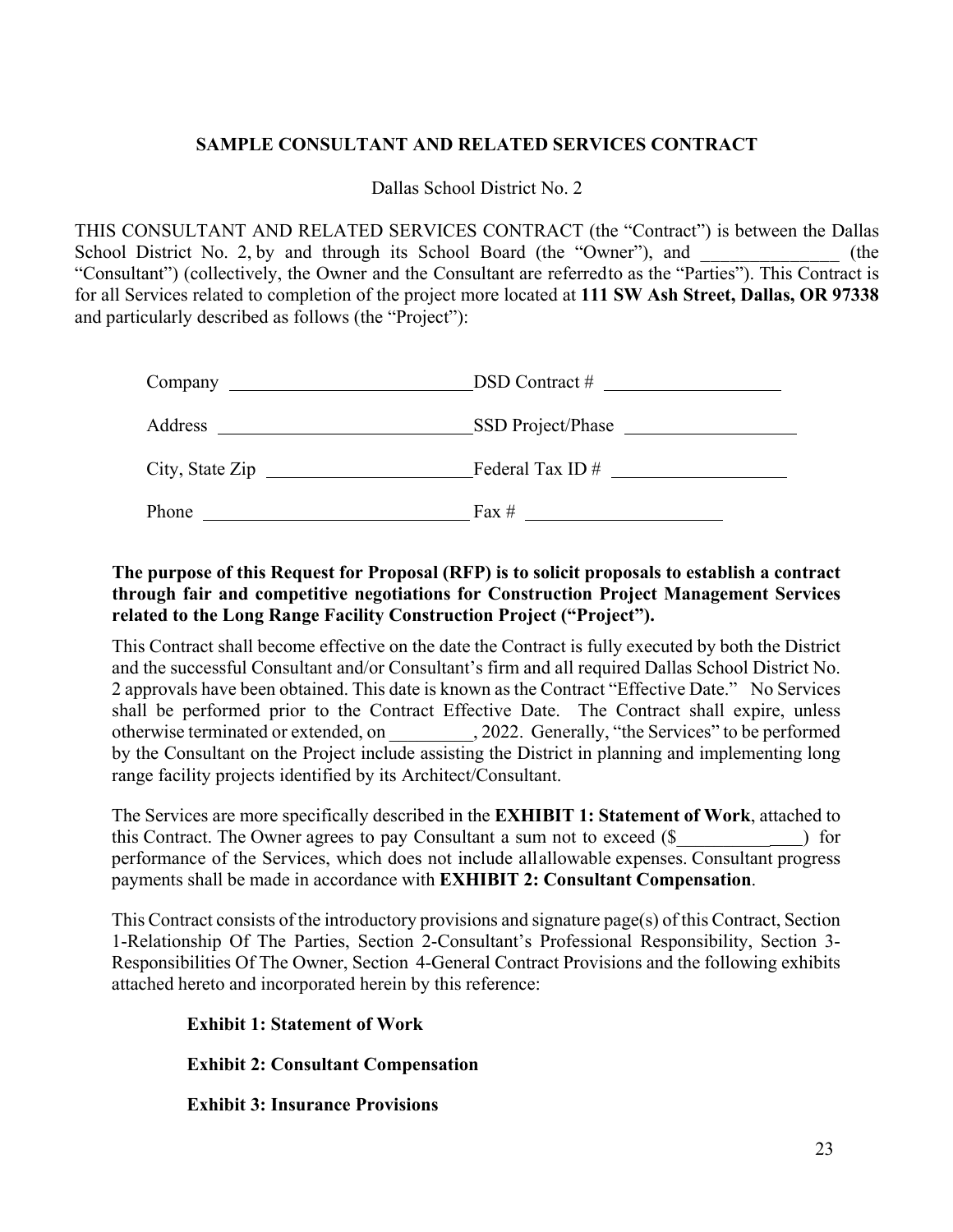# **SAMPLE CONSULTANT AND RELATED SERVICES CONTRACT**

Dallas School District No. 2

THIS CONSULTANT AND RELATED SERVICES CONTRACT (the "Contract") is between the Dallas School District No. 2, by and through its School Board (the "Owner"), and  $(the$ "Consultant") (collectively, the Owner and the Consultant are referredto as the "Parties"). This Contract is for all Services related to completion of the project more located at **111 SW Ash Street, Dallas, OR 97338**  and particularly described as follows (the "Project"):

|                 | $DSD$ Contract #  |
|-----------------|-------------------|
| Address         | SSD Project/Phase |
| City, State Zip | Federal Tax ID#   |
| Phone           | Fax $#$           |

# **The purpose of this Request for Proposal (RFP) is to solicit proposals to establish a contract through fair and competitive negotiations for Construction Project Management Services related to the Long Range Facility Construction Project ("Project").**

This Contract shall become effective on the date the Contract is fully executed by both the District and the successful Consultant and/or Consultant's firm and all required Dallas School District No. 2 approvals have been obtained. This date is known as the Contract "Effective Date." No Services shall be performed prior to the Contract Effective Date. The Contract shall expire, unless otherwise terminated or extended, on \_\_\_\_\_\_\_\_\_, 2022. Generally, "the Services" to be performed by the Consultant on the Project include assisting the District in planning and implementing long range facility projects identified by its Architect/Consultant.

The Services are more specifically described in the **EXHIBIT 1: Statement of Work**, attached to this Contract. The Owner agrees to pay Consultant a sum not to exceed (\$\_\_\_\_\_\_\_\_\_\_ ) for performance of the Services, which does not include allallowable expenses. Consultant progress payments shall be made in accordance with **EXHIBIT 2: Consultant Compensation**.

This Contract consists of the introductory provisions and signature page(s) of this Contract, Section 1-Relationship Of The Parties, Section 2-Consultant's Professional Responsibility, Section 3- Responsibilities Of The Owner, Section 4-General Contract Provisions and the following exhibits attached hereto and incorporated herein by this reference:

 **Exhibit 1: Statement of Work**

 **Exhibit 2: Consultant Compensation**

 **Exhibit 3: Insurance Provisions**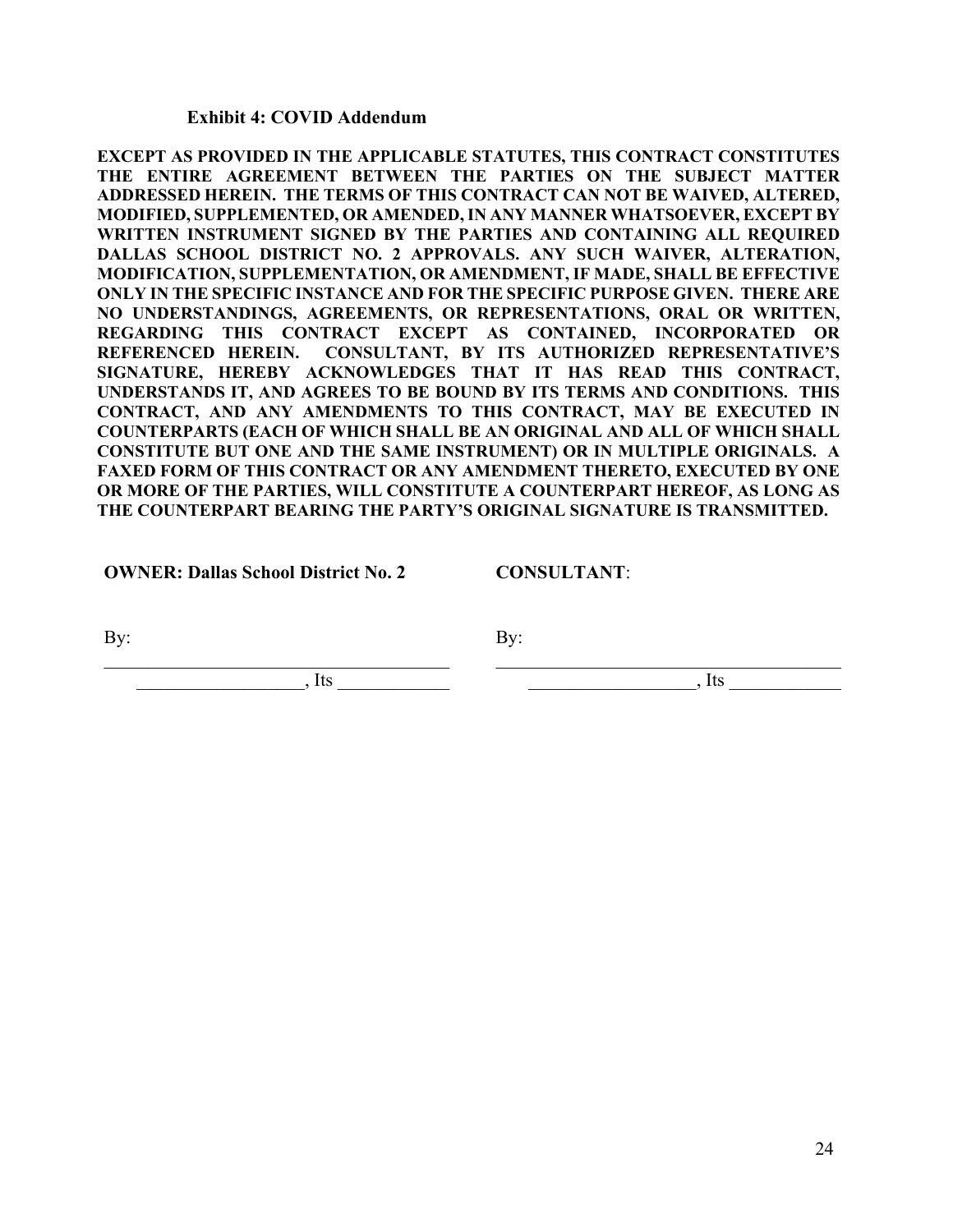### **Exhibit 4: COVID Addendum**

**EXCEPT AS PROVIDED IN THE APPLICABLE STATUTES, THIS CONTRACT CONSTITUTES THE ENTIRE AGREEMENT BETWEEN THE PARTIES ON THE SUBJECT MATTER ADDRESSED HEREIN. THE TERMS OF THIS CONTRACT CAN NOT BE WAIVED, ALTERED, MODIFIED, SUPPLEMENTED, OR AMENDED, IN ANY MANNER WHATSOEVER, EXCEPT BY WRITTEN INSTRUMENT SIGNED BY THE PARTIES AND CONTAINING ALL REQUIRED DALLAS SCHOOL DISTRICT NO. 2 APPROVALS. ANY SUCH WAIVER, ALTERATION, MODIFICATION, SUPPLEMENTATION, OR AMENDMENT, IF MADE, SHALL BE EFFECTIVE ONLY IN THE SPECIFIC INSTANCE AND FOR THE SPECIFIC PURPOSE GIVEN. THERE ARE NO UNDERSTANDINGS, AGREEMENTS, OR REPRESENTATIONS, ORAL OR WRITTEN, REGARDING THIS CONTRACT EXCEPT AS CONTAINED, INCORPORATED OR REFERENCED HEREIN. CONSULTANT, BY ITS AUTHORIZED REPRESENTATIVE'S SIGNATURE, HEREBY ACKNOWLEDGES THAT IT HAS READ THIS CONTRACT, UNDERSTANDS IT, AND AGREES TO BE BOUND BY ITS TERMS AND CONDITIONS. THIS CONTRACT, AND ANY AMENDMENTS TO THIS CONTRACT, MAY BE EXECUTED IN COUNTERPARTS (EACH OF WHICH SHALL BE AN ORIGINAL AND ALL OF WHICH SHALL CONSTITUTE BUT ONE AND THE SAME INSTRUMENT) OR IN MULTIPLE ORIGINALS. A FAXED FORM OF THIS CONTRACT OR ANY AMENDMENT THERETO, EXECUTED BY ONE OR MORE OF THE PARTIES, WILL CONSTITUTE A COUNTERPART HEREOF, AS LONG AS THE COUNTERPART BEARING THE PARTY'S ORIGINAL SIGNATURE IS TRANSMITTED.** 

**OWNER: Dallas School District No. 2**

**CONSULTANT**:

By:

By:

\_\_\_\_\_\_\_\_\_\_\_\_\_\_\_\_\_\_, Its \_\_\_\_\_\_\_\_\_\_\_\_

 $\overline{\phantom{a}}$   $\overline{\phantom{a}}$ , Its  $\overline{\phantom{a}}$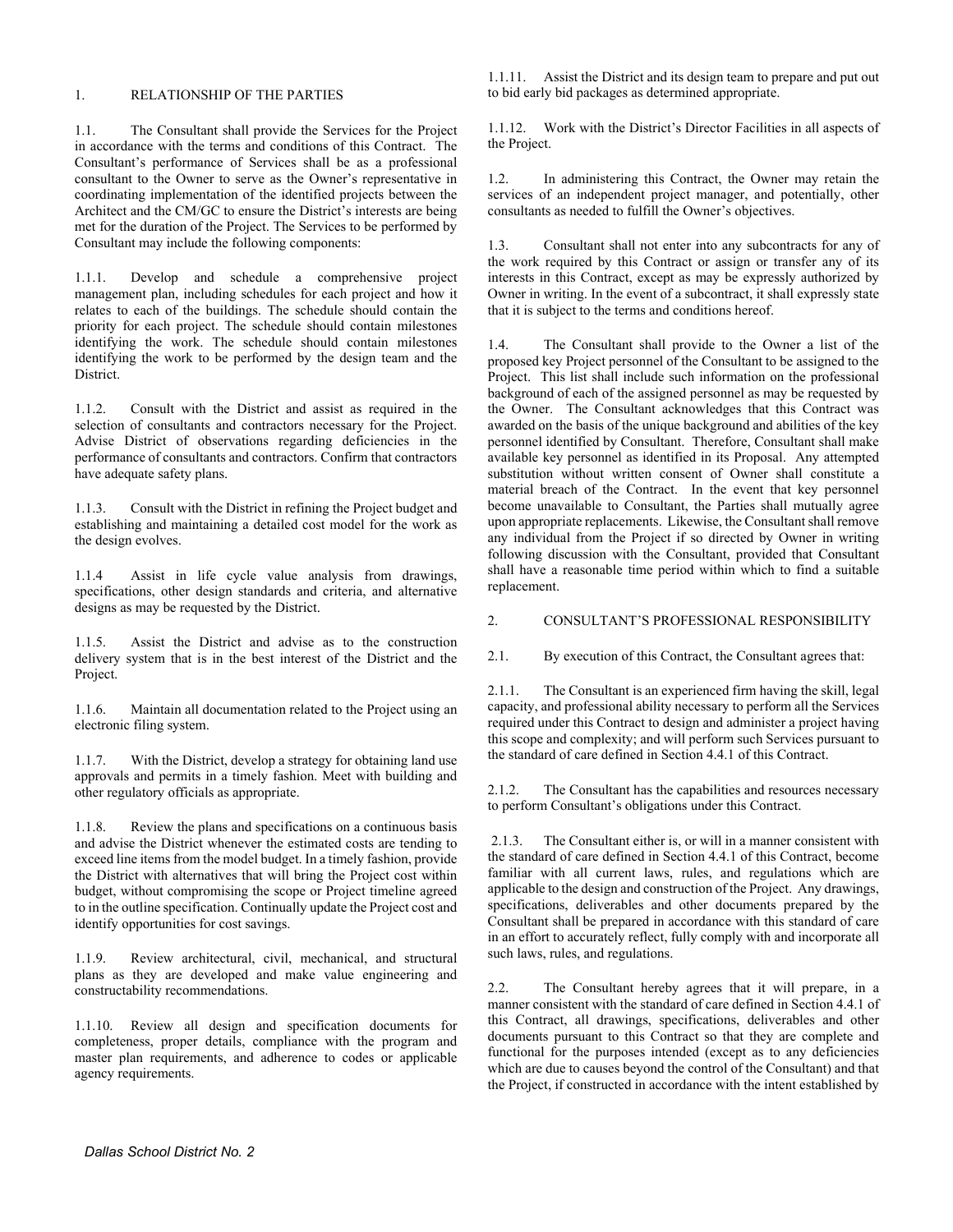#### 1. RELATIONSHIP OF THE PARTIES

1.1. The Consultant shall provide the Services for the Project in accordance with the terms and conditions of this Contract. The Consultant's performance of Services shall be as a professional consultant to the Owner to serve as the Owner's representative in coordinating implementation of the identified projects between the Architect and the CM/GC to ensure the District's interests are being met for the duration of the Project. The Services to be performed by Consultant may include the following components:

1.1.1. Develop and schedule a comprehensive project management plan, including schedules for each project and how it relates to each of the buildings. The schedule should contain the priority for each project. The schedule should contain milestones identifying the work. The schedule should contain milestones identifying the work to be performed by the design team and the District.

1.1.2. Consult with the District and assist as required in the selection of consultants and contractors necessary for the Project. Advise District of observations regarding deficiencies in the performance of consultants and contractors. Confirm that contractors have adequate safety plans.

1.1.3. Consult with the District in refining the Project budget and establishing and maintaining a detailed cost model for the work as the design evolves.

1.1.4 Assist in life cycle value analysis from drawings, specifications, other design standards and criteria, and alternative designs as may be requested by the District.

1.1.5. Assist the District and advise as to the construction delivery system that is in the best interest of the District and the Project.

1.1.6. Maintain all documentation related to the Project using an electronic filing system.

1.1.7. With the District, develop a strategy for obtaining land use approvals and permits in a timely fashion. Meet with building and other regulatory officials as appropriate.

1.1.8. Review the plans and specifications on a continuous basis and advise the District whenever the estimated costs are tending to exceed line items from the model budget. In a timely fashion, provide the District with alternatives that will bring the Project cost within budget, without compromising the scope or Project timeline agreed to in the outline specification. Continually update the Project cost and identify opportunities for cost savings.

1.1.9. Review architectural, civil, mechanical, and structural plans as they are developed and make value engineering and constructability recommendations.

1.1.10. Review all design and specification documents for completeness, proper details, compliance with the program and master plan requirements, and adherence to codes or applicable agency requirements.

1.1.11. Assist the District and its design team to prepare and put out to bid early bid packages as determined appropriate.

1.1.12. Work with the District's Director Facilities in all aspects of the Project.

1.2. In administering this Contract, the Owner may retain the services of an independent project manager, and potentially, other consultants as needed to fulfill the Owner's objectives.

1.3. Consultant shall not enter into any subcontracts for any of the work required by this Contract or assign or transfer any of its interests in this Contract, except as may be expressly authorized by Owner in writing. In the event of a subcontract, it shall expressly state that it is subject to the terms and conditions hereof.

1.4. The Consultant shall provide to the Owner a list of the proposed key Project personnel of the Consultant to be assigned to the Project. This list shall include such information on the professional background of each of the assigned personnel as may be requested by the Owner. The Consultant acknowledges that this Contract was awarded on the basis of the unique background and abilities of the key personnel identified by Consultant. Therefore, Consultant shall make available key personnel as identified in its Proposal. Any attempted substitution without written consent of Owner shall constitute a material breach of the Contract. In the event that key personnel become unavailable to Consultant, the Parties shall mutually agree upon appropriate replacements. Likewise, the Consultant shall remove any individual from the Project if so directed by Owner in writing following discussion with the Consultant, provided that Consultant shall have a reasonable time period within which to find a suitable replacement.

#### 2. CONSULTANT'S PROFESSIONAL RESPONSIBILITY

2.1. By execution of this Contract, the Consultant agrees that:

2.1.1. The Consultant is an experienced firm having the skill, legal capacity, and professional ability necessary to perform all the Services required under this Contract to design and administer a project having this scope and complexity; and will perform such Services pursuant to the standard of care defined in Section 4.4.1 of this Contract.

2.1.2. The Consultant has the capabilities and resources necessary to perform Consultant's obligations under this Contract.

2.1.3. The Consultant either is, or will in a manner consistent with the standard of care defined in Section 4.4.1 of this Contract, become familiar with all current laws, rules, and regulations which are applicable to the design and construction of the Project. Any drawings, specifications, deliverables and other documents prepared by the Consultant shall be prepared in accordance with this standard of care in an effort to accurately reflect, fully comply with and incorporate all such laws, rules, and regulations.

2.2. The Consultant hereby agrees that it will prepare, in a manner consistent with the standard of care defined in Section 4.4.1 of this Contract, all drawings, specifications, deliverables and other documents pursuant to this Contract so that they are complete and functional for the purposes intended (except as to any deficiencies which are due to causes beyond the control of the Consultant) and that the Project, if constructed in accordance with the intent established by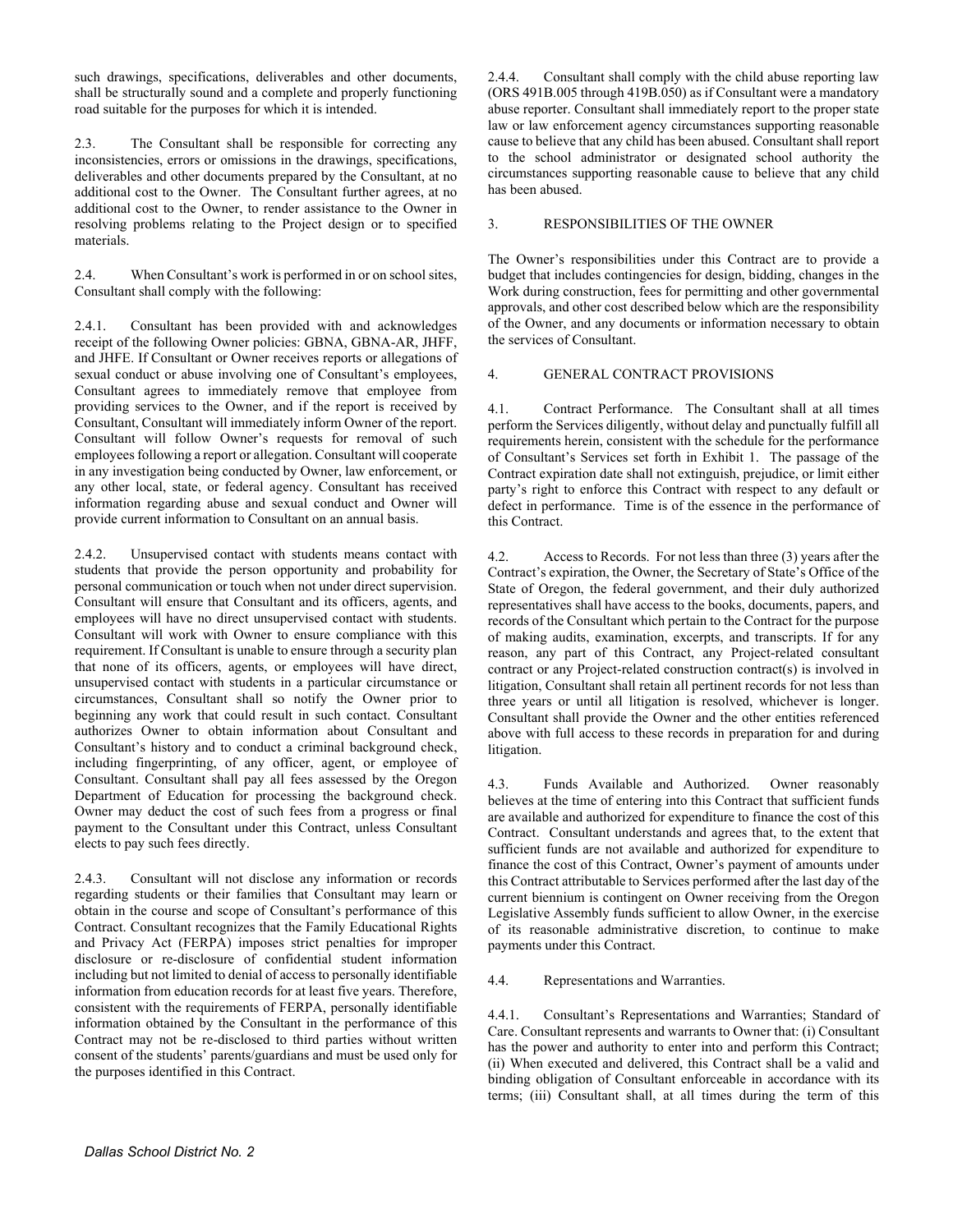such drawings, specifications, deliverables and other documents, shall be structurally sound and a complete and properly functioning road suitable for the purposes for which it is intended.

2.3. The Consultant shall be responsible for correcting any inconsistencies, errors or omissions in the drawings, specifications, deliverables and other documents prepared by the Consultant, at no additional cost to the Owner. The Consultant further agrees, at no additional cost to the Owner, to render assistance to the Owner in resolving problems relating to the Project design or to specified materials.

2.4. When Consultant's work is performed in or on school sites, Consultant shall comply with the following:

2.4.1. Consultant has been provided with and acknowledges receipt of the following Owner policies: GBNA, GBNA-AR, JHFF, and JHFE. If Consultant or Owner receives reports or allegations of sexual conduct or abuse involving one of Consultant's employees, Consultant agrees to immediately remove that employee from providing services to the Owner, and if the report is received by Consultant, Consultant will immediately inform Owner of the report. Consultant will follow Owner's requests for removal of such employees following a report or allegation. Consultant will cooperate in any investigation being conducted by Owner, law enforcement, or any other local, state, or federal agency. Consultant has received information regarding abuse and sexual conduct and Owner will provide current information to Consultant on an annual basis.

2.4.2. Unsupervised contact with students means contact with students that provide the person opportunity and probability for personal communication or touch when not under direct supervision. Consultant will ensure that Consultant and its officers, agents, and employees will have no direct unsupervised contact with students. Consultant will work with Owner to ensure compliance with this requirement. If Consultant is unable to ensure through a security plan that none of its officers, agents, or employees will have direct, unsupervised contact with students in a particular circumstance or circumstances, Consultant shall so notify the Owner prior to beginning any work that could result in such contact. Consultant authorizes Owner to obtain information about Consultant and Consultant's history and to conduct a criminal background check, including fingerprinting, of any officer, agent, or employee of Consultant. Consultant shall pay all fees assessed by the Oregon Department of Education for processing the background check. Owner may deduct the cost of such fees from a progress or final payment to the Consultant under this Contract, unless Consultant elects to pay such fees directly.

2.4.3. Consultant will not disclose any information or records regarding students or their families that Consultant may learn or obtain in the course and scope of Consultant's performance of this Contract. Consultant recognizes that the Family Educational Rights and Privacy Act (FERPA) imposes strict penalties for improper disclosure or re-disclosure of confidential student information including but not limited to denial of access to personally identifiable information from education records for at least five years. Therefore, consistent with the requirements of FERPA, personally identifiable information obtained by the Consultant in the performance of this Contract may not be re-disclosed to third parties without written consent of the students' parents/guardians and must be used only for the purposes identified in this Contract.

2.4.4. Consultant shall comply with the child abuse reporting law (ORS 491B.005 through 419B.050) as if Consultant were a mandatory abuse reporter. Consultant shall immediately report to the proper state law or law enforcement agency circumstances supporting reasonable cause to believe that any child has been abused. Consultant shall report to the school administrator or designated school authority the circumstances supporting reasonable cause to believe that any child has been abused.

#### 3. RESPONSIBILITIES OF THE OWNER

The Owner's responsibilities under this Contract are to provide a budget that includes contingencies for design, bidding, changes in the Work during construction, fees for permitting and other governmental approvals, and other cost described below which are the responsibility of the Owner, and any documents or information necessary to obtain the services of Consultant.

#### 4. GENERAL CONTRACT PROVISIONS

4.1. Contract Performance. The Consultant shall at all times perform the Services diligently, without delay and punctually fulfill all requirements herein, consistent with the schedule for the performance of Consultant's Services set forth in Exhibit 1. The passage of the Contract expiration date shall not extinguish, prejudice, or limit either party's right to enforce this Contract with respect to any default or defect in performance. Time is of the essence in the performance of this Contract.

4.2. Access to Records. For not less than three (3) years after the Contract's expiration, the Owner, the Secretary of State's Office of the State of Oregon, the federal government, and their duly authorized representatives shall have access to the books, documents, papers, and records of the Consultant which pertain to the Contract for the purpose of making audits, examination, excerpts, and transcripts. If for any reason, any part of this Contract, any Project-related consultant contract or any Project-related construction contract(s) is involved in litigation, Consultant shall retain all pertinent records for not less than three years or until all litigation is resolved, whichever is longer. Consultant shall provide the Owner and the other entities referenced above with full access to these records in preparation for and during litigation.

4.3. Funds Available and Authorized. Owner reasonably believes at the time of entering into this Contract that sufficient funds are available and authorized for expenditure to finance the cost of this Contract. Consultant understands and agrees that, to the extent that sufficient funds are not available and authorized for expenditure to finance the cost of this Contract, Owner's payment of amounts under this Contract attributable to Services performed after the last day of the current biennium is contingent on Owner receiving from the Oregon Legislative Assembly funds sufficient to allow Owner, in the exercise of its reasonable administrative discretion, to continue to make payments under this Contract.

#### 4.4. Representations and Warranties.

4.4.1. Consultant's Representations and Warranties; Standard of Care. Consultant represents and warrants to Owner that: (i) Consultant has the power and authority to enter into and perform this Contract; (ii) When executed and delivered, this Contract shall be a valid and binding obligation of Consultant enforceable in accordance with its terms; (iii) Consultant shall, at all times during the term of this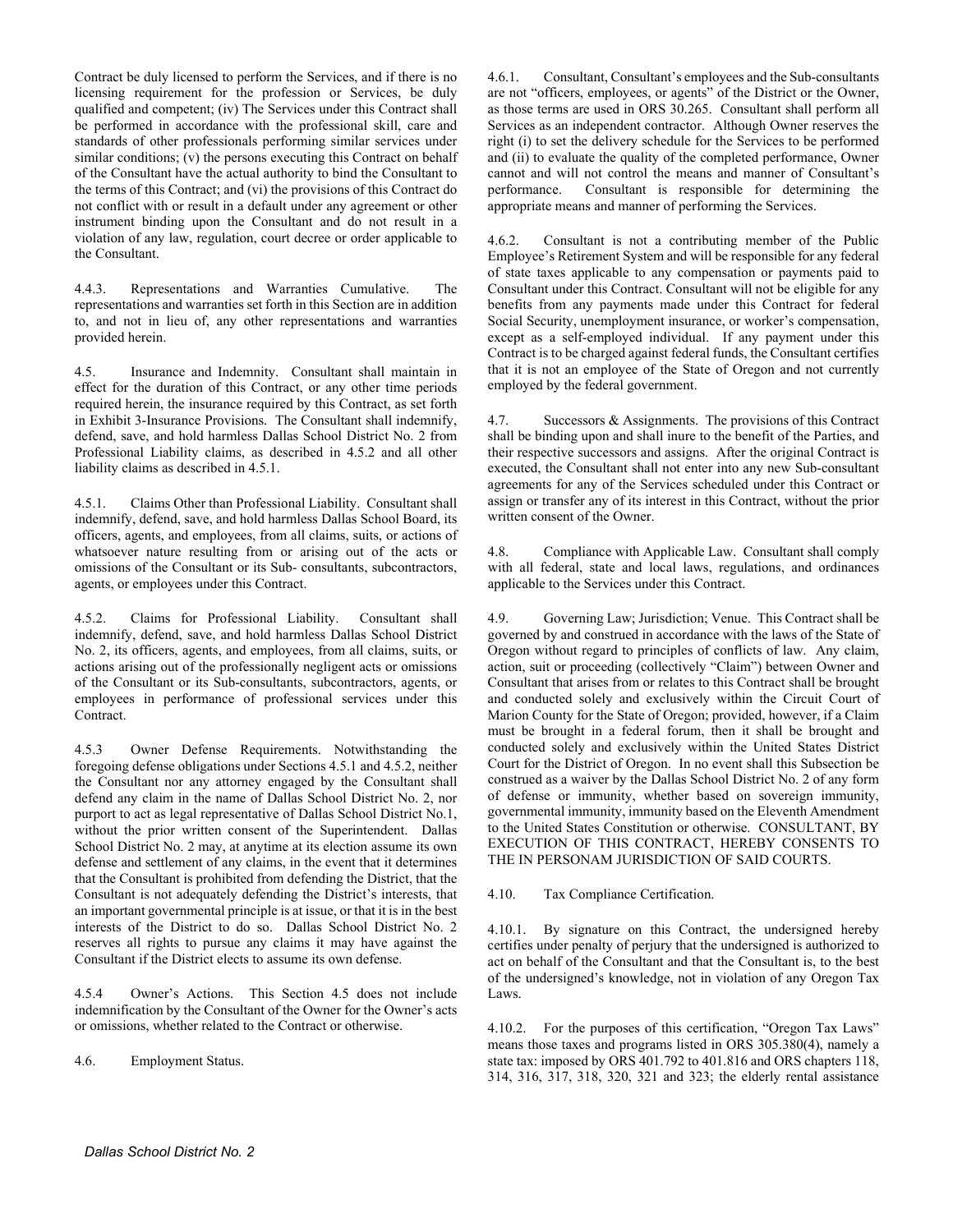Contract be duly licensed to perform the Services, and if there is no licensing requirement for the profession or Services, be duly qualified and competent; (iv) The Services under this Contract shall be performed in accordance with the professional skill, care and standards of other professionals performing similar services under similar conditions; (v) the persons executing this Contract on behalf of the Consultant have the actual authority to bind the Consultant to the terms of this Contract; and (vi) the provisions of this Contract do not conflict with or result in a default under any agreement or other instrument binding upon the Consultant and do not result in a violation of any law, regulation, court decree or order applicable to the Consultant.

4.4.3. Representations and Warranties Cumulative. The representations and warranties set forth in this Section are in addition to, and not in lieu of, any other representations and warranties provided herein.

4.5. Insurance and Indemnity. Consultant shall maintain in effect for the duration of this Contract, or any other time periods required herein, the insurance required by this Contract, as set forth in Exhibit 3-Insurance Provisions. The Consultant shall indemnify, defend, save, and hold harmless Dallas School District No. 2 from Professional Liability claims, as described in 4.5.2 and all other liability claims as described in 4.5.1.

4.5.1. Claims Other than Professional Liability. Consultant shall indemnify, defend, save, and hold harmless Dallas School Board, its officers, agents, and employees, from all claims, suits, or actions of whatsoever nature resulting from or arising out of the acts or omissions of the Consultant or its Sub- consultants, subcontractors, agents, or employees under this Contract.

4.5.2. Claims for Professional Liability. Consultant shall indemnify, defend, save, and hold harmless Dallas School District No. 2, its officers, agents, and employees, from all claims, suits, or actions arising out of the professionally negligent acts or omissions of the Consultant or its Sub-consultants, subcontractors, agents, or employees in performance of professional services under this Contract.

4.5.3 Owner Defense Requirements. Notwithstanding the foregoing defense obligations under Sections 4.5.1 and 4.5.2, neither the Consultant nor any attorney engaged by the Consultant shall defend any claim in the name of Dallas School District No. 2, nor purport to act as legal representative of Dallas School District No.1, without the prior written consent of the Superintendent. Dallas School District No. 2 may, at anytime at its election assume its own defense and settlement of any claims, in the event that it determines that the Consultant is prohibited from defending the District, that the Consultant is not adequately defending the District's interests, that an important governmental principle is at issue, or that it is in the best interests of the District to do so. Dallas School District No. 2 reserves all rights to pursue any claims it may have against the Consultant if the District elects to assume its own defense.

4.5.4 Owner's Actions. This Section 4.5 does not include indemnification by the Consultant of the Owner for the Owner's acts or omissions, whether related to the Contract or otherwise.

4.6. Employment Status.

4.6.1. Consultant, Consultant's employees and the Sub-consultants are not "officers, employees, or agents" of the District or the Owner, as those terms are used in ORS 30.265. Consultant shall perform all Services as an independent contractor. Although Owner reserves the right (i) to set the delivery schedule for the Services to be performed and (ii) to evaluate the quality of the completed performance, Owner cannot and will not control the means and manner of Consultant's performance. Consultant is responsible for determining the appropriate means and manner of performing the Services.

4.6.2. Consultant is not a contributing member of the Public Employee's Retirement System and will be responsible for any federal of state taxes applicable to any compensation or payments paid to Consultant under this Contract. Consultant will not be eligible for any benefits from any payments made under this Contract for federal Social Security, unemployment insurance, or worker's compensation, except as a self-employed individual. If any payment under this Contract is to be charged against federal funds, the Consultant certifies that it is not an employee of the State of Oregon and not currently employed by the federal government.

4.7. Successors & Assignments. The provisions of this Contract shall be binding upon and shall inure to the benefit of the Parties, and their respective successors and assigns. After the original Contract is executed, the Consultant shall not enter into any new Sub-consultant agreements for any of the Services scheduled under this Contract or assign or transfer any of its interest in this Contract, without the prior written consent of the Owner.

4.8. Compliance with Applicable Law. Consultant shall comply with all federal, state and local laws, regulations, and ordinances applicable to the Services under this Contract.

4.9. Governing Law; Jurisdiction; Venue. This Contract shall be governed by and construed in accordance with the laws of the State of Oregon without regard to principles of conflicts of law. Any claim, action, suit or proceeding (collectively "Claim") between Owner and Consultant that arises from or relates to this Contract shall be brought and conducted solely and exclusively within the Circuit Court of Marion County for the State of Oregon; provided, however, if a Claim must be brought in a federal forum, then it shall be brought and conducted solely and exclusively within the United States District Court for the District of Oregon. In no event shall this Subsection be construed as a waiver by the Dallas School District No. 2 of any form of defense or immunity, whether based on sovereign immunity, governmental immunity, immunity based on the Eleventh Amendment to the United States Constitution or otherwise. CONSULTANT, BY EXECUTION OF THIS CONTRACT, HEREBY CONSENTS TO THE IN PERSONAM JURISDICTION OF SAID COURTS.

4.10. Tax Compliance Certification.

4.10.1. By signature on this Contract, the undersigned hereby certifies under penalty of perjury that the undersigned is authorized to act on behalf of the Consultant and that the Consultant is, to the best of the undersigned's knowledge, not in violation of any Oregon Tax Laws.

4.10.2. For the purposes of this certification, "Oregon Tax Laws" means those taxes and programs listed in ORS 305.380(4), namely a state tax: imposed by ORS 401.792 to 401.816 and ORS chapters 118, 314, 316, 317, 318, 320, 321 and 323; the elderly rental assistance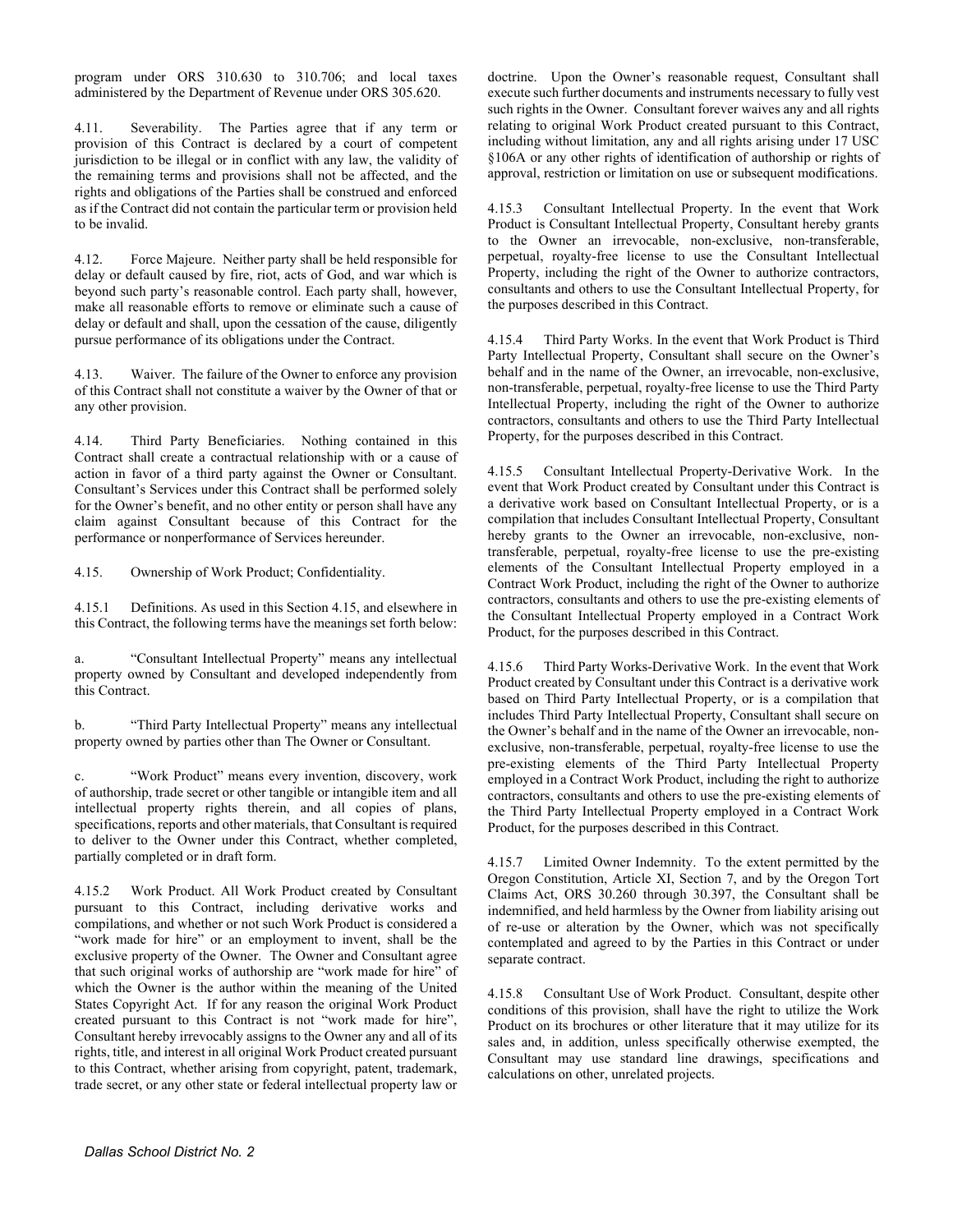program under ORS 310.630 to 310.706; and local taxes administered by the Department of Revenue under ORS 305.620.

Severability. The Parties agree that if any term or provision of this Contract is declared by a court of competent jurisdiction to be illegal or in conflict with any law, the validity of the remaining terms and provisions shall not be affected, and the rights and obligations of the Parties shall be construed and enforced as if the Contract did not contain the particular term or provision held to be invalid.

4.12. Force Majeure. Neither party shall be held responsible for delay or default caused by fire, riot, acts of God, and war which is beyond such party's reasonable control. Each party shall, however, make all reasonable efforts to remove or eliminate such a cause of delay or default and shall, upon the cessation of the cause, diligently pursue performance of its obligations under the Contract.

4.13. Waiver. The failure of the Owner to enforce any provision of this Contract shall not constitute a waiver by the Owner of that or any other provision.

4.14. Third Party Beneficiaries. Nothing contained in this Contract shall create a contractual relationship with or a cause of action in favor of a third party against the Owner or Consultant. Consultant's Services under this Contract shall be performed solely for the Owner's benefit, and no other entity or person shall have any claim against Consultant because of this Contract for the performance or nonperformance of Services hereunder.

4.15. Ownership of Work Product; Confidentiality.

4.15.1 Definitions. As used in this Section 4.15, and elsewhere in this Contract, the following terms have the meanings set forth below:

a. "Consultant Intellectual Property" means any intellectual property owned by Consultant and developed independently from this Contract.

b. "Third Party Intellectual Property" means any intellectual property owned by parties other than The Owner or Consultant.

c. "Work Product" means every invention, discovery, work of authorship, trade secret or other tangible or intangible item and all intellectual property rights therein, and all copies of plans, specifications, reports and other materials, that Consultant is required to deliver to the Owner under this Contract, whether completed, partially completed or in draft form.

4.15.2 Work Product. All Work Product created by Consultant pursuant to this Contract, including derivative works and compilations, and whether or not such Work Product is considered a "work made for hire" or an employment to invent, shall be the exclusive property of the Owner. The Owner and Consultant agree that such original works of authorship are "work made for hire" of which the Owner is the author within the meaning of the United States Copyright Act. If for any reason the original Work Product created pursuant to this Contract is not "work made for hire", Consultant hereby irrevocably assigns to the Owner any and all of its rights, title, and interest in all original Work Product created pursuant to this Contract, whether arising from copyright, patent, trademark, trade secret, or any other state or federal intellectual property law or

doctrine. Upon the Owner's reasonable request, Consultant shall execute such further documents and instruments necessary to fully vest such rights in the Owner. Consultant forever waives any and all rights relating to original Work Product created pursuant to this Contract, including without limitation, any and all rights arising under 17 USC §106A or any other rights of identification of authorship or rights of approval, restriction or limitation on use or subsequent modifications.

4.15.3 Consultant Intellectual Property. In the event that Work Product is Consultant Intellectual Property, Consultant hereby grants to the Owner an irrevocable, non-exclusive, non-transferable, perpetual, royalty-free license to use the Consultant Intellectual Property, including the right of the Owner to authorize contractors, consultants and others to use the Consultant Intellectual Property, for the purposes described in this Contract.

4.15.4 Third Party Works. In the event that Work Product is Third Party Intellectual Property, Consultant shall secure on the Owner's behalf and in the name of the Owner, an irrevocable, non-exclusive, non-transferable, perpetual, royalty-free license to use the Third Party Intellectual Property, including the right of the Owner to authorize contractors, consultants and others to use the Third Party Intellectual Property, for the purposes described in this Contract.

4.15.5 Consultant Intellectual Property-Derivative Work. In the event that Work Product created by Consultant under this Contract is a derivative work based on Consultant Intellectual Property, or is a compilation that includes Consultant Intellectual Property, Consultant hereby grants to the Owner an irrevocable, non-exclusive, nontransferable, perpetual, royalty-free license to use the pre-existing elements of the Consultant Intellectual Property employed in a Contract Work Product, including the right of the Owner to authorize contractors, consultants and others to use the pre-existing elements of the Consultant Intellectual Property employed in a Contract Work Product, for the purposes described in this Contract.

4.15.6 Third Party Works-Derivative Work. In the event that Work Product created by Consultant under this Contract is a derivative work based on Third Party Intellectual Property, or is a compilation that includes Third Party Intellectual Property, Consultant shall secure on the Owner's behalf and in the name of the Owner an irrevocable, nonexclusive, non-transferable, perpetual, royalty-free license to use the pre-existing elements of the Third Party Intellectual Property employed in a Contract Work Product, including the right to authorize contractors, consultants and others to use the pre-existing elements of the Third Party Intellectual Property employed in a Contract Work Product, for the purposes described in this Contract.

4.15.7 Limited Owner Indemnity. To the extent permitted by the Oregon Constitution, Article XI, Section 7, and by the Oregon Tort Claims Act, ORS 30.260 through 30.397, the Consultant shall be indemnified, and held harmless by the Owner from liability arising out of re-use or alteration by the Owner, which was not specifically contemplated and agreed to by the Parties in this Contract or under separate contract.

4.15.8 Consultant Use of Work Product. Consultant, despite other conditions of this provision, shall have the right to utilize the Work Product on its brochures or other literature that it may utilize for its sales and, in addition, unless specifically otherwise exempted, the Consultant may use standard line drawings, specifications and calculations on other, unrelated projects.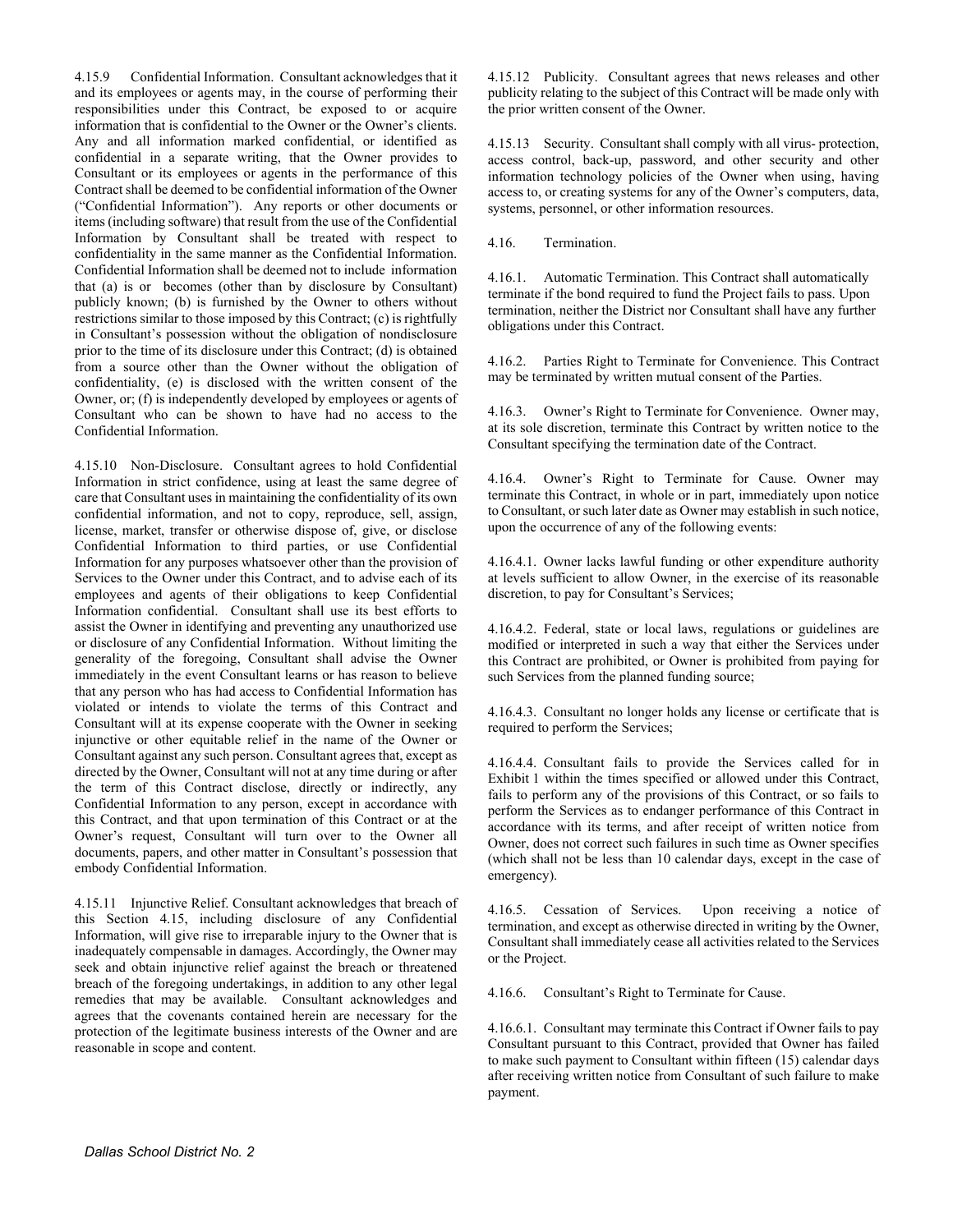4.15.9 Confidential Information. Consultant acknowledges that it and its employees or agents may, in the course of performing their responsibilities under this Contract, be exposed to or acquire information that is confidential to the Owner or the Owner's clients. Any and all information marked confidential, or identified as confidential in a separate writing, that the Owner provides to Consultant or its employees or agents in the performance of this Contract shall be deemed to be confidential information of the Owner ("Confidential Information"). Any reports or other documents or items (including software) that result from the use of the Confidential Information by Consultant shall be treated with respect to confidentiality in the same manner as the Confidential Information. Confidential Information shall be deemed not to include information that (a) is or becomes (other than by disclosure by Consultant) publicly known; (b) is furnished by the Owner to others without restrictions similar to those imposed by this Contract; (c) is rightfully in Consultant's possession without the obligation of nondisclosure prior to the time of its disclosure under this Contract; (d) is obtained from a source other than the Owner without the obligation of confidentiality, (e) is disclosed with the written consent of the Owner, or; (f) is independently developed by employees or agents of Consultant who can be shown to have had no access to the Confidential Information.

4.15.10 Non-Disclosure. Consultant agrees to hold Confidential Information in strict confidence, using at least the same degree of care that Consultant uses in maintaining the confidentiality of its own confidential information, and not to copy, reproduce, sell, assign, license, market, transfer or otherwise dispose of, give, or disclose Confidential Information to third parties, or use Confidential Information for any purposes whatsoever other than the provision of Services to the Owner under this Contract, and to advise each of its employees and agents of their obligations to keep Confidential Information confidential. Consultant shall use its best efforts to assist the Owner in identifying and preventing any unauthorized use or disclosure of any Confidential Information. Without limiting the generality of the foregoing, Consultant shall advise the Owner immediately in the event Consultant learns or has reason to believe that any person who has had access to Confidential Information has violated or intends to violate the terms of this Contract and Consultant will at its expense cooperate with the Owner in seeking injunctive or other equitable relief in the name of the Owner or Consultant against any such person. Consultant agrees that, except as directed by the Owner, Consultant will not at any time during or after the term of this Contract disclose, directly or indirectly, any Confidential Information to any person, except in accordance with this Contract, and that upon termination of this Contract or at the Owner's request, Consultant will turn over to the Owner all documents, papers, and other matter in Consultant's possession that embody Confidential Information.

4.15.11 Injunctive Relief. Consultant acknowledges that breach of this Section 4.15, including disclosure of any Confidential Information, will give rise to irreparable injury to the Owner that is inadequately compensable in damages. Accordingly, the Owner may seek and obtain injunctive relief against the breach or threatened breach of the foregoing undertakings, in addition to any other legal remedies that may be available. Consultant acknowledges and agrees that the covenants contained herein are necessary for the protection of the legitimate business interests of the Owner and are reasonable in scope and content.

4.15.12 Publicity. Consultant agrees that news releases and other publicity relating to the subject of this Contract will be made only with the prior written consent of the Owner.

4.15.13 Security. Consultant shall comply with all virus- protection, access control, back-up, password, and other security and other information technology policies of the Owner when using, having access to, or creating systems for any of the Owner's computers, data, systems, personnel, or other information resources.

4.16. Termination.

4.16.1. Automatic Termination. This Contract shall automatically terminate if the bond required to fund the Project fails to pass. Upon termination, neither the District nor Consultant shall have any further obligations under this Contract.

4.16.2. Parties Right to Terminate for Convenience. This Contract may be terminated by written mutual consent of the Parties.

4.16.3. Owner's Right to Terminate for Convenience. Owner may, at its sole discretion, terminate this Contract by written notice to the Consultant specifying the termination date of the Contract.

4.16.4. Owner's Right to Terminate for Cause. Owner may terminate this Contract, in whole or in part, immediately upon notice to Consultant, or such later date as Owner may establish in such notice, upon the occurrence of any of the following events:

4.16.4.1. Owner lacks lawful funding or other expenditure authority at levels sufficient to allow Owner, in the exercise of its reasonable discretion, to pay for Consultant's Services;

4.16.4.2. Federal, state or local laws, regulations or guidelines are modified or interpreted in such a way that either the Services under this Contract are prohibited, or Owner is prohibited from paying for such Services from the planned funding source;

4.16.4.3. Consultant no longer holds any license or certificate that is required to perform the Services;

4.16.4.4. Consultant fails to provide the Services called for in Exhibit 1 within the times specified or allowed under this Contract, fails to perform any of the provisions of this Contract, or so fails to perform the Services as to endanger performance of this Contract in accordance with its terms, and after receipt of written notice from Owner, does not correct such failures in such time as Owner specifies (which shall not be less than 10 calendar days, except in the case of emergency).

4.16.5. Cessation of Services. Upon receiving a notice of termination, and except as otherwise directed in writing by the Owner, Consultant shall immediately cease all activities related to the Services or the Project.

4.16.6. Consultant's Right to Terminate for Cause.

4.16.6.1. Consultant may terminate this Contract if Owner fails to pay Consultant pursuant to this Contract, provided that Owner has failed to make such payment to Consultant within fifteen (15) calendar days after receiving written notice from Consultant of such failure to make payment.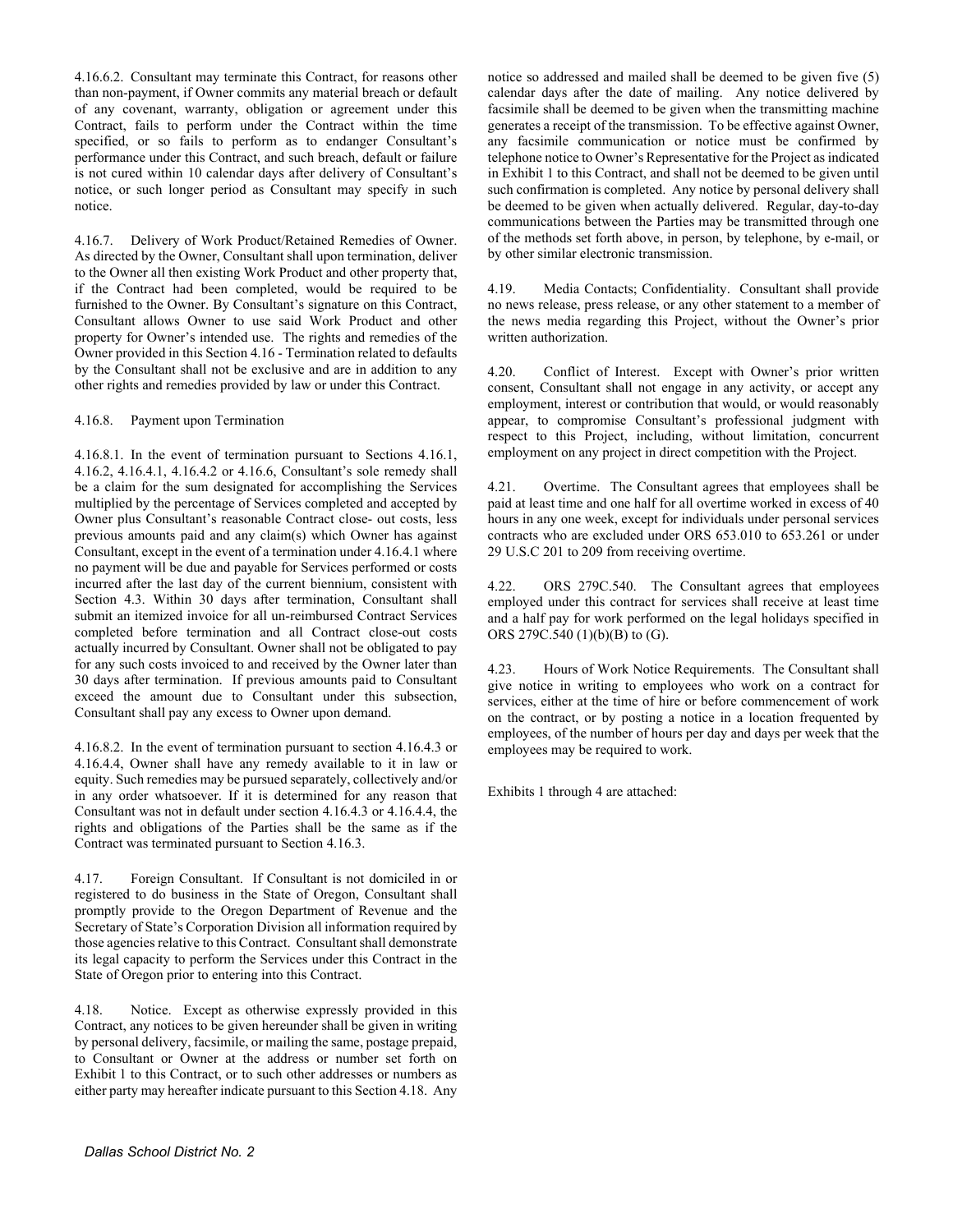4.16.6.2. Consultant may terminate this Contract, for reasons other than non-payment, if Owner commits any material breach or default of any covenant, warranty, obligation or agreement under this Contract, fails to perform under the Contract within the time specified, or so fails to perform as to endanger Consultant's performance under this Contract, and such breach, default or failure is not cured within 10 calendar days after delivery of Consultant's notice, or such longer period as Consultant may specify in such notice.

4.16.7. Delivery of Work Product/Retained Remedies of Owner. As directed by the Owner, Consultant shall upon termination, deliver to the Owner all then existing Work Product and other property that, if the Contract had been completed, would be required to be furnished to the Owner. By Consultant's signature on this Contract, Consultant allows Owner to use said Work Product and other property for Owner's intended use. The rights and remedies of the Owner provided in this Section 4.16 - Termination related to defaults by the Consultant shall not be exclusive and are in addition to any other rights and remedies provided by law or under this Contract.

#### 4.16.8. Payment upon Termination

4.16.8.1. In the event of termination pursuant to Sections 4.16.1, 4.16.2, 4.16.4.1, 4.16.4.2 or 4.16.6, Consultant's sole remedy shall be a claim for the sum designated for accomplishing the Services multiplied by the percentage of Services completed and accepted by Owner plus Consultant's reasonable Contract close- out costs, less previous amounts paid and any claim(s) which Owner has against Consultant, except in the event of a termination under 4.16.4.1 where no payment will be due and payable for Services performed or costs incurred after the last day of the current biennium, consistent with Section 4.3. Within 30 days after termination, Consultant shall submit an itemized invoice for all un-reimbursed Contract Services completed before termination and all Contract close-out costs actually incurred by Consultant. Owner shall not be obligated to pay for any such costs invoiced to and received by the Owner later than 30 days after termination. If previous amounts paid to Consultant exceed the amount due to Consultant under this subsection, Consultant shall pay any excess to Owner upon demand.

4.16.8.2. In the event of termination pursuant to section 4.16.4.3 or 4.16.4.4, Owner shall have any remedy available to it in law or equity. Such remedies may be pursued separately, collectively and/or in any order whatsoever. If it is determined for any reason that Consultant was not in default under section 4.16.4.3 or 4.16.4.4, the rights and obligations of the Parties shall be the same as if the Contract was terminated pursuant to Section 4.16.3.

4.17. Foreign Consultant. If Consultant is not domiciled in or registered to do business in the State of Oregon, Consultant shall promptly provide to the Oregon Department of Revenue and the Secretary of State's Corporation Division all information required by those agencies relative to this Contract. Consultant shall demonstrate its legal capacity to perform the Services under this Contract in the State of Oregon prior to entering into this Contract.

4.18. Notice. Except as otherwise expressly provided in this Contract, any notices to be given hereunder shall be given in writing by personal delivery, facsimile, or mailing the same, postage prepaid, to Consultant or Owner at the address or number set forth on Exhibit 1 to this Contract, or to such other addresses or numbers as either party may hereafter indicate pursuant to this Section 4.18. Any

notice so addressed and mailed shall be deemed to be given five (5) calendar days after the date of mailing. Any notice delivered by facsimile shall be deemed to be given when the transmitting machine generates a receipt of the transmission. To be effective against Owner, any facsimile communication or notice must be confirmed by telephone notice to Owner's Representative for the Project as indicated in Exhibit 1 to this Contract, and shall not be deemed to be given until such confirmation is completed. Any notice by personal delivery shall be deemed to be given when actually delivered. Regular, day-to-day communications between the Parties may be transmitted through one of the methods set forth above, in person, by telephone, by e-mail, or by other similar electronic transmission.

4.19. Media Contacts; Confidentiality. Consultant shall provide no news release, press release, or any other statement to a member of the news media regarding this Project, without the Owner's prior written authorization.

4.20. Conflict of Interest. Except with Owner's prior written consent, Consultant shall not engage in any activity, or accept any employment, interest or contribution that would, or would reasonably appear, to compromise Consultant's professional judgment with respect to this Project, including, without limitation, concurrent employment on any project in direct competition with the Project.

4.21. Overtime. The Consultant agrees that employees shall be paid at least time and one half for all overtime worked in excess of 40 hours in any one week, except for individuals under personal services contracts who are excluded under ORS 653.010 to 653.261 or under 29 U.S.C 201 to 209 from receiving overtime.

4.22. ORS 279C.540. The Consultant agrees that employees employed under this contract for services shall receive at least time and a half pay for work performed on the legal holidays specified in ORS 279C.540 (1)(b)(B) to (G).

4.23. Hours of Work Notice Requirements. The Consultant shall give notice in writing to employees who work on a contract for services, either at the time of hire or before commencement of work on the contract, or by posting a notice in a location frequented by employees, of the number of hours per day and days per week that the employees may be required to work.

Exhibits 1 through 4 are attached: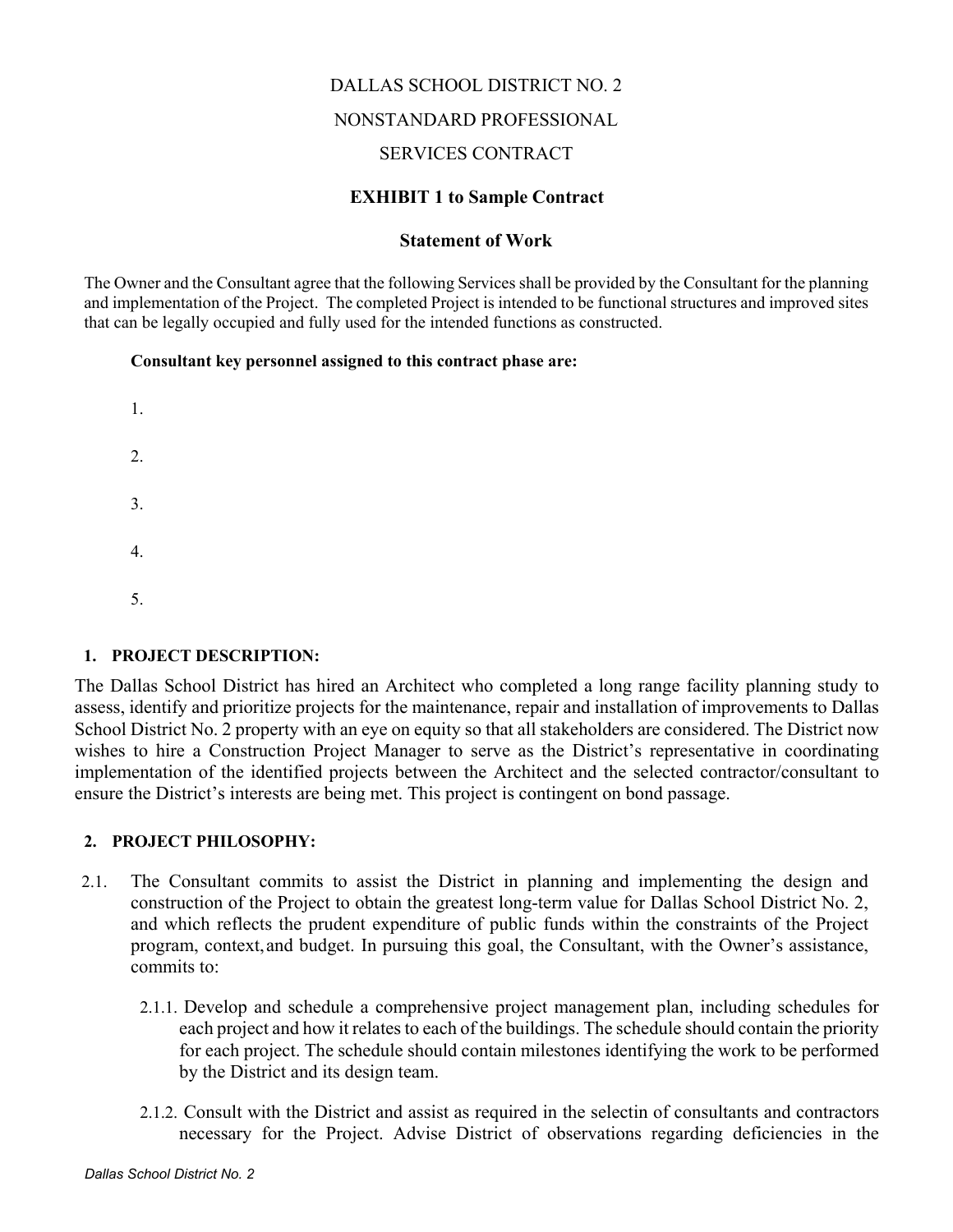# DALLAS SCHOOL DISTRICT NO. 2

## NONSTANDARD PROFESSIONAL

## SERVICES CONTRACT

## **EXHIBIT 1 to Sample Contract**

## **Statement of Work**

The Owner and the Consultant agree that the following Services shall be provided by the Consultant for the planning and implementation of the Project. The completed Project is intended to be functional structures and improved sites that can be legally occupied and fully used for the intended functions as constructed.

### **Consultant key personnel assigned to this contract phase are:**



## **1. PROJECT DESCRIPTION:**

The Dallas School District has hired an Architect who completed a long range facility planning study to assess, identify and prioritize projects for the maintenance, repair and installation of improvements to Dallas School District No. 2 property with an eye on equity so that all stakeholders are considered. The District now wishes to hire a Construction Project Manager to serve as the District's representative in coordinating implementation of the identified projects between the Architect and the selected contractor/consultant to ensure the District's interests are being met. This project is contingent on bond passage.

## **2. PROJECT PHILOSOPHY:**

- 2.1. The Consultant commits to assist the District in planning and implementing the design and construction of the Project to obtain the greatest long-term value for Dallas School District No. 2, and which reflects the prudent expenditure of public funds within the constraints of the Project program, context,and budget. In pursuing this goal, the Consultant, with the Owner's assistance, commits to:
	- 2.1.1. Develop and schedule a comprehensive project management plan, including schedules for each project and how it relates to each of the buildings. The schedule should contain the priority for each project. The schedule should contain milestones identifying the work to be performed by the District and its design team.
	- 2.1.2. Consult with the District and assist as required in the selectin of consultants and contractors necessary for the Project. Advise District of observations regarding deficiencies in the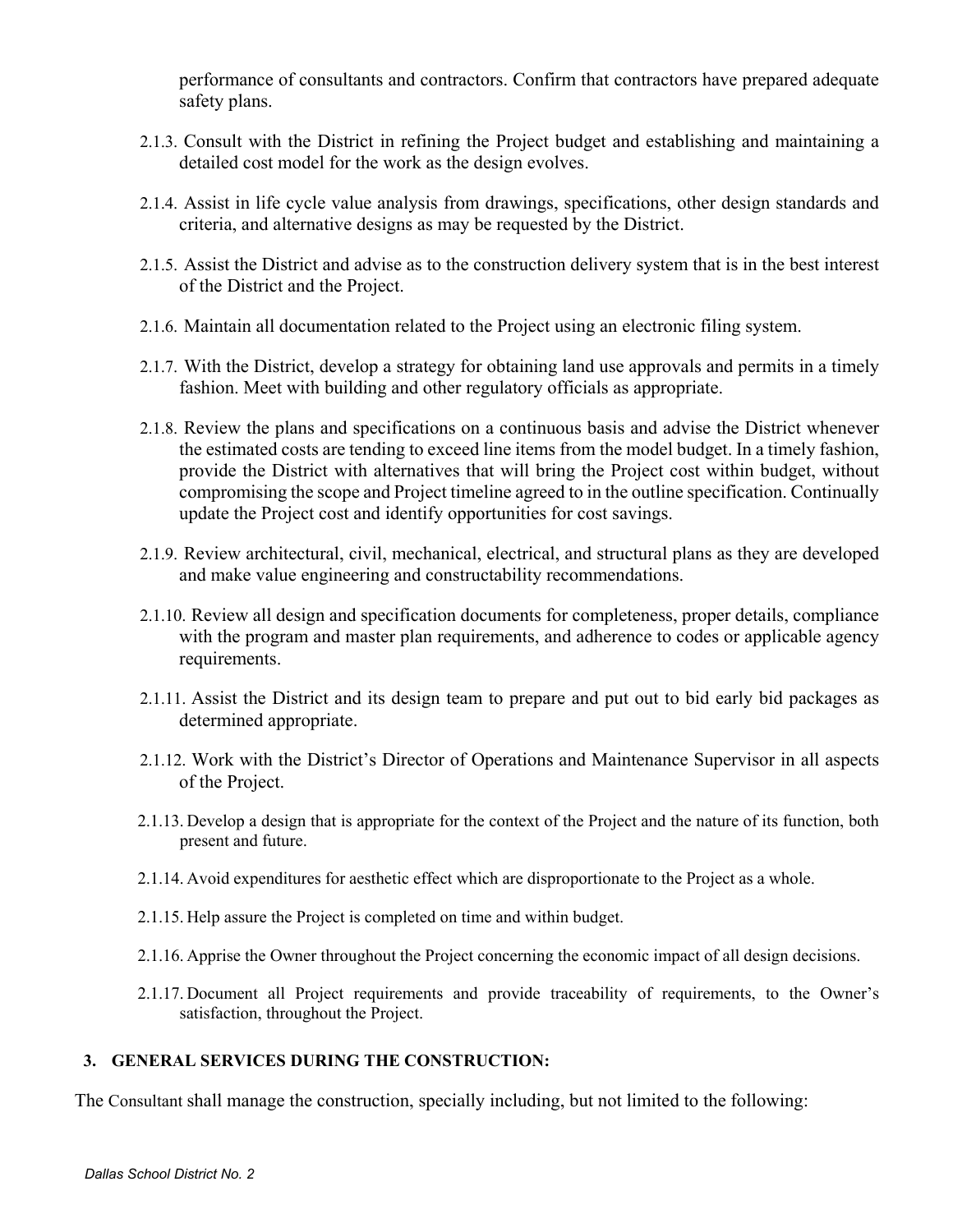performance of consultants and contractors. Confirm that contractors have prepared adequate safety plans.

- 2.1.3. Consult with the District in refining the Project budget and establishing and maintaining a detailed cost model for the work as the design evolves.
- 2.1.4. Assist in life cycle value analysis from drawings, specifications, other design standards and criteria, and alternative designs as may be requested by the District.
- 2.1.5. Assist the District and advise as to the construction delivery system that is in the best interest of the District and the Project.
- 2.1.6. Maintain all documentation related to the Project using an electronic filing system.
- 2.1.7. With the District, develop a strategy for obtaining land use approvals and permits in a timely fashion. Meet with building and other regulatory officials as appropriate.
- 2.1.8. Review the plans and specifications on a continuous basis and advise the District whenever the estimated costs are tending to exceed line items from the model budget. In a timely fashion, provide the District with alternatives that will bring the Project cost within budget, without compromising the scope and Project timeline agreed to in the outline specification. Continually update the Project cost and identify opportunities for cost savings.
- 2.1.9. Review architectural, civil, mechanical, electrical, and structural plans as they are developed and make value engineering and constructability recommendations.
- 2.1.10. Review all design and specification documents for completeness, proper details, compliance with the program and master plan requirements, and adherence to codes or applicable agency requirements.
- 2.1.11. Assist the District and its design team to prepare and put out to bid early bid packages as determined appropriate.
- 2.1.12. Work with the District's Director of Operations and Maintenance Supervisor in all aspects of the Project.
- 2.1.13. Develop a design that is appropriate for the context of the Project and the nature of its function, both present and future.
- 2.1.14. Avoid expenditures for aesthetic effect which are disproportionate to the Project as a whole.
- 2.1.15. Help assure the Project is completed on time and within budget.
- 2.1.16. Apprise the Owner throughout the Project concerning the economic impact of all design decisions.
- 2.1.17. Document all Project requirements and provide traceability of requirements, to the Owner's satisfaction, throughout the Project.

### **3. GENERAL SERVICES DURING THE CONSTRUCTION:**

The Consultant shall manage the construction, specially including, but not limited to the following: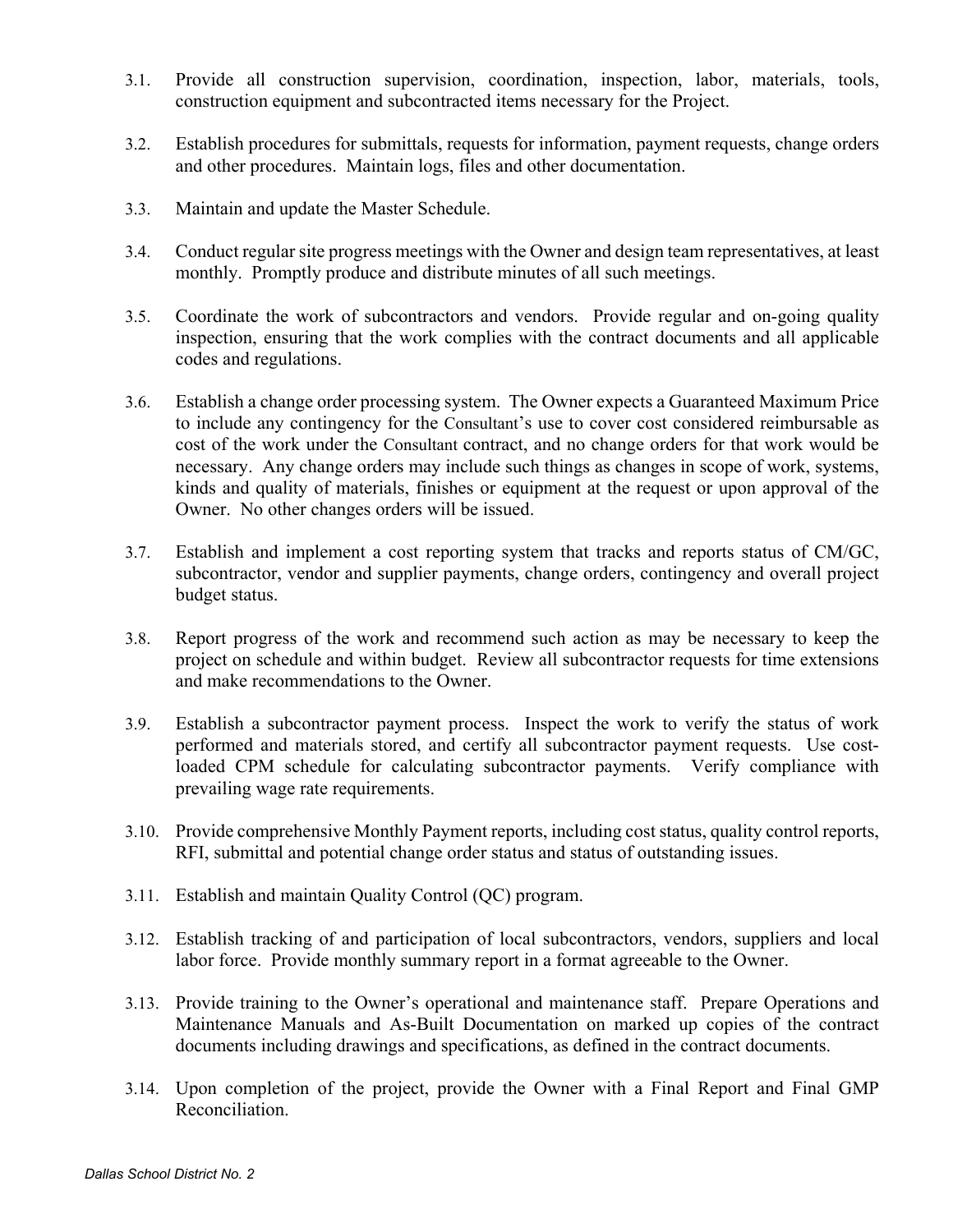- 3.1. Provide all construction supervision, coordination, inspection, labor, materials, tools, construction equipment and subcontracted items necessary for the Project.
- 3.2. Establish procedures for submittals, requests for information, payment requests, change orders and other procedures. Maintain logs, files and other documentation.
- 3.3. Maintain and update the Master Schedule.
- 3.4. Conduct regular site progress meetings with the Owner and design team representatives, at least monthly. Promptly produce and distribute minutes of all such meetings.
- 3.5. Coordinate the work of subcontractors and vendors. Provide regular and on-going quality inspection, ensuring that the work complies with the contract documents and all applicable codes and regulations.
- 3.6. Establish a change order processing system. The Owner expects a Guaranteed Maximum Price to include any contingency for the Consultant's use to cover cost considered reimbursable as cost of the work under the Consultant contract, and no change orders for that work would be necessary. Any change orders may include such things as changes in scope of work, systems, kinds and quality of materials, finishes or equipment at the request or upon approval of the Owner. No other changes orders will be issued.
- 3.7. Establish and implement a cost reporting system that tracks and reports status of CM/GC, subcontractor, vendor and supplier payments, change orders, contingency and overall project budget status.
- 3.8. Report progress of the work and recommend such action as may be necessary to keep the project on schedule and within budget. Review all subcontractor requests for time extensions and make recommendations to the Owner.
- 3.9. Establish a subcontractor payment process. Inspect the work to verify the status of work performed and materials stored, and certify all subcontractor payment requests. Use costloaded CPM schedule for calculating subcontractor payments. Verify compliance with prevailing wage rate requirements.
- 3.10. Provide comprehensive Monthly Payment reports, including cost status, quality control reports, RFI, submittal and potential change order status and status of outstanding issues.
- 3.11. Establish and maintain Quality Control (QC) program.
- 3.12. Establish tracking of and participation of local subcontractors, vendors, suppliers and local labor force. Provide monthly summary report in a format agreeable to the Owner.
- 3.13. Provide training to the Owner's operational and maintenance staff. Prepare Operations and Maintenance Manuals and As-Built Documentation on marked up copies of the contract documents including drawings and specifications, as defined in the contract documents.
- 3.14. Upon completion of the project, provide the Owner with a Final Report and Final GMP Reconciliation.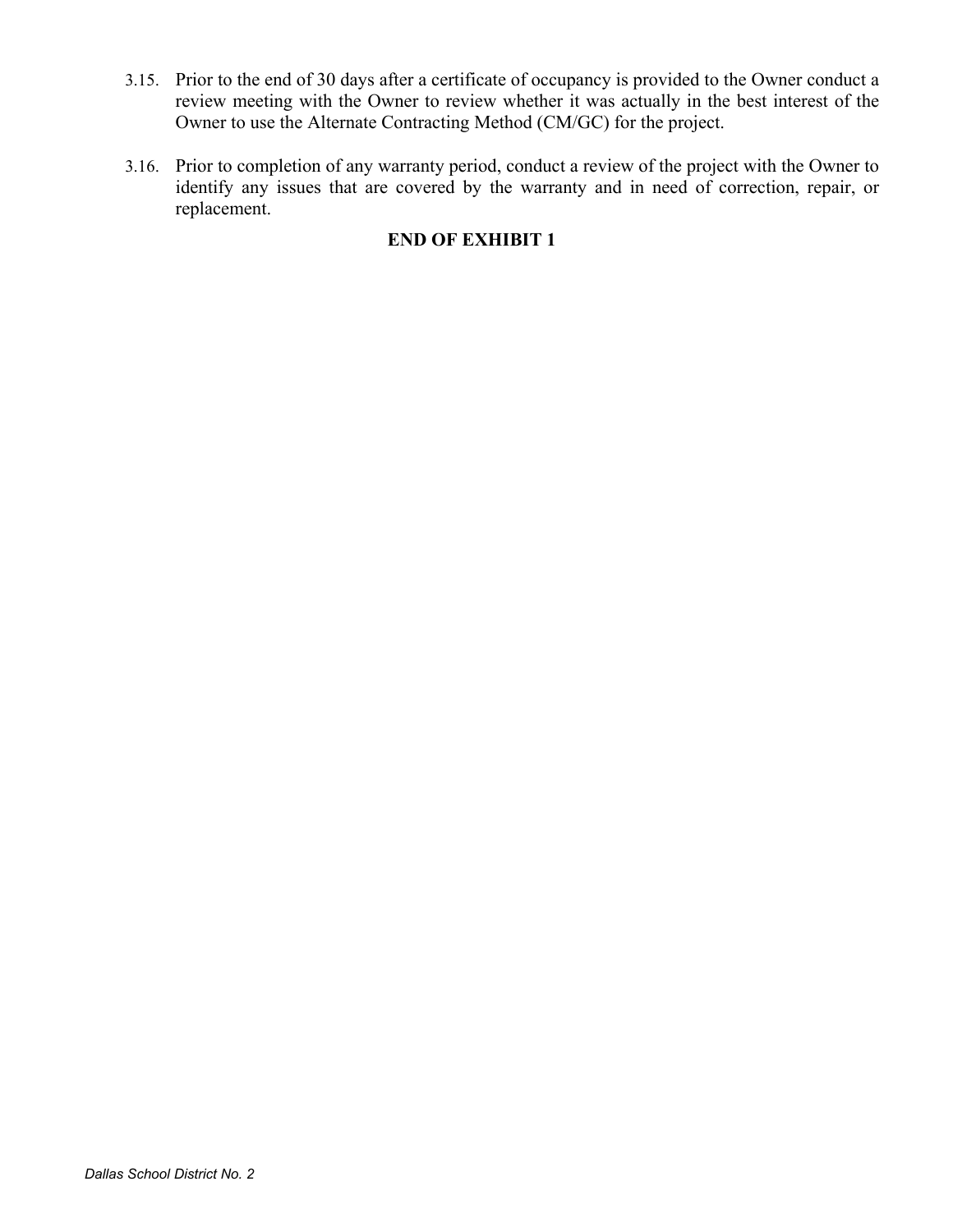- 3.15. Prior to the end of 30 days after a certificate of occupancy is provided to the Owner conduct a review meeting with the Owner to review whether it was actually in the best interest of the Owner to use the Alternate Contracting Method (CM/GC) for the project.
- 3.16. Prior to completion of any warranty period, conduct a review of the project with the Owner to identify any issues that are covered by the warranty and in need of correction, repair, or replacement.

# **END OF EXHIBIT 1**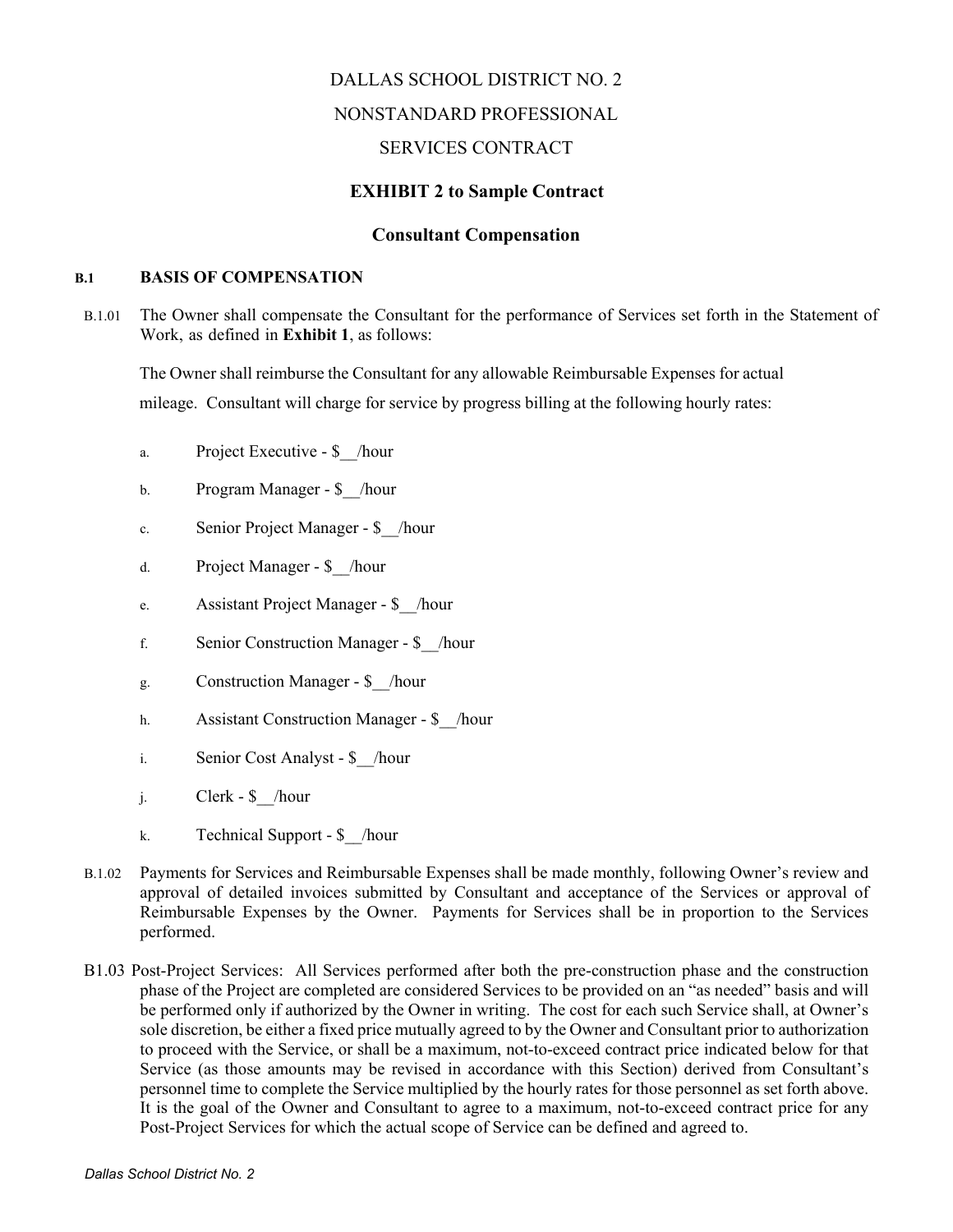## DALLAS SCHOOL DISTRICT NO. 2

### NONSTANDARD PROFESSIONAL

## SERVICES CONTRACT

### **EXHIBIT 2 to Sample Contract**

### **Consultant Compensation**

### **B.1 BASIS OF COMPENSATION**

B.1.01 The Owner shall compensate the Consultant for the performance of Services set forth in the Statement of Work, as defined in **Exhibit 1**, as follows:

The Owner shall reimburse the Consultant for any allowable Reimbursable Expenses for actual mileage. Consultant will charge for service by progress billing at the following hourly rates:

- a. Project Executive \$ /hour
- b. Program Manager \$ /hour
- c. Senior Project Manager \$\_\_/hour
- d. Project Manager \$\_\_/hour
- e. Assistant Project Manager \$\_\_/hour
- f. Senior Construction Manager \$\_\_/hour
- g. Construction Manager \$\_\_/hour
- h. Assistant Construction Manager \$ /hour
- i. Senior Cost Analyst \$\_\_/hour
- j. Clerk \$\_\_/hour
- k. Technical Support \$\_\_/hour
- B.1.02 Payments for Services and Reimbursable Expenses shall be made monthly, following Owner's review and approval of detailed invoices submitted by Consultant and acceptance of the Services or approval of Reimbursable Expenses by the Owner. Payments for Services shall be in proportion to the Services performed.
- B1.03 Post-Project Services: All Services performed after both the pre-construction phase and the construction phase of the Project are completed are considered Services to be provided on an "as needed" basis and will be performed only if authorized by the Owner in writing. The cost for each such Service shall, at Owner's sole discretion, be either a fixed price mutually agreed to by the Owner and Consultant prior to authorization to proceed with the Service, or shall be a maximum, not-to-exceed contract price indicated below for that Service (as those amounts may be revised in accordance with this Section) derived from Consultant's personnel time to complete the Service multiplied by the hourly rates for those personnel as set forth above. It is the goal of the Owner and Consultant to agree to a maximum, not-to-exceed contract price for any Post-Project Services for which the actual scope of Service can be defined and agreed to.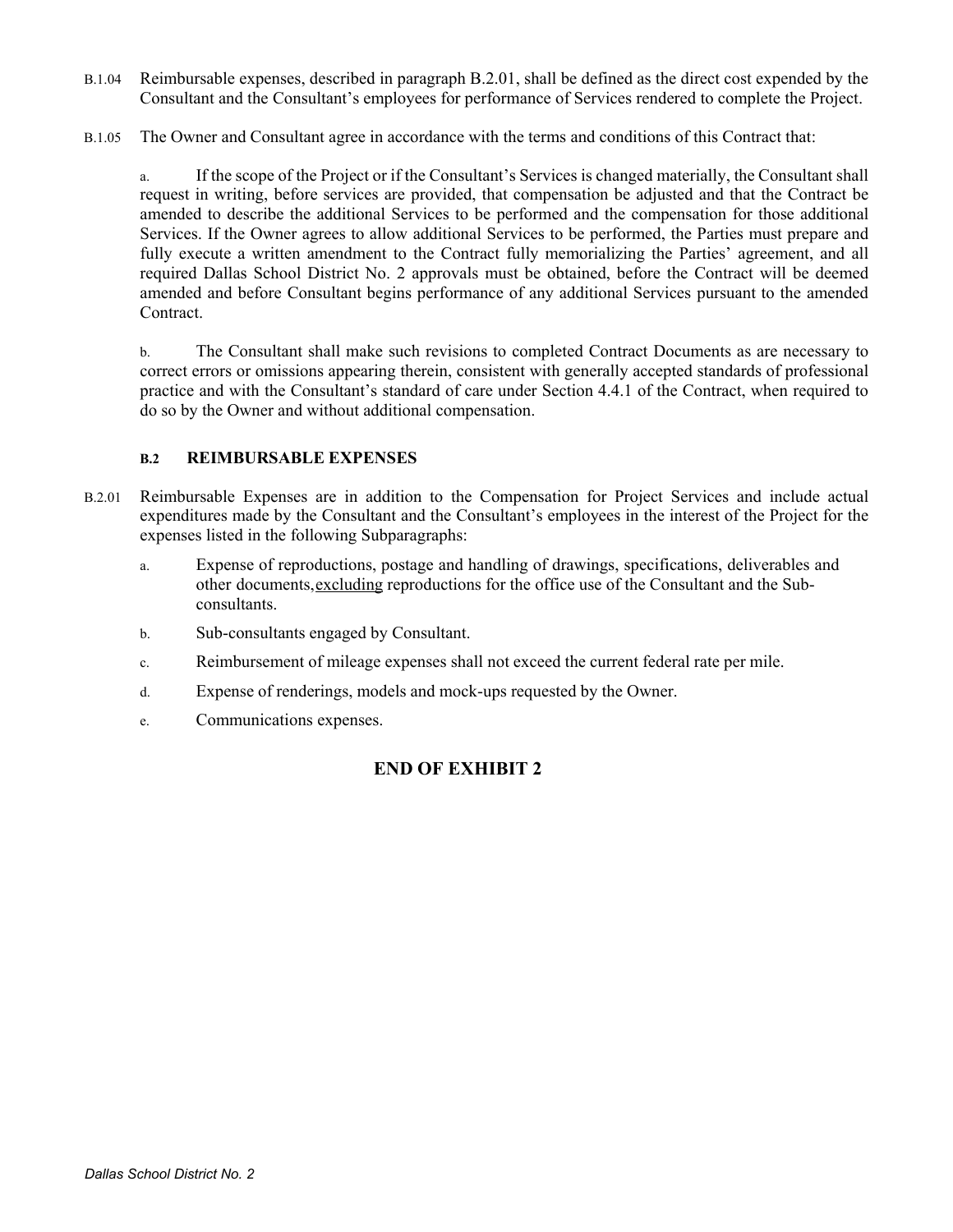- B.1.04 Reimbursable expenses, described in paragraph B.2.01, shall be defined as the direct cost expended by the Consultant and the Consultant's employees for performance of Services rendered to complete the Project.
- B.1.05 The Owner and Consultant agree in accordance with the terms and conditions of this Contract that:

a. If the scope of the Project or if the Consultant's Services is changed materially, the Consultant shall request in writing, before services are provided, that compensation be adjusted and that the Contract be amended to describe the additional Services to be performed and the compensation for those additional Services. If the Owner agrees to allow additional Services to be performed, the Parties must prepare and fully execute a written amendment to the Contract fully memorializing the Parties' agreement, and all required Dallas School District No. 2 approvals must be obtained, before the Contract will be deemed amended and before Consultant begins performance of any additional Services pursuant to the amended Contract.

b. The Consultant shall make such revisions to completed Contract Documents as are necessary to correct errors or omissions appearing therein, consistent with generally accepted standards of professional practice and with the Consultant's standard of care under Section 4.4.1 of the Contract, when required to do so by the Owner and without additional compensation.

### **B.2 REIMBURSABLE EXPENSES**

- B.2.01 Reimbursable Expenses are in addition to the Compensation for Project Services and include actual expenditures made by the Consultant and the Consultant's employees in the interest of the Project for the expenses listed in the following Subparagraphs:
	- a. Expense of reproductions, postage and handling of drawings, specifications, deliverables and other documents,excluding reproductions for the office use of the Consultant and the Subconsultants.
	- b. Sub-consultants engaged by Consultant.
	- c. Reimbursement of mileage expenses shall not exceed the current federal rate per mile.
	- d. Expense of renderings, models and mock-ups requested by the Owner.
	- e. Communications expenses.

# **END OF EXHIBIT 2**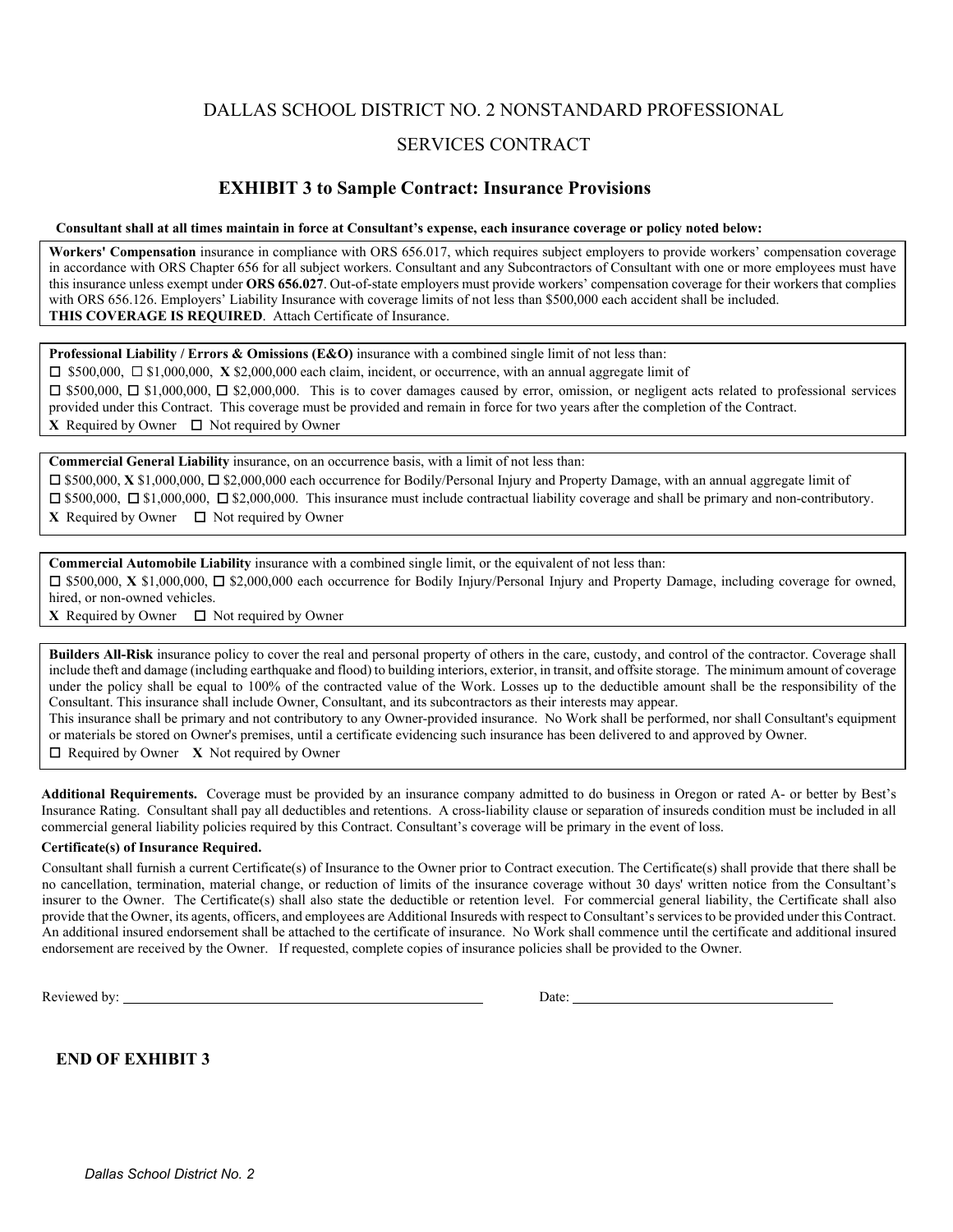## DALLAS SCHOOL DISTRICT NO. 2 NONSTANDARD PROFESSIONAL

### SERVICES CONTRACT

### **EXHIBIT 3 to Sample Contract: Insurance Provisions**

**Consultant shall at all times maintain in force at Consultant's expense, each insurance coverage or policy noted below:**

**Workers' Compensation** insurance in compliance with ORS 656.017, which requires subject employers to provide workers' compensation coverage in accordance with ORS Chapter 656 for all subject workers. Consultant and any Subcontractors of Consultant with one or more employees must have this insurance unless exempt under **ORS 656.027**. Out-of-state employers must provide workers' compensation coverage for their workers that complies with ORS 656.126. Employers' Liability Insurance with coverage limits of not less than \$500,000 each accident shall be included. **THIS COVERAGE IS REQUIRED**. Attach Certificate of Insurance.

**Professional Liability / Errors & Omissions (E&O)** insurance with a combined single limit of not less than:

☐ \$500,000, ☐ \$1,000,000, **X** \$2,000,000 each claim, incident, or occurrence, with an annual aggregate limit of

☐ \$500,000, ☐ \$1,000,000, ☐ \$2,000,000. This is to cover damages caused by error, omission, or negligent acts related to professional services provided under this Contract. This coverage must be provided and remain in force for two years after the completion of the Contract.  $X$  Required by Owner  $\Box$  Not required by Owner

**Commercial General Liability** insurance, on an occurrence basis, with a limit of not less than: ☐ \$500,000, **X** \$1,000,000, ☐ \$2,000,000 each occurrence for Bodily/Personal Injury and Property Damage, with an annual aggregate limit of ☐ \$500,000, ☐ \$1,000,000, ☐ \$2,000,000. This insurance must include contractual liability coverage and shall be primary and non-contributory.  $X$  Required by Owner  $\Box$  Not required by Owner

**Commercial Automobile Liability** insurance with a combined single limit, or the equivalent of not less than: ☐ \$500,000, **X** \$1,000,000, ☐ \$2,000,000 each occurrence for Bodily Injury/Personal Injury and Property Damage, including coverage for owned, hired, or non-owned vehicles.

**X** Required by Owner  $\Box$  Not required by Owner

**Builders All-Risk** insurance policy to cover the real and personal property of others in the care, custody, and control of the contractor. Coverage shall include theft and damage (including earthquake and flood) to building interiors, exterior, in transit, and offsite storage. The minimum amount of coverage under the policy shall be equal to 100% of the contracted value of the Work. Losses up to the deductible amount shall be the responsibility of the Consultant. This insurance shall include Owner, Consultant, and its subcontractors as their interests may appear.

This insurance shall be primary and not contributory to any Owner-provided insurance. No Work shall be performed, nor shall Consultant's equipment or materials be stored on Owner's premises, until a certificate evidencing such insurance has been delivered to and approved by Owner. ☐Required by Owner **X** Not required by Owner

**Additional Requirements.** Coverage must be provided by an insurance company admitted to do business in Oregon or rated A- or better by Best's Insurance Rating. Consultant shall pay all deductibles and retentions. A cross-liability clause or separation of insureds condition must be included in all commercial general liability policies required by this Contract. Consultant's coverage will be primary in the event of loss.

#### **Certificate(s) of Insurance Required.**

Consultant shall furnish a current Certificate(s) of Insurance to the Owner prior to Contract execution. The Certificate(s) shall provide that there shall be no cancellation, termination, material change, or reduction of limits of the insurance coverage without 30 days' written notice from the Consultant's insurer to the Owner. The Certificate(s) shall also state the deductible or retention level. For commercial general liability, the Certificate shall also provide that the Owner, its agents, officers, and employees are Additional Insureds with respect to Consultant's services to be provided under this Contract. An additional insured endorsement shall be attached to the certificate of insurance. No Work shall commence until the certificate and additional insured endorsement are received by the Owner. If requested, complete copies of insurance policies shall be provided to the Owner.

Reviewed by: Date:

### **END OF EXHIBIT 3**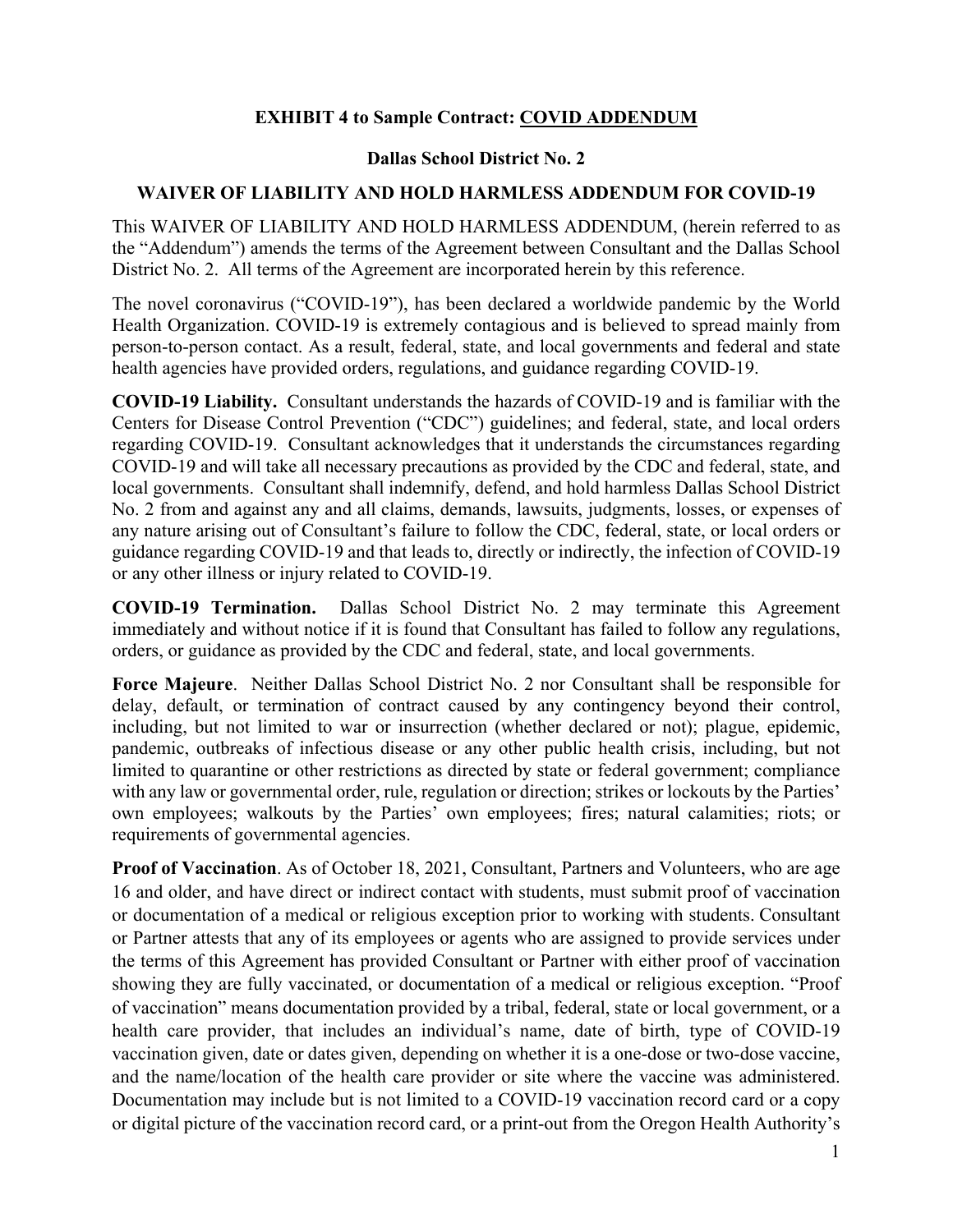# **EXHIBIT 4 to Sample Contract: COVID ADDENDUM**

## **Dallas School District No. 2**

## **WAIVER OF LIABILITY AND HOLD HARMLESS ADDENDUM FOR COVID-19**

This WAIVER OF LIABILITY AND HOLD HARMLESS ADDENDUM, (herein referred to as the "Addendum") amends the terms of the Agreement between Consultant and the Dallas School District No. 2. All terms of the Agreement are incorporated herein by this reference.

The novel coronavirus ("COVID-19"), has been declared a worldwide pandemic by the World Health Organization. COVID-19 is extremely contagious and is believed to spread mainly from person-to-person contact. As a result, federal, state, and local governments and federal and state health agencies have provided orders, regulations, and guidance regarding COVID-19.

**COVID-19 Liability.** Consultant understands the hazards of COVID-19 and is familiar with the Centers for Disease Control Prevention ("CDC") guidelines; and federal, state, and local orders regarding COVID-19. Consultant acknowledges that it understands the circumstances regarding COVID-19 and will take all necessary precautions as provided by the CDC and federal, state, and local governments. Consultant shall indemnify, defend, and hold harmless Dallas School District No. 2 from and against any and all claims, demands, lawsuits, judgments, losses, or expenses of any nature arising out of Consultant's failure to follow the CDC, federal, state, or local orders or guidance regarding COVID-19 and that leads to, directly or indirectly, the infection of COVID-19 or any other illness or injury related to COVID-19.

**COVID-19 Termination.** Dallas School District No. 2 may terminate this Agreement immediately and without notice if it is found that Consultant has failed to follow any regulations, orders, or guidance as provided by the CDC and federal, state, and local governments.

**Force Majeure**. Neither Dallas School District No. 2 nor Consultant shall be responsible for delay, default, or termination of contract caused by any contingency beyond their control, including, but not limited to war or insurrection (whether declared or not); plague, epidemic, pandemic, outbreaks of infectious disease or any other public health crisis, including, but not limited to quarantine or other restrictions as directed by state or federal government; compliance with any law or governmental order, rule, regulation or direction; strikes or lockouts by the Parties' own employees; walkouts by the Parties' own employees; fires; natural calamities; riots; or requirements of governmental agencies.

**Proof of Vaccination**. As of October 18, 2021, Consultant, Partners and Volunteers, who are age 16 and older, and have direct or indirect contact with students, must submit proof of vaccination or documentation of a medical or religious exception prior to working with students. Consultant or Partner attests that any of its employees or agents who are assigned to provide services under the terms of this Agreement has provided Consultant or Partner with either proof of vaccination showing they are fully vaccinated, or documentation of a medical or religious exception. "Proof of vaccination" means documentation provided by a tribal, federal, state or local government, or a health care provider, that includes an individual's name, date of birth, type of COVID-19 vaccination given, date or dates given, depending on whether it is a one-dose or two-dose vaccine, and the name/location of the health care provider or site where the vaccine was administered. Documentation may include but is not limited to a COVID-19 vaccination record card or a copy or digital picture of the vaccination record card, or a print-out from the Oregon Health Authority's